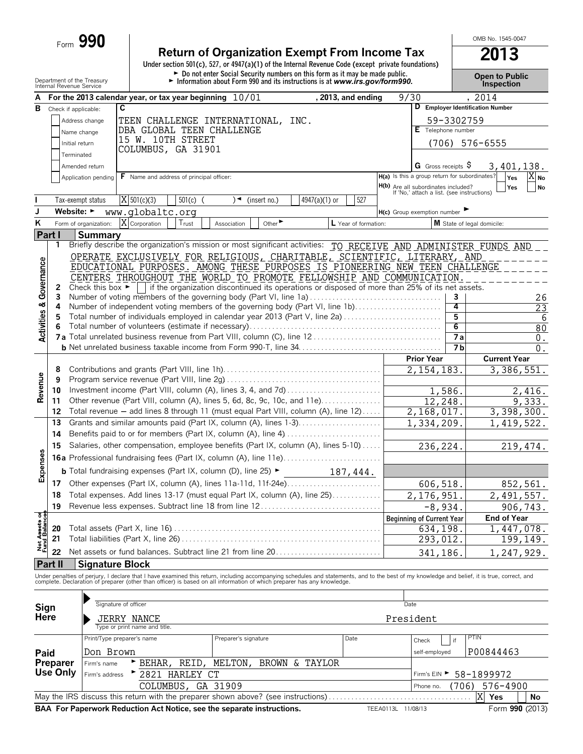| <b>Return of Organization Exempt From Income Tax</b>                                               | 2013 |
|----------------------------------------------------------------------------------------------------|------|
| Under section 501(c), 527, or 4947(a)(1) of the Internal Revenue Code (except private foundations) |      |

Department of the Treasury<br>Department of the Treasury<br>Information about Form 990 and its instructions is at www.irs.gov/form990.<br>Inspection<br>Inspection

OMB No. 1545-0047

|                                      | Internal Revenue Service       |                                                                                                                                                         |                                                                                                                                                                                                                                   |                                      |                      |                    |                                               |                | pro                              |                  |  |  |  |  |  |
|--------------------------------------|--------------------------------|---------------------------------------------------------------------------------------------------------------------------------------------------------|-----------------------------------------------------------------------------------------------------------------------------------------------------------------------------------------------------------------------------------|--------------------------------------|----------------------|--------------------|-----------------------------------------------|----------------|----------------------------------|------------------|--|--|--|--|--|
| А                                    |                                |                                                                                                                                                         | For the 2013 calendar year, or tax year beginning $10/01$                                                                                                                                                                         |                                      | , 2013, and ending   |                    | 9/30                                          |                | , 2014                           |                  |  |  |  |  |  |
| В                                    | Check if applicable:           |                                                                                                                                                         | C                                                                                                                                                                                                                                 |                                      |                      |                    |                                               |                | D Employer Identification Number |                  |  |  |  |  |  |
|                                      |                                | Address change                                                                                                                                          | TEEN CHALLENGE INTERNATIONAL, INC.                                                                                                                                                                                                |                                      |                      |                    |                                               | 59-3302759     |                                  |                  |  |  |  |  |  |
|                                      |                                | Name change                                                                                                                                             | DBA GLOBAL TEEN CHALLENGE                                                                                                                                                                                                         |                                      |                      |                    | E Telephone number                            |                |                                  |                  |  |  |  |  |  |
|                                      | Initial return                 |                                                                                                                                                         | 15 W. 10TH STREET<br>COLUMBUS, GA 31901                                                                                                                                                                                           |                                      |                      |                    |                                               |                | $(706)$ 576-6555                 |                  |  |  |  |  |  |
|                                      | Terminated                     |                                                                                                                                                         |                                                                                                                                                                                                                                   |                                      |                      |                    |                                               |                |                                  |                  |  |  |  |  |  |
|                                      |                                | Amended return                                                                                                                                          |                                                                                                                                                                                                                                   |                                      |                      |                    | G Gross receipts $\$$                         |                | 3,401,138.                       |                  |  |  |  |  |  |
|                                      |                                | Application pending                                                                                                                                     | <b>F</b> Name and address of principal officer:                                                                                                                                                                                   |                                      |                      |                    | H(a) Is this a group return for subordinates? |                | Yes<br>$X_{\text{No}}$           |                  |  |  |  |  |  |
|                                      |                                |                                                                                                                                                         |                                                                                                                                                                                                                                   |                                      |                      |                    | H(b) Are all subordinates included?           |                | Yes                              | No               |  |  |  |  |  |
|                                      |                                | Tax-exempt status                                                                                                                                       | $\overline{X}$ 501(c)(3)<br>$501(c)$ (                                                                                                                                                                                            | $\rightarrow$<br>(insert no.)        | 4947(a)(1) or<br>527 |                    | If 'No,' attach a list. (see instructions)    |                |                                  |                  |  |  |  |  |  |
| J                                    | Website: $\blacktriangleright$ |                                                                                                                                                         | www.globaltc.org                                                                                                                                                                                                                  |                                      |                      |                    | $H(c)$ Group exemption number                 |                |                                  |                  |  |  |  |  |  |
| Κ                                    |                                | Form of organization:                                                                                                                                   | X Corporation<br>Trust                                                                                                                                                                                                            | Other <sup>&gt;</sup><br>Association | L Year of formation: |                    |                                               |                | M State of legal domicile:       |                  |  |  |  |  |  |
|                                      | Part I                         | <b>Summary</b>                                                                                                                                          |                                                                                                                                                                                                                                   |                                      |                      |                    |                                               |                |                                  |                  |  |  |  |  |  |
|                                      | 1                              |                                                                                                                                                         | Briefly describe the organization's mission or most significant activities: TO RECEIVE AND ADMINISTER FUNDS AND                                                                                                                   |                                      |                      |                    |                                               |                |                                  |                  |  |  |  |  |  |
|                                      |                                |                                                                                                                                                         |                                                                                                                                                                                                                                   |                                      |                      |                    |                                               |                |                                  |                  |  |  |  |  |  |
|                                      |                                | OPERATE EXCLUSIVELY FOR RELIGIOUS, CHARITABLE, SCIENTIFIC, LITERARY, AND<br>EDUCATIONAL PURPOSES. AMONG THESE PURPOSES IS PIONEERING NEW TEEN CHALLENGE |                                                                                                                                                                                                                                   |                                      |                      |                    |                                               |                |                                  |                  |  |  |  |  |  |
|                                      |                                |                                                                                                                                                         | CENTERS THROUGHOUT THE WORLD TO PROMOTE FELLOWSHIP AND COMMUNICATION.                                                                                                                                                             |                                      |                      |                    |                                               |                |                                  |                  |  |  |  |  |  |
|                                      | 2                              |                                                                                                                                                         | Check this box $\blacktriangleright$   if the organization discontinued its operations or disposed of more than 25% of its net assets.                                                                                            |                                      |                      |                    |                                               |                |                                  |                  |  |  |  |  |  |
|                                      | 3                              |                                                                                                                                                         | Number of voting members of the governing body (Part VI, line 1a)                                                                                                                                                                 |                                      |                      |                    |                                               | 3              |                                  | 26               |  |  |  |  |  |
|                                      | 4                              |                                                                                                                                                         | Number of independent voting members of the governing body (Part VI, line 1b)                                                                                                                                                     |                                      |                      |                    |                                               | 4              |                                  | 23               |  |  |  |  |  |
| <b>Activities &amp; Governance</b>   | 5                              |                                                                                                                                                         | Total number of individuals employed in calendar year 2013 (Part V, line 2a)                                                                                                                                                      |                                      |                      |                    |                                               | 5              |                                  | 6                |  |  |  |  |  |
|                                      | 6                              |                                                                                                                                                         |                                                                                                                                                                                                                                   |                                      |                      |                    |                                               | 6              |                                  | 80               |  |  |  |  |  |
|                                      |                                |                                                                                                                                                         |                                                                                                                                                                                                                                   |                                      |                      |                    |                                               | 7а             |                                  | 0.               |  |  |  |  |  |
|                                      |                                |                                                                                                                                                         |                                                                                                                                                                                                                                   |                                      |                      |                    |                                               | 7 <sub>b</sub> |                                  | $\overline{0}$ . |  |  |  |  |  |
|                                      |                                |                                                                                                                                                         |                                                                                                                                                                                                                                   |                                      |                      |                    | <b>Prior Year</b>                             |                | <b>Current Year</b>              |                  |  |  |  |  |  |
|                                      | 8                              |                                                                                                                                                         |                                                                                                                                                                                                                                   | 2, 154, 183.                         |                      | 3,386,551.         |                                               |                |                                  |                  |  |  |  |  |  |
| Revenue                              | 9                              |                                                                                                                                                         |                                                                                                                                                                                                                                   |                                      |                      |                    |                                               |                |                                  |                  |  |  |  |  |  |
|                                      | 10                             |                                                                                                                                                         |                                                                                                                                                                                                                                   |                                      |                      |                    | 1,586.                                        |                | 2,416.                           |                  |  |  |  |  |  |
|                                      | 11<br>12                       |                                                                                                                                                         | Other revenue (Part VIII, column (A), lines 5, 6d, 8c, 9c, 10c, and 11e)<br>Total revenue - add lines 8 through 11 (must equal Part VIII, column (A), line 12)                                                                    |                                      |                      |                    | 12,248.                                       |                | 9,333.                           |                  |  |  |  |  |  |
|                                      | 13                             |                                                                                                                                                         | Grants and similar amounts paid (Part IX, column (A), lines 1-3)                                                                                                                                                                  |                                      |                      |                    | 2,168,017.                                    |                | 3,398,300.                       |                  |  |  |  |  |  |
|                                      |                                |                                                                                                                                                         |                                                                                                                                                                                                                                   |                                      |                      |                    | 1,334,209.                                    |                | 1, 419, 522.                     |                  |  |  |  |  |  |
|                                      | 14                             |                                                                                                                                                         | Benefits paid to or for members (Part IX, column (A), line 4)                                                                                                                                                                     |                                      |                      |                    |                                               |                |                                  |                  |  |  |  |  |  |
|                                      | 15                             |                                                                                                                                                         | Salaries, other compensation, employee benefits (Part IX, column (A), lines 5-10)                                                                                                                                                 |                                      | 236,224.             |                    | 219,474.                                      |                |                                  |                  |  |  |  |  |  |
| Expenses                             |                                |                                                                                                                                                         |                                                                                                                                                                                                                                   |                                      |                      |                    |                                               |                |                                  |                  |  |  |  |  |  |
|                                      |                                |                                                                                                                                                         | <b>b</b> Total fundraising expenses (Part IX, column (D), line 25) $\blacktriangleright$                                                                                                                                          |                                      | 187,444.             |                    |                                               |                |                                  |                  |  |  |  |  |  |
|                                      | 17                             |                                                                                                                                                         |                                                                                                                                                                                                                                   |                                      |                      |                    | 606,518.                                      |                | 852,561.                         |                  |  |  |  |  |  |
|                                      | 18                             |                                                                                                                                                         | Total expenses. Add lines 13-17 (must equal Part IX, column (A), line 25)                                                                                                                                                         |                                      |                      |                    | 2,176,951.                                    |                | 2,491,557.                       |                  |  |  |  |  |  |
|                                      | 19                             |                                                                                                                                                         | Revenue less expenses. Subtract line 18 from line 12                                                                                                                                                                              |                                      |                      |                    | $-8,934$                                      |                | 906,743.                         |                  |  |  |  |  |  |
|                                      |                                |                                                                                                                                                         |                                                                                                                                                                                                                                   |                                      |                      |                    | <b>Beginning of Current Year</b>              |                | <b>End of Year</b>               |                  |  |  |  |  |  |
|                                      | 20                             |                                                                                                                                                         |                                                                                                                                                                                                                                   |                                      |                      |                    | 634, 198                                      |                | 1,447,078.                       |                  |  |  |  |  |  |
| <b>Net Assets of</b><br>Fund Balance | 21                             |                                                                                                                                                         |                                                                                                                                                                                                                                   |                                      |                      |                    | 293,012.                                      |                | 199,149.                         |                  |  |  |  |  |  |
|                                      | 22                             |                                                                                                                                                         | Net assets or fund balances. Subtract line 21 from line 20                                                                                                                                                                        |                                      |                      |                    | 341,186                                       |                | 1,247,929.                       |                  |  |  |  |  |  |
|                                      | Part II                        | <b>Signature Block</b>                                                                                                                                  |                                                                                                                                                                                                                                   |                                      |                      |                    |                                               |                |                                  |                  |  |  |  |  |  |
|                                      |                                |                                                                                                                                                         | Under penalties of perjury, I declare that I have examined this return, including accompanying schedules and statements, and to the best of my knowledge and belief, it is true, correct, and<br>complete. Declaration of prepare |                                      |                      |                    |                                               |                |                                  |                  |  |  |  |  |  |
|                                      |                                |                                                                                                                                                         |                                                                                                                                                                                                                                   |                                      |                      |                    |                                               |                |                                  |                  |  |  |  |  |  |
|                                      |                                |                                                                                                                                                         |                                                                                                                                                                                                                                   |                                      |                      |                    |                                               |                |                                  |                  |  |  |  |  |  |
| Sign<br>Here                         |                                |                                                                                                                                                         | Signature of officer                                                                                                                                                                                                              |                                      |                      |                    | Date                                          |                |                                  |                  |  |  |  |  |  |
|                                      |                                |                                                                                                                                                         | JERRY NANCE                                                                                                                                                                                                                       |                                      |                      |                    | President                                     |                |                                  |                  |  |  |  |  |  |
|                                      |                                |                                                                                                                                                         | Type or print name and title.                                                                                                                                                                                                     |                                      |                      |                    |                                               |                |                                  |                  |  |  |  |  |  |
|                                      |                                |                                                                                                                                                         | Print/Type preparer's name                                                                                                                                                                                                        | Preparer's signature                 | Date                 |                    | Check                                         | if             | PTIN                             |                  |  |  |  |  |  |
| Paid                                 |                                | Don Brown                                                                                                                                               |                                                                                                                                                                                                                                   |                                      |                      |                    | self-employed                                 |                | P00844463                        |                  |  |  |  |  |  |
|                                      | <b>Preparer</b>                | Firm's name                                                                                                                                             | BEHAR, REID,                                                                                                                                                                                                                      | MELTON,                              | BROWN & TAYLOR       |                    |                                               |                |                                  |                  |  |  |  |  |  |
|                                      | Use Only                       | Firm's address                                                                                                                                          | * 2821 HARLEY CT                                                                                                                                                                                                                  |                                      |                      |                    |                                               |                | Firm's EIN > 58-1899972          |                  |  |  |  |  |  |
|                                      |                                |                                                                                                                                                         | COLUMBUS, GA 31909                                                                                                                                                                                                                |                                      |                      |                    | Phone no.                                     | (706)          | 576-4900                         |                  |  |  |  |  |  |
|                                      |                                |                                                                                                                                                         | May the IRS discuss this return with the preparer shown above? (see instructions)                                                                                                                                                 |                                      |                      |                    |                                               |                | Yes<br>X<br>No                   |                  |  |  |  |  |  |
|                                      |                                |                                                                                                                                                         | BAA For Paperwork Reduction Act Notice, see the separate instructions.                                                                                                                                                            |                                      |                      | TEEA0113L 11/08/13 |                                               |                | Form 990 (2013)                  |                  |  |  |  |  |  |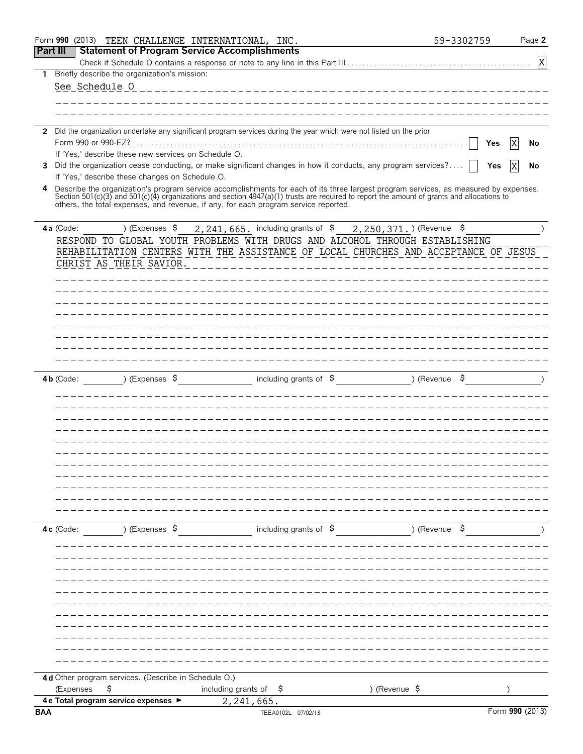|            | Form 990 (2013) |                                                      | TEEN CHALLENGE INTERNATIONAL, INC.                                                                                                         |                                |               |                          | 59-3302759 |                 | Page 2         |
|------------|-----------------|------------------------------------------------------|--------------------------------------------------------------------------------------------------------------------------------------------|--------------------------------|---------------|--------------------------|------------|-----------------|----------------|
| Part III   |                 |                                                      | <b>Statement of Program Service Accomplishments</b>                                                                                        |                                |               |                          |            |                 |                |
|            |                 |                                                      |                                                                                                                                            |                                |               |                          |            |                 | $\overline{X}$ |
|            |                 | 1 Briefly describe the organization's mission:       |                                                                                                                                            |                                |               |                          |            |                 |                |
|            | See Schedule 0  |                                                      |                                                                                                                                            |                                |               |                          |            |                 |                |
|            |                 |                                                      |                                                                                                                                            |                                |               |                          |            |                 |                |
|            |                 |                                                      |                                                                                                                                            |                                |               |                          |            |                 |                |
|            |                 |                                                      | 2 Did the organization undertake any significant program services during the year which were not listed on the prior                       |                                |               |                          |            |                 |                |
|            |                 |                                                      |                                                                                                                                            |                                |               |                          | Yes        |                 | No             |
|            |                 | If 'Yes,' describe these new services on Schedule O. |                                                                                                                                            |                                |               |                          |            |                 |                |
|            |                 |                                                      | 3 Did the organization cease conducting, or make significant changes in how it conducts, any program services?                             |                                |               |                          | Yes        |                 | No             |
|            |                 | If 'Yes,' describe these changes on Schedule O.      | 4 Describe the organization's program service accomplishments for each of its three largest program services, as measured by expenses.     |                                |               |                          |            |                 |                |
|            |                 |                                                      | Section 501(c)(3) and 501(c)(4) organizations and section 4947(a)(1) trusts are required to report the amount of grants and allocations to |                                |               |                          |            |                 |                |
|            |                 |                                                      | others, the total expenses, and revenue, if any, for each program service reported.                                                        |                                |               |                          |            |                 |                |
|            |                 | ) (Expenses \$                                       | 2, 241, 665. including grants of \$2, 250, 371. ) (Revenue \$                                                                              |                                |               |                          |            |                 |                |
|            | $4a$ (Code:     |                                                      | RESPOND TO GLOBAL YOUTH PROBLEMS WITH DRUGS AND ALCOHOL THROUGH ESTABLISHING                                                               |                                |               |                          |            |                 |                |
|            |                 |                                                      | REHABILITATION CENTERS WITH THE ASSISTANCE OF LOCAL CHURCHES AND ACCEPTANCE OF JESUS                                                       |                                |               |                          |            |                 |                |
|            |                 | CHRIST AS THEIR SAVIOR.                              |                                                                                                                                            |                                |               |                          |            |                 |                |
|            |                 |                                                      |                                                                                                                                            |                                |               |                          |            |                 |                |
|            |                 |                                                      |                                                                                                                                            |                                |               |                          |            |                 |                |
|            |                 |                                                      |                                                                                                                                            |                                |               |                          |            |                 |                |
|            |                 |                                                      |                                                                                                                                            |                                |               |                          |            |                 |                |
|            |                 |                                                      |                                                                                                                                            |                                |               |                          |            |                 |                |
|            |                 |                                                      |                                                                                                                                            |                                |               |                          |            |                 |                |
|            |                 |                                                      |                                                                                                                                            |                                |               |                          |            |                 |                |
|            |                 |                                                      |                                                                                                                                            |                                |               |                          |            |                 |                |
|            | $4b$ (Code:     | ) (Expenses \$                                       |                                                                                                                                            | including grants of $\sqrt{5}$ |               | ) (Revenue               | \$.        |                 |                |
|            |                 |                                                      |                                                                                                                                            |                                |               |                          |            |                 |                |
|            |                 |                                                      |                                                                                                                                            |                                |               |                          |            |                 |                |
|            |                 |                                                      |                                                                                                                                            |                                |               |                          |            |                 |                |
|            |                 |                                                      |                                                                                                                                            |                                |               |                          |            |                 |                |
|            |                 |                                                      |                                                                                                                                            |                                |               |                          |            |                 |                |
|            |                 |                                                      |                                                                                                                                            |                                |               |                          |            |                 |                |
|            |                 |                                                      |                                                                                                                                            |                                |               |                          |            |                 |                |
|            |                 |                                                      |                                                                                                                                            |                                |               |                          |            |                 |                |
|            |                 |                                                      |                                                                                                                                            |                                |               |                          |            |                 |                |
|            |                 |                                                      |                                                                                                                                            |                                |               |                          |            |                 |                |
|            |                 |                                                      |                                                                                                                                            |                                |               |                          |            |                 |                |
|            | $4c$ (Code:     | ) (Expenses \$                                       |                                                                                                                                            | including grants of $\sin$     |               | ) (Revenue $\frac{1}{2}$ |            |                 |                |
|            |                 |                                                      |                                                                                                                                            |                                |               |                          |            |                 |                |
|            |                 |                                                      |                                                                                                                                            |                                |               |                          |            |                 |                |
|            |                 |                                                      |                                                                                                                                            |                                |               |                          |            |                 |                |
|            |                 |                                                      |                                                                                                                                            |                                |               |                          |            |                 |                |
|            |                 |                                                      |                                                                                                                                            |                                |               |                          |            |                 |                |
|            |                 |                                                      |                                                                                                                                            |                                |               |                          |            |                 |                |
|            |                 |                                                      |                                                                                                                                            |                                |               |                          |            |                 |                |
|            |                 |                                                      |                                                                                                                                            |                                |               |                          |            |                 |                |
|            |                 |                                                      |                                                                                                                                            |                                |               |                          |            |                 |                |
|            |                 |                                                      |                                                                                                                                            |                                |               |                          |            |                 |                |
|            |                 |                                                      |                                                                                                                                            |                                |               |                          |            |                 |                |
|            |                 | 4d Other program services. (Describe in Schedule O.) |                                                                                                                                            |                                |               |                          |            |                 |                |
|            | (Expenses       | \$                                                   | including grants of $\frac{1}{2}$                                                                                                          |                                | ) (Revenue \$ |                          |            |                 |                |
|            |                 | 4 e Total program service expenses >                 | 2,241,665.                                                                                                                                 |                                |               |                          |            |                 |                |
| <b>BAA</b> |                 |                                                      |                                                                                                                                            | TEEA0102L 07/02/13             |               |                          |            | Form 990 (2013) |                |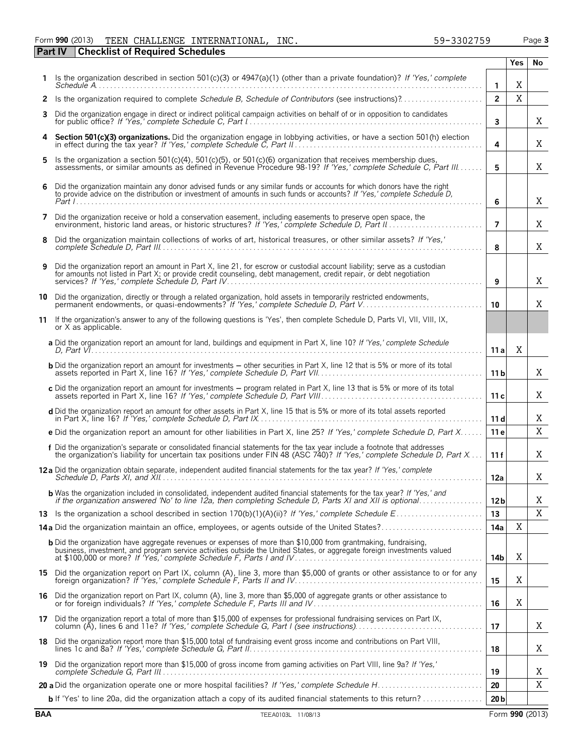#### Form **990** (2013) TEEN CHALLENGE INTERNATIONAL,INC. 59-3302759 Page **3 Part IV Checklist of Required Schedules** TEEN CHALLENGE INTERNATIONAL, INC. 59-3302759

|    |                                                                                                                                                                                                                                                     |                 | Yes         | No |
|----|-----------------------------------------------------------------------------------------------------------------------------------------------------------------------------------------------------------------------------------------------------|-----------------|-------------|----|
|    | 1 Is the organization described in section 501(c)(3) or 4947(a)(1) (other than a private foundation)? If 'Yes,' complete<br>$S$ chedule $A$                                                                                                         | $\mathbf{1}$    | Χ           |    |
|    |                                                                                                                                                                                                                                                     | $\overline{2}$  | $\mathbf X$ |    |
|    | 3 Did the organization engage in direct or indirect political campaign activities on behalf of or in opposition to candidates                                                                                                                       | 3               |             | Χ  |
|    | 4 Section 501(c)(3) organizations. Did the organization engage in lobbying activities, or have a section 501(h) election                                                                                                                            | 4               |             | Χ  |
|    | 5 Is the organization a section 501(c)(4), 501(c)(5), or 501(c)(6) organization that receives membership dues,<br>assessments, or similar amounts as defined in Revenue Procedure 98-19? If 'Yes,' complete Schedule C. Part III                    | 5               |             | X  |
| 6. | Did the organization maintain any donor advised funds or any similar funds or accounts for which donors have the right<br>to provide advice on the distribution or investment of amounts in such funds or accounts? If 'Yes,' complete Schedule D,  | 6               |             | X  |
| 7  | Did the organization receive or hold a conservation easement, including easements to preserve open space, the                                                                                                                                       | $\overline{7}$  |             | Χ  |
| 8  | Did the organization maintain collections of works of art, historical treasures, or other similar assets? If 'Yes,'                                                                                                                                 | 8               |             | Χ  |
| 9  | Did the organization report an amount in Part X, line 21, for escrow or custodial account liability; serve as a custodian<br>for amounts not listed in Part X; or provide credit counseling, debt management, credit repair, or debt negotiation    | 9               |             | Χ  |
|    | 10 Did the organization, directly or through a related organization, hold assets in temporarily restricted endowments,<br>permanent endowments, or quasi-endowments? If 'Yes,' complete Schedule D, Part V                                          | 10              |             | X  |
|    | 11 If the organization's answer to any of the following questions is 'Yes', then complete Schedule D, Parts VI, VII, VIII, IX,<br>or X as applicable.                                                                                               |                 |             |    |
|    | a Did the organization report an amount for land, buildings and equipment in Part X, line 10? If 'Yes,' complete Schedule                                                                                                                           | 11 a l          | Χ           |    |
|    | <b>b</b> Did the organization report an amount for investments – other securities in Part X, line 12 that is 5% or more of its total                                                                                                                | 11 <sub>b</sub> |             | X  |
|    | c Did the organization report an amount for investments - program related in Part X, line 13 that is 5% or more of its total                                                                                                                        | 11c             |             | X  |
|    | d Did the organization report an amount for other assets in Part X, line 15 that is 5% or more of its total assets reported                                                                                                                         | 11d             |             | Χ  |
|    | e Did the organization report an amount for other liabilities in Part X, line 25? If 'Yes,' complete Schedule D, Part X                                                                                                                             | 11e             |             | X  |
|    | f Did the organization's separate or consolidated financial statements for the tax year include a footnote that addresses<br>the organization's liability for uncertain tax positions under FIN 48 (ASC 740)? If 'Yes,' complete Schedule D, Part X | 11f             |             | X  |
|    | 12a Did the organization obtain separate, independent audited financial statements for the tax year? If 'Yes,' complete                                                                                                                             | 12a             |             | X  |
|    | <b>b</b> Was the organization included in consolidated, independent audited financial statements for the tax year? If 'Yes,' and<br>if the organization answered 'No' to line 12a, then completing Schedule D, Parts XI and XII is optional         | 12 <sub>b</sub> |             | Χ  |
|    |                                                                                                                                                                                                                                                     | 13              |             | X  |
|    | 14a Did the organization maintain an office, employees, or agents outside of the United States?                                                                                                                                                     | 14a             | Χ           |    |
|    | <b>b</b> Did the organization have aggregate revenues or expenses of more than \$10,000 from grantmaking, fundraising,                                                                                                                              | 14b             | Χ           |    |
|    | 15 Did the organization report on Part IX, column (A), line 3, more than \$5,000 of grants or other assistance to or for any                                                                                                                        | 15              | Χ           |    |
|    | 16 Did the organization report on Part IX, column (A), line 3, more than \$5,000 of aggregate grants or other assistance to or for foreign individuals? If 'Yes,' complete Schedule F, Parts III and IV                                             | 16              | X           |    |
|    | 17 Did the organization report a total of more than \$15,000 of expenses for professional fundraising services on Part IX, column (A), lines 6 and 11e? If 'Yes,' complete Schedule G, Part I (see instructions)                                    | 17              |             | X  |
|    | 18 Did the organization report more than \$15,000 total of fundraising event gross income and contributions on Part VIII,                                                                                                                           | 18              |             | X  |
|    | 19 Did the organization report more than \$15,000 of gross income from gaming activities on Part VIII, line 9a? If 'Yes,'                                                                                                                           | 19              |             | Χ  |
|    |                                                                                                                                                                                                                                                     | 20              |             | X  |
|    | <b>b</b> If 'Yes' to line 20a, did the organization attach a copy of its audited financial statements to this return?                                                                                                                               | 20 <sub>b</sub> |             |    |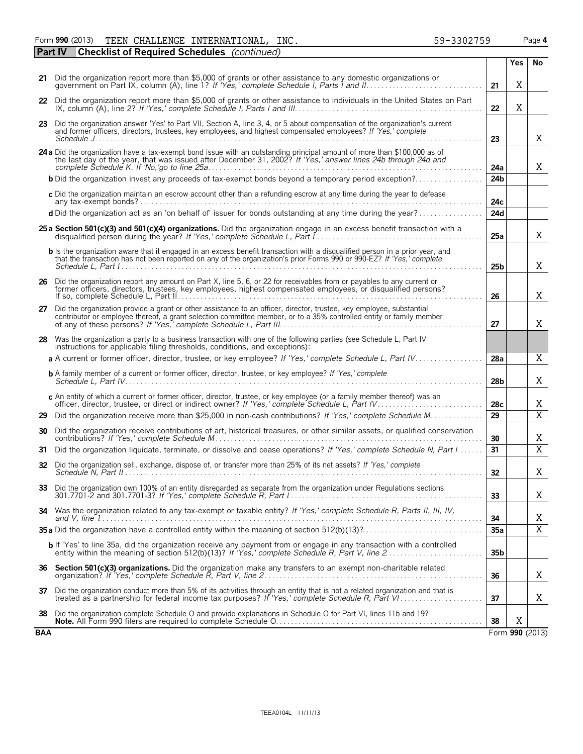Form **990** (2013) Page **4** TEEN CHALLENGE INTERNATIONAL, INC. 59-3302759

|     | <b>Checklist of Required Schedules</b> (continued)<br><b>Part IV</b>                                                                                                                                                                                  |                 |            |                 |
|-----|-------------------------------------------------------------------------------------------------------------------------------------------------------------------------------------------------------------------------------------------------------|-----------------|------------|-----------------|
|     |                                                                                                                                                                                                                                                       |                 | <b>Yes</b> | No              |
|     | 21 Did the organization report more than \$5,000 of grants or other assistance to any domestic organizations or                                                                                                                                       | 21              | X          |                 |
|     | 22 Did the organization report more than \$5,000 of grants or other assistance to individuals in the United States on Part                                                                                                                            | 22              | X          |                 |
|     | 23 Did the organization answer 'Yes' to Part VII, Section A, line 3, 4, or 5 about compensation of the organization's current<br>and former officers, directors, trustees, key employees, and highest compensated employees? If 'Yes,' complete       | 23              |            | Χ               |
|     | 24 a Did the organization have a tax-exempt bond issue with an outstanding principal amount of more than \$100,000 as of<br>the last day of the year, that was issued after December 31, 2002? If 'Yes,' answer lines 24b through 24d and             | 24a             |            | X               |
|     |                                                                                                                                                                                                                                                       | 24b             |            |                 |
|     | c Did the organization maintain an escrow account other than a refunding escrow at any time during the year to defease                                                                                                                                | 24c             |            |                 |
|     | d Did the organization act as an 'on behalf of' issuer for bonds outstanding at any time during the year?                                                                                                                                             | 24d             |            |                 |
|     | 25 a Section 501(c)(3) and 501(c)(4) organizations. Did the organization engage in an excess benefit transaction with a                                                                                                                               | 25a             |            | Χ               |
|     | b Is the organization aware that it engaged in an excess benefit transaction with a disqualified person in a prior year, and<br>that the transaction has not been reported on any of the organization's prior Forms 990 or 990-EZ? If 'Yes,' complete | 25 <sub>b</sub> |            | Χ               |
|     | 26 Did the organization report any amount on Part X, line 5, 6, or 22 for receivables from or payables to any current or<br>former officers, directors, trustees, key employees, highest compensated employees, or disqualified persons?              | 26              |            | X               |
|     | 27 Did the organization provide a grant or other assistance to an officer, director, trustee, key employee, substantial<br>contributor or employee thereof, a grant selection committee member, or to a 35% controlled entity or family member        | 27              |            | Χ               |
|     | 28 Was the organization a party to a business transaction with one of the following parties (see Schedule L, Part IV<br>instructions for applicable filing thresholds, conditions, and exceptions):                                                   |                 |            |                 |
|     | a A current or former officer, director, trustee, or key employee? If 'Yes,' complete Schedule L, Part IV                                                                                                                                             | 28a             |            | X               |
|     | <b>b</b> A family member of a current or former officer, director, trustee, or key employee? If 'Yes,' complete                                                                                                                                       | 28 <sub>b</sub> |            | Χ               |
|     | c An entity of which a current or former officer, director, trustee, or key employee (or a family member thereof) was an                                                                                                                              | 28c             |            | Χ               |
| 29  | Did the organization receive more than \$25,000 in non-cash contributions? If 'Yes,' complete Schedule M                                                                                                                                              | 29              |            | $\overline{X}$  |
| 30  | Did the organization receive contributions of art, historical treasures, or other similar assets, or qualified conservation                                                                                                                           | 30              |            | Χ               |
| 31  | Did the organization liquidate, terminate, or dissolve and cease operations? If 'Yes,' complete Schedule N, Part I                                                                                                                                    | 31              |            | $\overline{X}$  |
| 32  | Did the organization sell, exchange, dispose of, or transfer more than 25% of its net assets? If 'Yes,' complete                                                                                                                                      | 32              |            | Χ               |
| 33  | Did the organization own 100% of an entity disregarded as separate from the organization under Regulations sections                                                                                                                                   | 33              |            | X               |
|     | 34 Was the organization related to any tax-exempt or taxable entity? If 'Yes,' complete Schedule R, Parts II, III, IV,                                                                                                                                | 34              |            | Χ               |
|     |                                                                                                                                                                                                                                                       | 35a             |            | $\overline{X}$  |
|     | b If 'Yes' to line 35a, did the organization receive any payment from or engage in any transaction with a controlled<br>entity within the meaning of section 512(b)(13)? If 'Yes,' complete Schedule R, Part V, line 2                                | 35 <sub>b</sub> |            |                 |
|     | 36 Section 501(c)(3) organizations. Did the organization make any transfers to an exempt non-charitable related                                                                                                                                       | 36              |            | X               |
|     | 37 Did the organization conduct more than 5% of its activities through an entity that is not a related organization and that is<br>treated as a partnership for federal income tax purposes? If 'Yes,' complete Schedule R, Part V                    | 37              |            | X               |
| 38  | Did the organization complete Schedule O and provide explanations in Schedule O for Part VI, lines 11b and 19?                                                                                                                                        | 38              | X          |                 |
| BAA |                                                                                                                                                                                                                                                       |                 |            | Form 990 (2013) |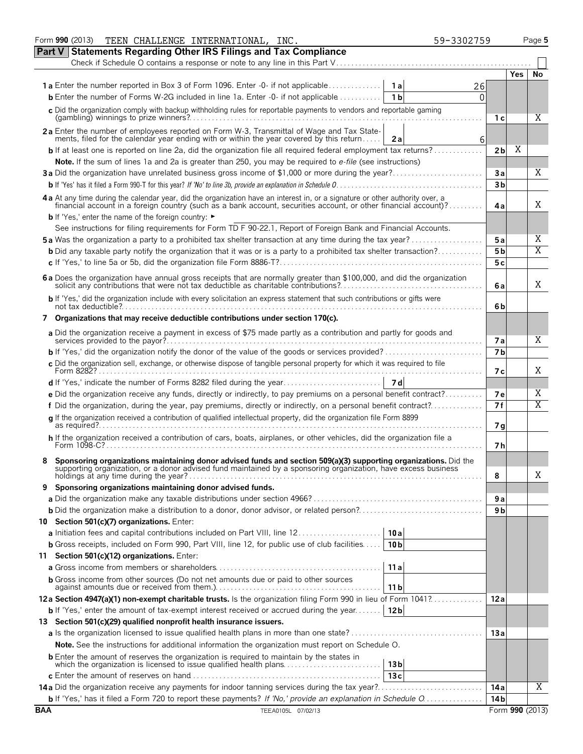|            | Form 990 (2013)<br>TEEN CHALLENGE INTERNATIONAL, INC.<br>59-3302759                                                                                                                                                            |                |            | Page 5          |  |  |  |  |  |  |  |  |
|------------|--------------------------------------------------------------------------------------------------------------------------------------------------------------------------------------------------------------------------------|----------------|------------|-----------------|--|--|--|--|--|--|--|--|
|            | <b>Part V Statements Regarding Other IRS Filings and Tax Compliance</b>                                                                                                                                                        |                |            |                 |  |  |  |  |  |  |  |  |
|            | Check if Schedule O contains a response or note to any line in this Part V                                                                                                                                                     |                |            |                 |  |  |  |  |  |  |  |  |
|            |                                                                                                                                                                                                                                |                | <b>Yes</b> | No              |  |  |  |  |  |  |  |  |
|            | <b>1a</b> Enter the number reported in Box 3 of Form 1096. Enter -0- if not applicable<br>1 a l<br>26                                                                                                                          |                |            |                 |  |  |  |  |  |  |  |  |
|            | <b>b</b> Enter the number of Forms W-2G included in line 1a. Enter -0- if not applicable<br>1 <sub>b</sub><br>0                                                                                                                |                |            |                 |  |  |  |  |  |  |  |  |
|            | c Did the organization comply with backup withholding rules for reportable payments to vendors and reportable gaming                                                                                                           |                |            | X               |  |  |  |  |  |  |  |  |
|            |                                                                                                                                                                                                                                | 1 с            |            |                 |  |  |  |  |  |  |  |  |
|            | 2a Enter the number of employees reported on Form W-3, Transmittal of Wage and Tax State-<br>ments, filed for the calendar year ending with or within the year covered by this return<br>6<br>2a                               |                |            |                 |  |  |  |  |  |  |  |  |
|            | <b>b</b> If at least one is reported on line 2a, did the organization file all required federal employment tax returns?                                                                                                        | 2 <sub>b</sub> | X          |                 |  |  |  |  |  |  |  |  |
|            | Note. If the sum of lines 1a and 2a is greater than 250, you may be required to e-file (see instructions)                                                                                                                      |                |            |                 |  |  |  |  |  |  |  |  |
|            | 3a Did the organization have unrelated business gross income of \$1,000 or more during the year?                                                                                                                               | Зa             |            | Χ               |  |  |  |  |  |  |  |  |
|            |                                                                                                                                                                                                                                |                |            |                 |  |  |  |  |  |  |  |  |
|            | 4 a At any time during the calendar year, did the organization have an interest in, or a signature or other authority over, a financial account in a foreign country (such as a bank account, securities account, or other fin |                |            |                 |  |  |  |  |  |  |  |  |
|            |                                                                                                                                                                                                                                | 4a             |            | X               |  |  |  |  |  |  |  |  |
|            | <b>b</b> If 'Yes,' enter the name of the foreign country: ►                                                                                                                                                                    |                |            |                 |  |  |  |  |  |  |  |  |
|            | See instructions for filing requirements for Form TD F 90-22.1, Report of Foreign Bank and Financial Accounts.                                                                                                                 |                |            |                 |  |  |  |  |  |  |  |  |
|            | <b>5a</b> Was the organization a party to a prohibited tax shelter transaction at any time during the tax year?                                                                                                                | 5a             |            | Χ               |  |  |  |  |  |  |  |  |
|            | <b>b</b> Did any taxable party notify the organization that it was or is a party to a prohibited tax shelter transaction?                                                                                                      | 5 <sub>b</sub> |            | X               |  |  |  |  |  |  |  |  |
|            |                                                                                                                                                                                                                                | 5c             |            |                 |  |  |  |  |  |  |  |  |
|            | 6 a Does the organization have annual gross receipts that are normally greater than \$100,000, and did the organization solicit any contributions that were not tax deductible as charitable contributions?                    | 6a             |            | X               |  |  |  |  |  |  |  |  |
|            | b If 'Yes,' did the organization include with every solicitation an express statement that such contributions or gifts were                                                                                                    | 6b             |            |                 |  |  |  |  |  |  |  |  |
|            | 7 Organizations that may receive deductible contributions under section 170(c).                                                                                                                                                |                |            |                 |  |  |  |  |  |  |  |  |
|            | a Did the organization receive a payment in excess of \$75 made partly as a contribution and partly for goods and                                                                                                              | <b>7a</b>      |            | X               |  |  |  |  |  |  |  |  |
|            | <b>b</b> If 'Yes,' did the organization notify the donor of the value of the goods or services provided?                                                                                                                       | 7 <sub>b</sub> |            |                 |  |  |  |  |  |  |  |  |
|            | c Did the organization sell, exchange, or otherwise dispose of tangible personal property for which it was required to file                                                                                                    |                |            |                 |  |  |  |  |  |  |  |  |
|            |                                                                                                                                                                                                                                | 7 с            |            | X               |  |  |  |  |  |  |  |  |
|            |                                                                                                                                                                                                                                |                |            |                 |  |  |  |  |  |  |  |  |
|            | e Did the organization receive any funds, directly or indirectly, to pay premiums on a personal benefit contract?                                                                                                              | <b>7e</b>      |            | Χ               |  |  |  |  |  |  |  |  |
|            | f Did the organization, during the year, pay premiums, directly or indirectly, on a personal benefit contract?                                                                                                                 | 7f             |            | X               |  |  |  |  |  |  |  |  |
|            | q If the organization received a contribution of qualified intellectual property, did the organization file Form 8899                                                                                                          | 7g             |            |                 |  |  |  |  |  |  |  |  |
|            | h If the organization received a contribution of cars, boats, airplanes, or other vehicles, did the organization file a                                                                                                        | 7h             |            |                 |  |  |  |  |  |  |  |  |
|            | Sponsoring organizations maintaining donor advised funds and section 509(a)(3) supporting organizations. Did the supporting organization, or a donor advised fund maintained by a sponsoring organization, have excess busines |                |            |                 |  |  |  |  |  |  |  |  |
|            |                                                                                                                                                                                                                                | 8              |            | Χ               |  |  |  |  |  |  |  |  |
| 9          | Sponsoring organizations maintaining donor advised funds.                                                                                                                                                                      |                |            |                 |  |  |  |  |  |  |  |  |
|            |                                                                                                                                                                                                                                | 9а<br>9 b      |            |                 |  |  |  |  |  |  |  |  |
|            | 10 Section 501(c)(7) organizations. Enter:                                                                                                                                                                                     |                |            |                 |  |  |  |  |  |  |  |  |
|            | 10 a                                                                                                                                                                                                                           |                |            |                 |  |  |  |  |  |  |  |  |
|            | <b>b</b> Gross receipts, included on Form 990, Part VIII, line 12, for public use of club facilities<br>10 <sub>b</sub>                                                                                                        |                |            |                 |  |  |  |  |  |  |  |  |
|            | 11 Section 501(c)(12) organizations. Enter:                                                                                                                                                                                    |                |            |                 |  |  |  |  |  |  |  |  |
|            | 11a                                                                                                                                                                                                                            |                |            |                 |  |  |  |  |  |  |  |  |
|            | <b>b</b> Gross income from other sources (Do not net amounts due or paid to other sources<br>11 <sub>b</sub>                                                                                                                   |                |            |                 |  |  |  |  |  |  |  |  |
|            | 12a Section 4947(a)(1) non-exempt charitable trusts. Is the organization filing Form 990 in lieu of Form 1041?                                                                                                                 | 12a            |            |                 |  |  |  |  |  |  |  |  |
|            | <b>b</b> If 'Yes,' enter the amount of tax-exempt interest received or accrued during the year<br>12 <sub>b</sub>                                                                                                              |                |            |                 |  |  |  |  |  |  |  |  |
|            | 13 Section 501(c)(29) qualified nonprofit health insurance issuers.                                                                                                                                                            |                |            |                 |  |  |  |  |  |  |  |  |
|            |                                                                                                                                                                                                                                | 13a            |            |                 |  |  |  |  |  |  |  |  |
|            | Note. See the instructions for additional information the organization must report on Schedule O.                                                                                                                              |                |            |                 |  |  |  |  |  |  |  |  |
|            | <b>b</b> Enter the amount of reserves the organization is required to maintain by the states in                                                                                                                                |                |            |                 |  |  |  |  |  |  |  |  |
|            | which the organization is licensed to issue qualified health plans<br>13 bl                                                                                                                                                    |                |            |                 |  |  |  |  |  |  |  |  |
|            | 13c                                                                                                                                                                                                                            |                |            | Χ               |  |  |  |  |  |  |  |  |
|            |                                                                                                                                                                                                                                | 14 a           |            |                 |  |  |  |  |  |  |  |  |
| <b>BAA</b> | TEEA0105L 07/02/13                                                                                                                                                                                                             | 14 b           |            | Form 990 (2013) |  |  |  |  |  |  |  |  |
|            |                                                                                                                                                                                                                                |                |            |                 |  |  |  |  |  |  |  |  |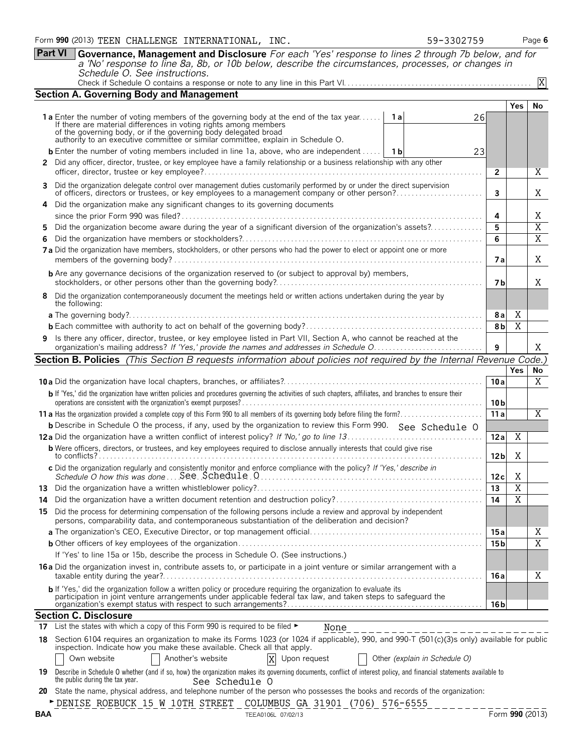|         | Part VI                                                                                                                      | Governance, Management and Disclosure For each 'Yes' response to lines 2 through 7b below, and for<br>a 'No' response to line 8a, 8b, or 10b below, describe the circumstances, processes, or changes in                                                                                                                 |                               |                 |                |                                  |  |  |  |  |  |  |
|---------|------------------------------------------------------------------------------------------------------------------------------|--------------------------------------------------------------------------------------------------------------------------------------------------------------------------------------------------------------------------------------------------------------------------------------------------------------------------|-------------------------------|-----------------|----------------|----------------------------------|--|--|--|--|--|--|
|         |                                                                                                                              | Schedule O. See instructions.                                                                                                                                                                                                                                                                                            |                               |                 |                | X                                |  |  |  |  |  |  |
|         |                                                                                                                              | <b>Section A. Governing Body and Management</b>                                                                                                                                                                                                                                                                          |                               |                 |                |                                  |  |  |  |  |  |  |
|         |                                                                                                                              |                                                                                                                                                                                                                                                                                                                          |                               |                 | <b>Yes</b>     | No                               |  |  |  |  |  |  |
|         |                                                                                                                              | <b>1a</b> Enter the number of voting members of the governing body at the end of the tax year<br>If there are material differences in voting rights among members<br>of the governing body, or if the governing body delegated broad<br>authority to an executive committee or similar committee, explain in Schedule O. | <b>1a</b><br>26               |                 |                |                                  |  |  |  |  |  |  |
|         |                                                                                                                              | <b>b</b> Enter the number of voting members included in line 1a, above, who are independent    1b                                                                                                                                                                                                                        | 23                            |                 |                |                                  |  |  |  |  |  |  |
|         |                                                                                                                              | 2 Did any officer, director, trustee, or key employee have a family relationship or a business relationship with any other                                                                                                                                                                                               |                               | $\overline{2}$  |                | Χ                                |  |  |  |  |  |  |
| 3       |                                                                                                                              | Did the organization delegate control over management duties customarily performed by or under the direct supervision<br>of officers, directors or trustees, or key employees to a management company or other person?                                                                                                   |                               | 3               |                | Χ                                |  |  |  |  |  |  |
| 4       |                                                                                                                              | Did the organization make any significant changes to its governing documents                                                                                                                                                                                                                                             |                               | 4               |                | Χ                                |  |  |  |  |  |  |
|         | Did the organization become aware during the year of a significant diversion of the organization's assets?                   |                                                                                                                                                                                                                                                                                                                          |                               |                 |                |                                  |  |  |  |  |  |  |
| 5.<br>6 |                                                                                                                              |                                                                                                                                                                                                                                                                                                                          |                               | 5<br>6          |                | $\overline{X}$<br>$\overline{X}$ |  |  |  |  |  |  |
|         | 7a Did the organization have members, stockholders, or other persons who had the power to elect or appoint one or more<br>7а |                                                                                                                                                                                                                                                                                                                          |                               |                 |                |                                  |  |  |  |  |  |  |
|         |                                                                                                                              | <b>b</b> Are any governance decisions of the organization reserved to (or subject to approval by) members,                                                                                                                                                                                                               |                               | 7 b             |                | X                                |  |  |  |  |  |  |
| 8       |                                                                                                                              | Did the organization contemporaneously document the meetings held or written actions undertaken during the year by<br>the following:                                                                                                                                                                                     |                               |                 |                |                                  |  |  |  |  |  |  |
|         |                                                                                                                              |                                                                                                                                                                                                                                                                                                                          |                               | 8a              | X              |                                  |  |  |  |  |  |  |
|         |                                                                                                                              |                                                                                                                                                                                                                                                                                                                          |                               | 8b              | X              |                                  |  |  |  |  |  |  |
|         |                                                                                                                              | 9 Is there any officer, director, trustee, or key employee listed in Part VII, Section A, who cannot be reached at the                                                                                                                                                                                                   |                               | 9               |                | X                                |  |  |  |  |  |  |
|         |                                                                                                                              | <b>Section B. Policies</b> (This Section B requests information about policies not required by the Internal Revenue Code.)                                                                                                                                                                                               |                               |                 |                |                                  |  |  |  |  |  |  |
|         |                                                                                                                              |                                                                                                                                                                                                                                                                                                                          |                               | 10a             | <b>Yes</b>     | No<br>X                          |  |  |  |  |  |  |
|         |                                                                                                                              | b If 'Yes,' did the organization have written policies and procedures governing the activities of such chapters, affiliates, and branches to ensure their                                                                                                                                                                |                               | 10 <sub>b</sub> |                |                                  |  |  |  |  |  |  |
|         |                                                                                                                              |                                                                                                                                                                                                                                                                                                                          |                               | 11a             |                | X                                |  |  |  |  |  |  |
|         |                                                                                                                              | <b>b</b> Describe in Schedule O the process, if any, used by the organization to review this Form 990. See Schedule O                                                                                                                                                                                                    |                               |                 |                |                                  |  |  |  |  |  |  |
|         |                                                                                                                              |                                                                                                                                                                                                                                                                                                                          |                               | 12a             | X              |                                  |  |  |  |  |  |  |
|         |                                                                                                                              | <b>b</b> Were officers, directors, or trustees, and key employees required to disclose annually interests that could give rise                                                                                                                                                                                           |                               | 12 <sub>b</sub> | Χ              |                                  |  |  |  |  |  |  |
|         |                                                                                                                              | c Did the organization regularly and consistently monitor and enforce compliance with the policy? If 'Yes,' describe in                                                                                                                                                                                                  |                               | 12 c            | Χ              |                                  |  |  |  |  |  |  |
| 13      |                                                                                                                              |                                                                                                                                                                                                                                                                                                                          |                               | 13              | X              |                                  |  |  |  |  |  |  |
| 14      |                                                                                                                              |                                                                                                                                                                                                                                                                                                                          |                               | 14              | $\overline{X}$ |                                  |  |  |  |  |  |  |
| 15      |                                                                                                                              | Did the process for determining compensation of the following persons include a review and approval by independent<br>persons, comparability data, and contemporaneous substantiation of the deliberation and decision?                                                                                                  |                               |                 |                |                                  |  |  |  |  |  |  |
|         |                                                                                                                              |                                                                                                                                                                                                                                                                                                                          |                               | 15 a            |                | Χ                                |  |  |  |  |  |  |
|         |                                                                                                                              |                                                                                                                                                                                                                                                                                                                          |                               | 15 b            |                | $\overline{X}$                   |  |  |  |  |  |  |
|         |                                                                                                                              | If 'Yes' to line 15a or 15b, describe the process in Schedule O. (See instructions.)                                                                                                                                                                                                                                     |                               |                 |                |                                  |  |  |  |  |  |  |
|         |                                                                                                                              | 16 a Did the organization invest in, contribute assets to, or participate in a joint venture or similar arrangement with a                                                                                                                                                                                               |                               | 16 a            |                | Χ                                |  |  |  |  |  |  |
|         |                                                                                                                              | b If 'Yes,' did the organization follow a written policy or procedure requiring the organization to evaluate its participation in joint venture arrangements under applicable federal tax law, and taken steps to safeguard th                                                                                           |                               | 16 b            |                |                                  |  |  |  |  |  |  |
|         |                                                                                                                              | <b>Section C. Disclosure</b>                                                                                                                                                                                                                                                                                             |                               |                 |                |                                  |  |  |  |  |  |  |
| 17      |                                                                                                                              | List the states with which a copy of this Form 990 is required to be filed ►<br>None                                                                                                                                                                                                                                     |                               |                 |                |                                  |  |  |  |  |  |  |
|         |                                                                                                                              | 18 Section 6104 requires an organization to make its Forms 1023 (or 1024 if applicable), 990, and 990-T (501(c)(3)s only) available for public<br>inspection. Indicate how you make these available. Check all that apply.<br>X<br>Own website<br>Another's website<br>Upon request                                      | Other (explain in Schedule O) |                 |                |                                  |  |  |  |  |  |  |
|         |                                                                                                                              | 19 Describe in Schedule 0 whether (and if so, how) the organization makes its governing documents, conflict of interest policy, and financial statements available to<br>the public during the tax year.<br>See Schedule O                                                                                               |                               |                 |                |                                  |  |  |  |  |  |  |
|         |                                                                                                                              | 20 State the name, physical address, and telephone number of the person who possesses the books and records of the organization:                                                                                                                                                                                         |                               |                 |                |                                  |  |  |  |  |  |  |
|         |                                                                                                                              | DENISE ROEBUCK 15 W 10TH STREET COLUMBUS GA 31901 (706) 576-6555                                                                                                                                                                                                                                                         |                               |                 |                |                                  |  |  |  |  |  |  |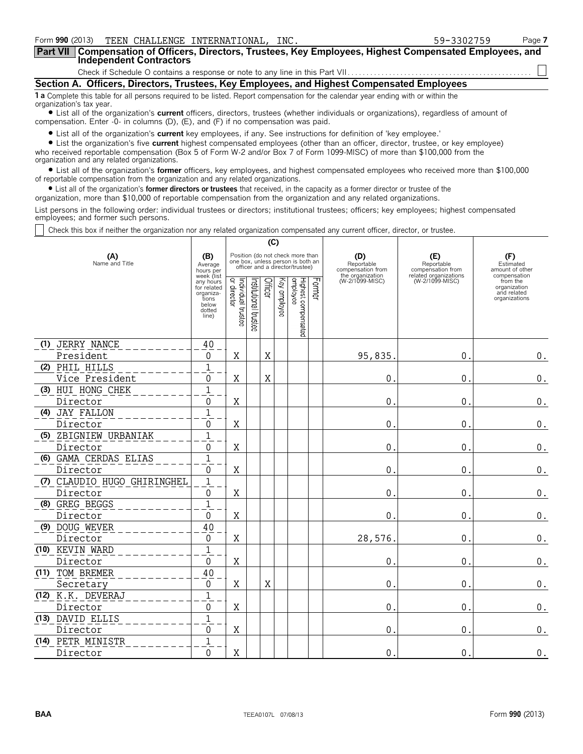| Form 990 (2013) TEEN CHALLENGE INTERNATIONAL, INC.                                                                                                                                                                             | 59-3302759 | Page 7 |  |  |  |  |  |  |
|--------------------------------------------------------------------------------------------------------------------------------------------------------------------------------------------------------------------------------|------------|--------|--|--|--|--|--|--|
| Part VII   Compensation of Officers, Directors, Trustees, Key Employees, Highest Compensated Employees, and<br><b>Independent Contractors</b>                                                                                  |            |        |  |  |  |  |  |  |
|                                                                                                                                                                                                                                |            |        |  |  |  |  |  |  |
| Section A. Officers, Directors, Trustees, Key Employees, and Highest Compensated Employees                                                                                                                                     |            |        |  |  |  |  |  |  |
| 1 a Complete this table for all persons required to be listed. Report compensation for the calendar year ending with or within the<br>organization's tax year.                                                                 |            |        |  |  |  |  |  |  |
| • List all of the organization's current officers, directors, trustees (whether individuals or organizations), regardless of amount of<br>compensation. Enter $-0$ - in columns (D), (E), and (F) if no compensation was paid. |            |        |  |  |  |  |  |  |

? List all of the organization's **current** key employees, if any. See instructions for definition of 'key employee.'

? List the organization's five **current** highest compensated employees (other than an officer, director, trustee, or key employee) who received reportable compensation (Box 5 of Form W-2 and/or Box 7 of Form 1099-MISC) of more than \$100,000 from the organization and any related organizations.

? List all of the organization's **former** officers, key employees, and highest compensated employees who received more than \$100,000 of reportable compensation from the organization and any related organizations.

? List all of the organization's **former directors or trustees** that received, in the capacity as a former director or trustee of the

organization, more than \$10,000 of reportable compensation from the organization and any related organizations.

List persons in the following order: individual trustees or directors; institutional trustees; officers; key employees; highest compensated employees; and former such persons.

Check this box if neither the organization nor any related organization compensated any current officer, director, or trustee.

|                       |                             |                                                                                          | (C)                          |                      |                            |  |                                                                                                          |                                        |                                     |                                          |                                                                          |
|-----------------------|-----------------------------|------------------------------------------------------------------------------------------|------------------------------|----------------------|----------------------------|--|----------------------------------------------------------------------------------------------------------|----------------------------------------|-------------------------------------|------------------------------------------|--------------------------------------------------------------------------|
| (A)<br>Name and Title |                             | (B)<br>Average<br>hours per                                                              |                              |                      |                            |  | Position (do not check more than<br>one box, unless person is both an<br>officer and a director/trustee) | (E)<br>Reportable<br>compensation from | (F)<br>Estimated<br>amount of other |                                          |                                                                          |
|                       |                             | week (list<br>any hours<br>for related<br>organiza-<br>tions<br>below<br>dotted<br>line) | ਼<br>Individual 1<br>trustee | nstitutional trustee | Officer<br>ζêλ<br>employee |  | Highest compensated<br> employee                                                                         | Former                                 | the organization<br>(W-2/1099-MISC) | related organizations<br>(W-2/1099-MISC) | compensation<br>from the<br>organization<br>and related<br>organizations |
|                       | (1) JERRY NANCE             | 40                                                                                       |                              |                      |                            |  |                                                                                                          |                                        |                                     |                                          |                                                                          |
|                       | President                   | 0                                                                                        | X                            |                      | X                          |  |                                                                                                          |                                        | 95,835                              | $\mathbf{0}$                             | $\boldsymbol{0}$ .                                                       |
|                       | (2) PHIL HILLS              | 1                                                                                        |                              |                      |                            |  |                                                                                                          |                                        |                                     |                                          |                                                                          |
|                       | Vice President              | 0                                                                                        | X                            |                      | X                          |  |                                                                                                          |                                        | $\mathbf 0$ .                       | 0.                                       | $\boldsymbol{0}$ .                                                       |
|                       | (3) HUI HONG CHEK           | $\overline{1}$                                                                           |                              |                      |                            |  |                                                                                                          |                                        |                                     |                                          |                                                                          |
|                       | Director                    | 0                                                                                        | X                            |                      |                            |  |                                                                                                          |                                        | $\mathbf{0}$ .                      | $\mathbf 0$                              | 0.                                                                       |
|                       | (4) JAY FALLON              | $\overline{1}$                                                                           |                              |                      |                            |  |                                                                                                          |                                        |                                     |                                          |                                                                          |
|                       | Director                    | 0                                                                                        | X                            |                      |                            |  |                                                                                                          |                                        | $\mathbf 0$ .                       | 0.                                       | $0$ .                                                                    |
|                       | (5) ZBIGNIEW URBANIAK       | $\mathbf{1}$                                                                             |                              |                      |                            |  |                                                                                                          |                                        |                                     |                                          |                                                                          |
|                       | Director                    | 0                                                                                        | X                            |                      |                            |  |                                                                                                          |                                        | $\mathbf{0}$ .                      | $\boldsymbol{0}$                         | $0$ .                                                                    |
|                       | (6) GAMA CERDAS ELIAS       | $\mathbf 1$                                                                              |                              |                      |                            |  |                                                                                                          |                                        |                                     |                                          |                                                                          |
|                       | Director                    | 0                                                                                        | X                            |                      |                            |  |                                                                                                          |                                        | $\mathbf{0}$ .                      | $\boldsymbol{0}$                         | $\boldsymbol{0}$ .                                                       |
|                       | (7) CLAUDIO HUGO GHIRINGHEL | $\overline{1}$                                                                           |                              |                      |                            |  |                                                                                                          |                                        |                                     |                                          |                                                                          |
|                       | Director                    | 0                                                                                        | Χ                            |                      |                            |  |                                                                                                          |                                        | $\mathbf{0}$ .                      | $\mathbf 0$                              | $0$ .                                                                    |
|                       | (8) GREG BEGGS              | $\mathbf 1$                                                                              |                              |                      |                            |  |                                                                                                          |                                        |                                     |                                          |                                                                          |
|                       | Director                    | 0                                                                                        | X                            |                      |                            |  |                                                                                                          |                                        | $\theta$ .                          | 0                                        | $0$ .                                                                    |
|                       | (9) DOUG WEVER              | 40                                                                                       |                              |                      |                            |  |                                                                                                          |                                        |                                     |                                          |                                                                          |
|                       | Director                    | 0                                                                                        | X                            |                      |                            |  |                                                                                                          |                                        | 28,576.                             | $\mathbf{0}$                             | 0.                                                                       |
|                       | (10) KEVIN WARD             | $\mathbf 1$                                                                              |                              |                      |                            |  |                                                                                                          |                                        |                                     |                                          |                                                                          |
|                       | Director                    | $\pmb{0}$                                                                                | Χ                            |                      |                            |  |                                                                                                          |                                        | $\mathbf 0$ .                       | 0.                                       | 0.                                                                       |
|                       | (11) TOM BREMER             | 40                                                                                       |                              |                      |                            |  |                                                                                                          |                                        |                                     |                                          |                                                                          |
|                       | Secretary                   | $\mathbf 0$                                                                              | X                            |                      | X                          |  |                                                                                                          |                                        | $\theta$ .                          | 0.                                       | $0$ .                                                                    |
|                       | (12) K.K. DEVERAJ           | $\overline{1}$                                                                           |                              |                      |                            |  |                                                                                                          |                                        |                                     |                                          |                                                                          |
|                       | Director                    | 0                                                                                        | X                            |                      |                            |  |                                                                                                          |                                        | $\mathbf 0$ .                       | 0.                                       | 0.                                                                       |
|                       | (13) DAVID ELLIS            | $\mathbf{1}$                                                                             |                              |                      |                            |  |                                                                                                          |                                        |                                     |                                          |                                                                          |
|                       | Director                    | 0                                                                                        | X                            |                      |                            |  |                                                                                                          |                                        | $\mathbf{0}$ .                      | $\mathbf 0$                              | $\boldsymbol{0}$ .                                                       |
|                       | (14) PETR MINISTR           | $\mathbf{1}$                                                                             |                              |                      |                            |  |                                                                                                          |                                        |                                     |                                          |                                                                          |
|                       | Director                    | 0                                                                                        | X                            |                      |                            |  |                                                                                                          |                                        | $\mathbf{0}$ .                      | 0.                                       | $\boldsymbol{0}$ .                                                       |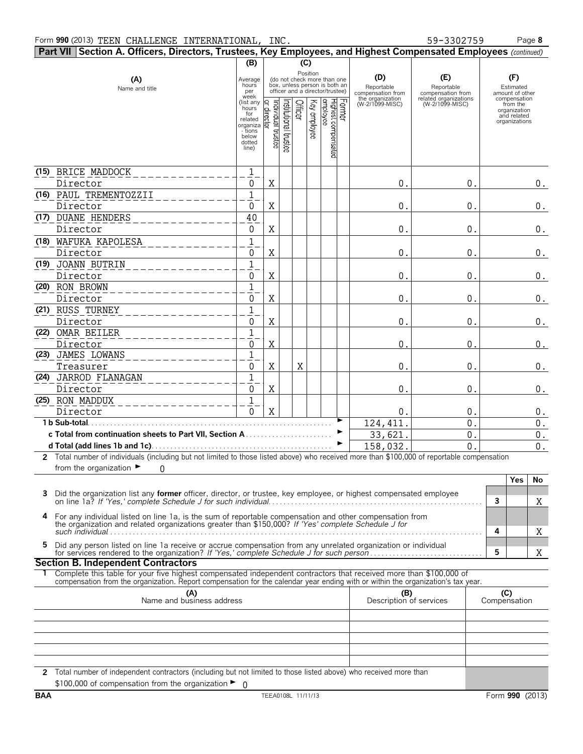|    | Part VII Section A. Officers, Directors, Trustees, Key Employees, and Highest Compensated Employees (continued)                                                                                                                                          |                                                  |             |                      |         |              |                                                                                                 |  |                                                            |                                                                                    |   |                                                          |       |
|----|----------------------------------------------------------------------------------------------------------------------------------------------------------------------------------------------------------------------------------------------------------|--------------------------------------------------|-------------|----------------------|---------|--------------|-------------------------------------------------------------------------------------------------|--|------------------------------------------------------------|------------------------------------------------------------------------------------|---|----------------------------------------------------------|-------|
|    |                                                                                                                                                                                                                                                          | (B)                                              |             |                      | (C)     |              |                                                                                                 |  |                                                            |                                                                                    |   |                                                          |       |
|    | (A)<br>Name and title                                                                                                                                                                                                                                    | Average<br>hours<br>per<br>week                  |             |                      |         | Position     | (do not check more than one<br>box, unless person is both an<br>officer and a director/trustee) |  | (D)<br>Reportable<br>compensation from<br>the organization | (E)<br>Reportable<br>compensation from<br>related organizations<br>(W-2/1099-MISC) |   | (F)<br>Estimated<br>amount of other<br>compensation      |       |
|    |                                                                                                                                                                                                                                                          | (list any<br>hours<br>for<br>related<br>organiza | Individual  | rstitutional trustee | Officer | Key employee |                                                                                                 |  | (W-2/1099-MISC)                                            |                                                                                    |   | from the<br>organization<br>and related<br>organizations |       |
|    |                                                                                                                                                                                                                                                          | - tions<br>below                                 |             |                      |         |              |                                                                                                 |  |                                                            |                                                                                    |   |                                                          |       |
|    |                                                                                                                                                                                                                                                          | dotted<br>line)                                  | trustee     |                      |         |              | Former<br>Highest compensated<br>employee                                                       |  |                                                            |                                                                                    |   |                                                          |       |
|    | (15) BRICE MADDOCK                                                                                                                                                                                                                                       | 1                                                |             |                      |         |              |                                                                                                 |  |                                                            |                                                                                    |   |                                                          |       |
|    | Director                                                                                                                                                                                                                                                 | 0                                                | X           |                      |         |              |                                                                                                 |  | 0.                                                         | 0.                                                                                 |   |                                                          | $0$ . |
|    | (16) PAUL TREMENTOZZII                                                                                                                                                                                                                                   | 1                                                |             |                      |         |              |                                                                                                 |  |                                                            |                                                                                    |   |                                                          |       |
|    | Director<br>(17) DUANE HENDERS                                                                                                                                                                                                                           | 0                                                | X           |                      |         |              |                                                                                                 |  | 0.                                                         | 0.                                                                                 |   |                                                          | 0.    |
|    | Director                                                                                                                                                                                                                                                 | 40<br>0                                          | X           |                      |         |              |                                                                                                 |  | 0.                                                         | 0.                                                                                 |   |                                                          | $0$ . |
|    | (18) WAFUKA KAPOLESA                                                                                                                                                                                                                                     | $\mathbf{1}$                                     |             |                      |         |              |                                                                                                 |  |                                                            |                                                                                    |   |                                                          |       |
|    | Director                                                                                                                                                                                                                                                 | 0                                                | X           |                      |         |              |                                                                                                 |  | 0.                                                         | 0.                                                                                 |   |                                                          | $0$ . |
|    | (19) JOANN BUTRIN                                                                                                                                                                                                                                        | $\mathbf{1}$                                     |             |                      |         |              |                                                                                                 |  |                                                            |                                                                                    |   |                                                          |       |
|    | Director                                                                                                                                                                                                                                                 | 0                                                | X           |                      |         |              |                                                                                                 |  | 0.                                                         | 0.                                                                                 |   |                                                          | $0$ . |
|    | (20) RON BROWN                                                                                                                                                                                                                                           | $\mathbf{1}$                                     |             |                      |         |              |                                                                                                 |  |                                                            |                                                                                    |   |                                                          |       |
|    | Director                                                                                                                                                                                                                                                 | 0                                                | X           |                      |         |              |                                                                                                 |  | $0$ .                                                      | 0.                                                                                 |   |                                                          | $0$ . |
|    | (21) RUSS TURNEY                                                                                                                                                                                                                                         | $\mathbf{1}$                                     |             |                      |         |              |                                                                                                 |  |                                                            |                                                                                    |   |                                                          |       |
|    | Director                                                                                                                                                                                                                                                 | 0                                                | X           |                      |         |              |                                                                                                 |  | 0.                                                         | 0.                                                                                 |   |                                                          | $0$ . |
|    | (22) OMAR BEILER                                                                                                                                                                                                                                         | $\mathbf{1}$<br>0                                | X           |                      |         |              |                                                                                                 |  | 0                                                          | $\Omega$                                                                           |   |                                                          |       |
|    | Director<br>(23) JAMES LOWANS                                                                                                                                                                                                                            | 1                                                |             |                      |         |              |                                                                                                 |  |                                                            |                                                                                    |   |                                                          | 0.    |
|    | Treasurer                                                                                                                                                                                                                                                | 0                                                | X           |                      | X       |              |                                                                                                 |  | 0.                                                         | 0.                                                                                 |   |                                                          | $0$ . |
|    | (24) JARROD FLANAGAN                                                                                                                                                                                                                                     | 1                                                |             |                      |         |              |                                                                                                 |  |                                                            |                                                                                    |   |                                                          |       |
|    | Director                                                                                                                                                                                                                                                 | 0                                                | X           |                      |         |              |                                                                                                 |  | 0.                                                         | 0.                                                                                 |   |                                                          | 0.    |
|    | (25) RON MADDUX                                                                                                                                                                                                                                          | 1                                                |             |                      |         |              |                                                                                                 |  |                                                            |                                                                                    |   |                                                          |       |
|    | Director                                                                                                                                                                                                                                                 | $\Omega$                                         | $\mathbf X$ |                      |         |              |                                                                                                 |  | 0.                                                         | 0.                                                                                 |   |                                                          | $0$ . |
|    | 1 b Sub-total.                                                                                                                                                                                                                                           |                                                  |             |                      |         |              |                                                                                                 |  | 124, 411.                                                  | $\mathbf{0}$                                                                       |   |                                                          | $0$ . |
|    |                                                                                                                                                                                                                                                          |                                                  |             |                      |         |              |                                                                                                 |  | 33,621.                                                    | 0.<br>0                                                                            |   |                                                          | $0$ . |
|    | 2 Total number of individuals (including but not limited to those listed above) who received more than \$100,000 of reportable compensation                                                                                                              |                                                  |             |                      |         |              |                                                                                                 |  | 158,032                                                    |                                                                                    |   |                                                          | 0.    |
|    | from the organization $\blacktriangleright$<br>$\Omega$                                                                                                                                                                                                  |                                                  |             |                      |         |              |                                                                                                 |  |                                                            |                                                                                    |   |                                                          |       |
|    |                                                                                                                                                                                                                                                          |                                                  |             |                      |         |              |                                                                                                 |  |                                                            |                                                                                    |   | Yes                                                      | No    |
|    | Did the organization list any <b>former</b> officer, director, or trustee, key employee, or highest compensated employee                                                                                                                                 |                                                  |             |                      |         |              |                                                                                                 |  |                                                            |                                                                                    |   |                                                          |       |
|    |                                                                                                                                                                                                                                                          |                                                  |             |                      |         |              |                                                                                                 |  |                                                            |                                                                                    | 3 |                                                          | Χ     |
| 4  | For any individual listed on line 1a, is the sum of reportable compensation and other compensation from                                                                                                                                                  |                                                  |             |                      |         |              |                                                                                                 |  |                                                            |                                                                                    |   |                                                          |       |
|    | the organization and related organizations greater than \$150,000? If 'Yes' complete Schedule J for                                                                                                                                                      |                                                  |             |                      |         |              |                                                                                                 |  |                                                            |                                                                                    | 4 |                                                          | Χ     |
| 5. | Did any person listed on line 1a receive or accrue compensation from any unrelated organization or individual                                                                                                                                            |                                                  |             |                      |         |              |                                                                                                 |  |                                                            |                                                                                    |   |                                                          |       |
|    |                                                                                                                                                                                                                                                          |                                                  |             |                      |         |              |                                                                                                 |  |                                                            |                                                                                    | 5 |                                                          | Χ     |
|    | <b>Section B. Independent Contractors</b>                                                                                                                                                                                                                |                                                  |             |                      |         |              |                                                                                                 |  |                                                            |                                                                                    |   |                                                          |       |
|    | 1 Complete this table for your five highest compensated independent contractors that received more than \$100,000 of<br>compensation from the organization. Report compensation for the calendar year ending with or within the organization's tax year. |                                                  |             |                      |         |              |                                                                                                 |  |                                                            |                                                                                    |   |                                                          |       |
|    | (A)<br>Name and business address<br>(B)<br>(C)<br>Compensation<br>Description of services                                                                                                                                                                |                                                  |             |                      |         |              |                                                                                                 |  |                                                            |                                                                                    |   |                                                          |       |
|    |                                                                                                                                                                                                                                                          |                                                  |             |                      |         |              |                                                                                                 |  |                                                            |                                                                                    |   |                                                          |       |
|    |                                                                                                                                                                                                                                                          |                                                  |             |                      |         |              |                                                                                                 |  |                                                            |                                                                                    |   |                                                          |       |
|    |                                                                                                                                                                                                                                                          |                                                  |             |                      |         |              |                                                                                                 |  |                                                            |                                                                                    |   |                                                          |       |
|    |                                                                                                                                                                                                                                                          |                                                  |             |                      |         |              |                                                                                                 |  |                                                            |                                                                                    |   |                                                          |       |
|    |                                                                                                                                                                                                                                                          |                                                  |             |                      |         |              |                                                                                                 |  |                                                            |                                                                                    |   |                                                          |       |

**2** Total number of independent contractors (including but not limited to those listed above) who received more than \$100,000 of compensation from the organization ► 0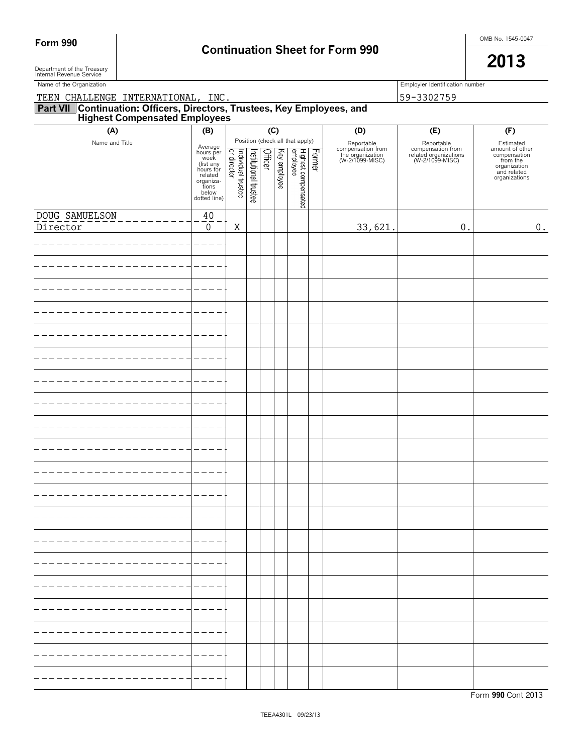# Form 990 **Continuation Sheet for Form 990 Continuation Sheet for Form 990**

Department of the Treasury  $\vert$ Department of the Treasury<br>Internal Revenue Service

| Name of the Organization                                                                                      |                                                                                                          |                                   |                       |         |              |                                                                              |        |                                                                        | Employler Identification number                                             |                                                                                                          |  |  |
|---------------------------------------------------------------------------------------------------------------|----------------------------------------------------------------------------------------------------------|-----------------------------------|-----------------------|---------|--------------|------------------------------------------------------------------------------|--------|------------------------------------------------------------------------|-----------------------------------------------------------------------------|----------------------------------------------------------------------------------------------------------|--|--|
| TEEN CHALLENGE INTERNATIONAL, INC.                                                                            |                                                                                                          |                                   |                       |         |              |                                                                              |        |                                                                        | 59-3302759                                                                  |                                                                                                          |  |  |
| <b>Part VII Continuation: Officers, Directors, Trustees, Key Employees, and Highest Compensated Employees</b> |                                                                                                          |                                   |                       |         |              |                                                                              |        |                                                                        |                                                                             |                                                                                                          |  |  |
| (A)                                                                                                           | (B)                                                                                                      |                                   |                       |         | (C)          |                                                                              |        | (D)                                                                    | (E)                                                                         | (F)                                                                                                      |  |  |
| Name and Title                                                                                                | Average<br>hours per<br>(list any<br>hours for<br>related<br>organiza-<br>tions<br>below<br>dotted line) | Individual trustee<br>or director | Institutional trustee | Officer | Key employee | Position (check all that apply)<br>əə <i>f</i> oldulə<br>Highest compensated | Former | Reportable<br>compensation from<br>the organization<br>(W-2/1099-MISC) | Reportable<br>compensation from<br>related organizations<br>(W-2/1099-MISC) | Estimated<br>amount of other<br>compensation<br>from the<br>organization<br>and related<br>organizations |  |  |
| DOUG SAMUELSON                                                                                                | 40                                                                                                       |                                   |                       |         |              |                                                                              |        |                                                                        |                                                                             |                                                                                                          |  |  |
| Director                                                                                                      | $\mathbf 0$                                                                                              | X                                 |                       |         |              |                                                                              |        | 33,621.                                                                | $\mathbf 0$ .                                                               | $\boldsymbol{0}$ .                                                                                       |  |  |
|                                                                                                               |                                                                                                          |                                   |                       |         |              |                                                                              |        |                                                                        |                                                                             |                                                                                                          |  |  |
|                                                                                                               |                                                                                                          |                                   |                       |         |              |                                                                              |        |                                                                        |                                                                             |                                                                                                          |  |  |
|                                                                                                               |                                                                                                          |                                   |                       |         |              |                                                                              |        |                                                                        |                                                                             |                                                                                                          |  |  |
|                                                                                                               |                                                                                                          |                                   |                       |         |              |                                                                              |        |                                                                        |                                                                             |                                                                                                          |  |  |
|                                                                                                               |                                                                                                          |                                   |                       |         |              |                                                                              |        |                                                                        |                                                                             |                                                                                                          |  |  |
|                                                                                                               |                                                                                                          |                                   |                       |         |              |                                                                              |        |                                                                        |                                                                             |                                                                                                          |  |  |
|                                                                                                               |                                                                                                          |                                   |                       |         |              |                                                                              |        |                                                                        |                                                                             |                                                                                                          |  |  |
|                                                                                                               |                                                                                                          |                                   |                       |         |              |                                                                              |        |                                                                        |                                                                             |                                                                                                          |  |  |
|                                                                                                               |                                                                                                          |                                   |                       |         |              |                                                                              |        |                                                                        |                                                                             |                                                                                                          |  |  |
|                                                                                                               |                                                                                                          |                                   |                       |         |              |                                                                              |        |                                                                        |                                                                             |                                                                                                          |  |  |
|                                                                                                               |                                                                                                          |                                   |                       |         |              |                                                                              |        |                                                                        |                                                                             |                                                                                                          |  |  |
|                                                                                                               |                                                                                                          |                                   |                       |         |              |                                                                              |        |                                                                        |                                                                             |                                                                                                          |  |  |
|                                                                                                               |                                                                                                          |                                   |                       |         |              |                                                                              |        |                                                                        |                                                                             |                                                                                                          |  |  |
|                                                                                                               |                                                                                                          |                                   |                       |         |              |                                                                              |        |                                                                        |                                                                             |                                                                                                          |  |  |
|                                                                                                               |                                                                                                          |                                   |                       |         |              |                                                                              |        |                                                                        |                                                                             |                                                                                                          |  |  |
|                                                                                                               |                                                                                                          |                                   |                       |         |              |                                                                              |        |                                                                        |                                                                             |                                                                                                          |  |  |
|                                                                                                               |                                                                                                          |                                   |                       |         |              |                                                                              |        |                                                                        |                                                                             |                                                                                                          |  |  |
|                                                                                                               |                                                                                                          |                                   |                       |         |              |                                                                              |        |                                                                        |                                                                             |                                                                                                          |  |  |
|                                                                                                               |                                                                                                          |                                   |                       |         |              |                                                                              |        |                                                                        |                                                                             |                                                                                                          |  |  |
|                                                                                                               |                                                                                                          |                                   |                       |         |              |                                                                              |        |                                                                        |                                                                             |                                                                                                          |  |  |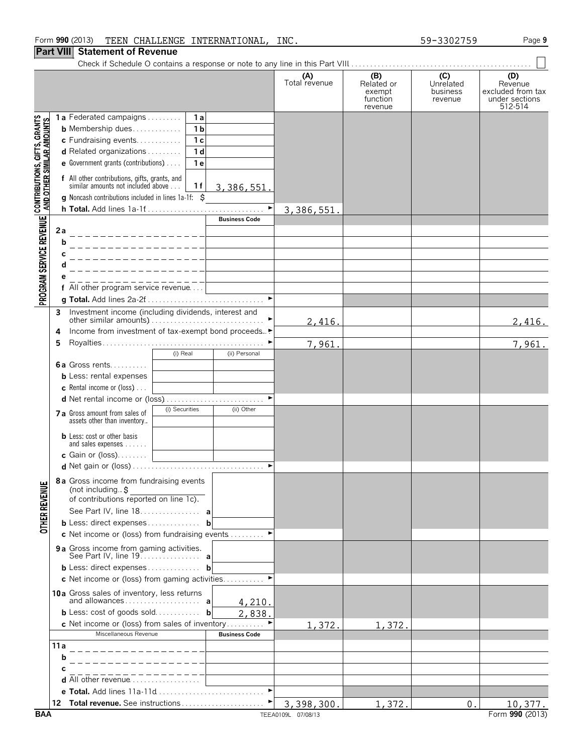#### **Part VIII Statement of Revenue**

Check if Schedule O contains a response or note to any line in this Part VIII. . . . . . . . . . . . . . . . . . . . . . . . . . . . . . . . . . . . . . . . . . . . . . . . .

|                                                           |      |                                                                                                                                                                                                                                                                                                                              | (A)<br>Total revenue | (B)<br>Related or<br>exempt<br>function<br>revenue | (C)<br>Unrelated<br>business<br>revenue | (D)<br>Revenue<br>excluded from tax<br>under sections<br>512-514 |
|-----------------------------------------------------------|------|------------------------------------------------------------------------------------------------------------------------------------------------------------------------------------------------------------------------------------------------------------------------------------------------------------------------------|----------------------|----------------------------------------------------|-----------------------------------------|------------------------------------------------------------------|
| CONTRIBUTIONS, GIFTS, GRANTS<br>AND OTHER SIMILAR AMOUNTS |      | 1a Federated campaigns<br>1 a<br>1 <sub>b</sub><br><b>b</b> Membership dues<br>c Fundraising events<br>1 <sub>c</sub><br>d Related organizations<br>1 <sub>d</sub><br>e Government grants (contributions)<br>1 e<br>f All other contributions, gifts, grants, and<br>similar amounts not included above<br>1 f<br>3,386,551. |                      |                                                    |                                         |                                                                  |
|                                                           |      | <b>g</b> Noncash contributions included in lines $1a-1f$ : $\overline{S}$<br>$\blacktriangleright$                                                                                                                                                                                                                           |                      |                                                    |                                         |                                                                  |
|                                                           |      | <b>Business Code</b>                                                                                                                                                                                                                                                                                                         | 3,386,551            |                                                    |                                         |                                                                  |
| PROGRAM SERVICE REVENUE                                   | 2a   | ________________                                                                                                                                                                                                                                                                                                             |                      |                                                    |                                         |                                                                  |
|                                                           | b    |                                                                                                                                                                                                                                                                                                                              |                      |                                                    |                                         |                                                                  |
|                                                           |      |                                                                                                                                                                                                                                                                                                                              |                      |                                                    |                                         |                                                                  |
|                                                           |      |                                                                                                                                                                                                                                                                                                                              |                      |                                                    |                                         |                                                                  |
|                                                           |      | f All other program service revenue                                                                                                                                                                                                                                                                                          |                      |                                                    |                                         |                                                                  |
|                                                           |      |                                                                                                                                                                                                                                                                                                                              |                      |                                                    |                                         |                                                                  |
|                                                           | 3    | Investment income (including dividends, interest and                                                                                                                                                                                                                                                                         |                      |                                                    |                                         |                                                                  |
|                                                           |      |                                                                                                                                                                                                                                                                                                                              | 2,416.               |                                                    |                                         | 2,416.                                                           |
|                                                           | 4    | Income from investment of tax-exempt bond proceeds▶                                                                                                                                                                                                                                                                          |                      |                                                    |                                         |                                                                  |
|                                                           | 5    | (i) Real<br>(ii) Personal                                                                                                                                                                                                                                                                                                    | 7,961.               |                                                    |                                         | 7,961.                                                           |
|                                                           |      | <b>6a</b> Gross rents<br><b>b</b> Less: rental expenses<br><b>c</b> Rental income or (loss) $\ldots$                                                                                                                                                                                                                         |                      |                                                    |                                         |                                                                  |
|                                                           |      | d Net rental income or (loss)<br>(i) Securities<br>(ii) Other                                                                                                                                                                                                                                                                |                      |                                                    |                                         |                                                                  |
|                                                           |      | 7 a Gross amount from sales of<br>assets other than inventory                                                                                                                                                                                                                                                                |                      |                                                    |                                         |                                                                  |
|                                                           |      | <b>b</b> Less: cost or other basis<br>and sales expenses $\dots$<br>c Gain or $(\text{loss})$                                                                                                                                                                                                                                |                      |                                                    |                                         |                                                                  |
|                                                           |      |                                                                                                                                                                                                                                                                                                                              |                      |                                                    |                                         |                                                                  |
| <b>ENUE</b>                                               |      | 8a Gross income from fundraising events<br>(not including. $\ddot{s}$<br>of contributions reported on line 1c).                                                                                                                                                                                                              |                      |                                                    |                                         |                                                                  |
|                                                           |      | See Part IV, line 18. a                                                                                                                                                                                                                                                                                                      |                      |                                                    |                                         |                                                                  |
| <b>OTHER RET</b>                                          |      | <b>b</b> Less: direct expenses<br>b                                                                                                                                                                                                                                                                                          |                      |                                                    |                                         |                                                                  |
|                                                           |      | c Net income or (loss) from fundraising events $\dots\dots\dots$                                                                                                                                                                                                                                                             |                      |                                                    |                                         |                                                                  |
|                                                           |      | 9a Gross income from gaming activities.<br>See Part IV, line 19. a                                                                                                                                                                                                                                                           |                      |                                                    |                                         |                                                                  |
|                                                           |      | <b>b</b> Less: direct expenses<br>b                                                                                                                                                                                                                                                                                          |                      |                                                    |                                         |                                                                  |
|                                                           |      | <b>c</b> Net income or (loss) from gaming activities                                                                                                                                                                                                                                                                         |                      |                                                    |                                         |                                                                  |
|                                                           |      | 10a Gross sales of inventory, less returns<br>4,210.                                                                                                                                                                                                                                                                         |                      |                                                    |                                         |                                                                  |
|                                                           |      | <b>b</b> Less: $cost$ of goods $sold$<br>2,838.<br>$\mathbf b$                                                                                                                                                                                                                                                               |                      |                                                    |                                         |                                                                  |
|                                                           |      | c Net income or (loss) from sales of inventory                                                                                                                                                                                                                                                                               | 1,372.               | 1,372.                                             |                                         |                                                                  |
|                                                           | 11 a | Miscellaneous Revenue<br><b>Business Code</b>                                                                                                                                                                                                                                                                                |                      |                                                    |                                         |                                                                  |
|                                                           | b    |                                                                                                                                                                                                                                                                                                                              |                      |                                                    |                                         |                                                                  |
|                                                           |      |                                                                                                                                                                                                                                                                                                                              |                      |                                                    |                                         |                                                                  |
|                                                           |      | d All other revenue                                                                                                                                                                                                                                                                                                          |                      |                                                    |                                         |                                                                  |
|                                                           |      |                                                                                                                                                                                                                                                                                                                              |                      |                                                    |                                         |                                                                  |
|                                                           | 12   | Total revenue. See instructions                                                                                                                                                                                                                                                                                              | 3,398,300.           | 1,372                                              | 0.                                      | 10,377.                                                          |
| BAA                                                       |      |                                                                                                                                                                                                                                                                                                                              | TEEA0109L 07/08/13   |                                                    |                                         | Form 990 (2013)                                                  |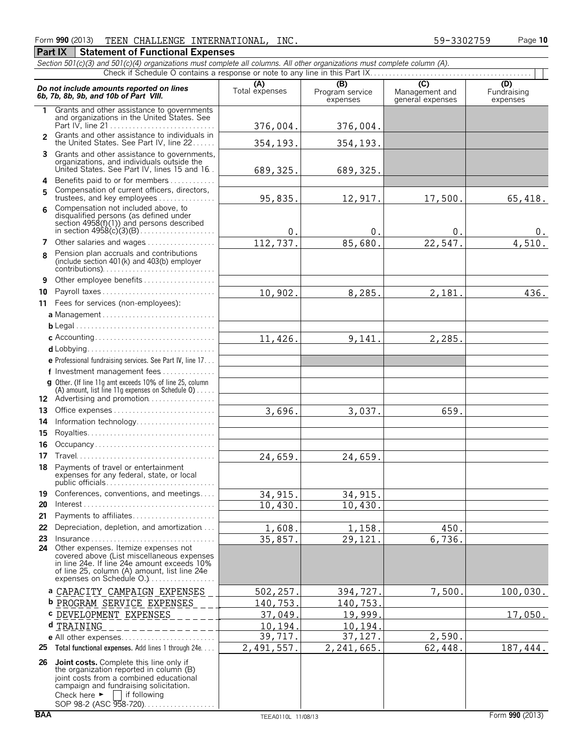#### **Part IX Statement of Functional Expenses**

*Section 501(c)(3) and 501(c)(4) organizations must complete all columns. All other organizations must complete column (A).*

|               | Do not include amounts reported on lines<br>6b, 7b, 8b, 9b, and 10b of Part VIII.                                                                                                                                                                            | (A)<br>Total expenses | (B)<br>Program service<br>expenses | (C)<br>Management and<br>general expenses | (D)<br>Fundraising<br>expenses |
|---------------|--------------------------------------------------------------------------------------------------------------------------------------------------------------------------------------------------------------------------------------------------------------|-----------------------|------------------------------------|-------------------------------------------|--------------------------------|
| 1.            | Grants and other assistance to governments<br>and organizations in the United States. See                                                                                                                                                                    | 376,004.              | 376,004.                           |                                           |                                |
| $\mathcal{P}$ | Grants and other assistance to individuals in<br>the United States. See Part IV, line 22                                                                                                                                                                     | 354, 193.             | 354,193.                           |                                           |                                |
|               | 3 Grants and other assistance to governments,<br>organizations, and individuals outside the<br>United States. See Part IV, lines 15 and 16.                                                                                                                  | 689, 325.             | 689, 325.                          |                                           |                                |
| 5             | 4 Benefits paid to or for members<br>Compensation of current officers, directors,<br>trustees, and key employees                                                                                                                                             | 95,835.               | 12,917.                            | 17,500.                                   | 65,418.                        |
| 6             | Compensation not included above, to<br>disqualified persons (as defined under<br>section $4958(f)(1)$ and persons described                                                                                                                                  | $\theta$ .            | $0$ .                              | 0.                                        | υ.                             |
| 7             | Other salaries and wages                                                                                                                                                                                                                                     | 112,737.              | 85,680.                            | 22,547.                                   | 4,510.                         |
| 8             | Pension plan accruals and contributions<br>(include section 401(k) and 403(b) employer                                                                                                                                                                       |                       |                                    |                                           |                                |
| 9             | Other employee benefits                                                                                                                                                                                                                                      |                       |                                    |                                           |                                |
| 10            | Payroll taxes                                                                                                                                                                                                                                                | 10,902.               | 8,285.                             | 2,181.                                    | 436.                           |
|               | 11 Fees for services (non-employees):                                                                                                                                                                                                                        |                       |                                    |                                           |                                |
|               |                                                                                                                                                                                                                                                              |                       |                                    |                                           |                                |
|               |                                                                                                                                                                                                                                                              |                       |                                    |                                           |                                |
|               |                                                                                                                                                                                                                                                              | 11,426.               | 9,141.                             | 2,285.                                    |                                |
|               |                                                                                                                                                                                                                                                              |                       |                                    |                                           |                                |
|               | e Professional fundraising services. See Part IV, line 17                                                                                                                                                                                                    |                       |                                    |                                           |                                |
|               | f Investment management fees                                                                                                                                                                                                                                 |                       |                                    |                                           |                                |
|               | g Other. (If line 11g amt exceeds 10% of line 25, column<br>(A) amount, list line 11g expenses on Schedule $0$ )<br>12 Advertising and promotion                                                                                                             |                       |                                    |                                           |                                |
| 13            |                                                                                                                                                                                                                                                              | 3,696.                | 3,037.                             | 659.                                      |                                |
| 14            | Information technology                                                                                                                                                                                                                                       |                       |                                    |                                           |                                |
| 15            |                                                                                                                                                                                                                                                              |                       |                                    |                                           |                                |
|               | Occupancy                                                                                                                                                                                                                                                    |                       |                                    |                                           |                                |
| 16            |                                                                                                                                                                                                                                                              |                       |                                    |                                           |                                |
| 17            |                                                                                                                                                                                                                                                              | 24,659.               | 24,659.                            |                                           |                                |
| 18            | Payments of travel or entertainment<br>expenses for any federal, state, or local                                                                                                                                                                             |                       |                                    |                                           |                                |
|               | 19 Conferences, conventions, and meetings                                                                                                                                                                                                                    | 34,915                | 34,915                             |                                           |                                |
| 20            | $Interest \dots \dots \dots \dots \dots \dots \dots \dots \dots \dots \dots \dots \dots \dots \dots$                                                                                                                                                         | 10,430.               | 10,430.                            |                                           |                                |
| 21            | Payments to affiliates                                                                                                                                                                                                                                       |                       |                                    |                                           |                                |
| 22            | Depreciation, depletion, and amortization                                                                                                                                                                                                                    | 1,608.                | 1,158.                             | 450.                                      |                                |
| 23            | $insurance \ldots \ldots \ldots \ldots \ldots \ldots \ldots \ldots \ldots$                                                                                                                                                                                   | 35,857.               | 29,121.                            | 6,736.                                    |                                |
|               | 24 Other expenses. Itemize expenses not<br>covered above (List miscellaneous expenses<br>in line 24e. If line 24e amount exceeds 10%<br>of line 25, column (A) amount, list line 24e<br>expenses on Schedule O.)                                             |                       |                                    |                                           |                                |
|               | a CAPACITY CAMPAIGN EXPENSES                                                                                                                                                                                                                                 | 502,257.              | 394,727.                           | 7,500                                     | 100,030.                       |
|               | <b>b</b> PROGRAM SERVICE EXPENSES                                                                                                                                                                                                                            | 140,753.              | 140,753.                           |                                           |                                |
|               | C DEVELOPMENT EXPENSES                                                                                                                                                                                                                                       | 37,049.               | 19,999.                            |                                           | 17,050.                        |
|               | d TRAINING                                                                                                                                                                                                                                                   | 10,194.               | 10,194.                            |                                           |                                |
|               |                                                                                                                                                                                                                                                              | 39,717.               | 37,127.                            | 2,590.                                    |                                |
| 25            | Total functional expenses. Add lines 1 through 24e                                                                                                                                                                                                           | 2,491,557.            | 2,241,665.                         | 62,448.                                   | 187,444.                       |
| 26            | <b>Joint costs.</b> Complete this line only if<br>the organization reported in column (B)<br>joint costs from a combined educational<br>campaign and fundraising solicitation.<br>Check here $\blacktriangleright$<br>if following<br>SOP 98-2 (ASC 958-720) |                       |                                    |                                           |                                |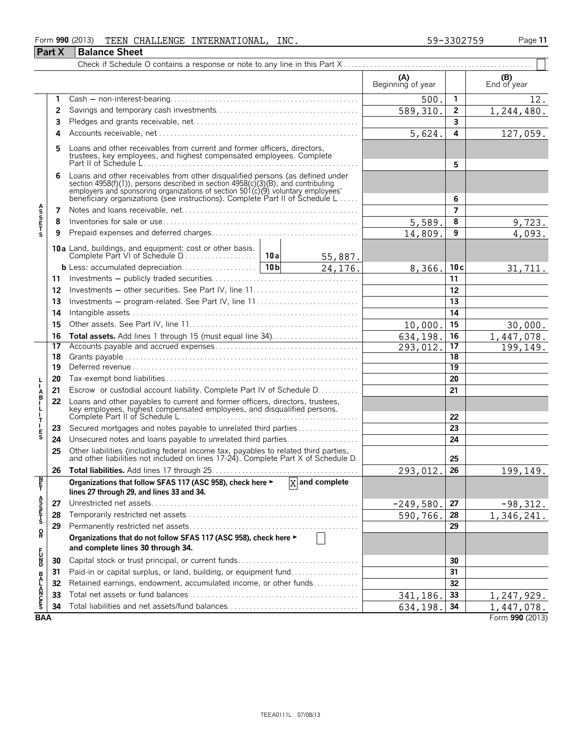#### Form **990** (2013) Page **11** TEEN CHALLENGE INTERNATIONAL, INC. 59-3302759

|                           |    |                                                                                                                                                                                                                                                                                                                      |                        |         | (A)<br>Beginning of year |                | (B)<br>End of year |  |  |
|---------------------------|----|----------------------------------------------------------------------------------------------------------------------------------------------------------------------------------------------------------------------------------------------------------------------------------------------------------------------|------------------------|---------|--------------------------|----------------|--------------------|--|--|
|                           | 1  |                                                                                                                                                                                                                                                                                                                      |                        |         | 500                      | $\mathbf{1}$   | 12.                |  |  |
|                           | 2  |                                                                                                                                                                                                                                                                                                                      |                        |         | 589,310.                 | 2              | 1, 244, 480.       |  |  |
|                           | 3  |                                                                                                                                                                                                                                                                                                                      |                        |         |                          | 3              |                    |  |  |
|                           | 4  |                                                                                                                                                                                                                                                                                                                      |                        |         | 5,624.                   | 4              | 127,059.           |  |  |
|                           | 5  | Loans and other receivables from current and former officers, directors,<br>trustees, key employees, and highest compensated employees. Complete                                                                                                                                                                     |                        |         |                          | 5              |                    |  |  |
|                           | 6  | Loans and other receivables from other disqualified persons (as defined under<br>section 4958(f)(1)), persons described in section 4958(c)(3)(B), and contributing<br>employers and sponsoring organizations of section 501(c)(9) voluntary employees'<br>beneficiary organizations (see instructions). Complete Par |                        |         |                          | 6              |                    |  |  |
|                           | 7  |                                                                                                                                                                                                                                                                                                                      |                        |         |                          | $\overline{7}$ |                    |  |  |
| <b>ASSETS</b>             | 8  |                                                                                                                                                                                                                                                                                                                      | 5,589.                 | 8       | 9,723.                   |                |                    |  |  |
|                           | 9  |                                                                                                                                                                                                                                                                                                                      |                        |         | 14,809.                  | 9              | 4,093.             |  |  |
|                           |    | 10a Land, buildings, and equipment: cost or other basis.<br>Complete Part VI of Schedule D                                                                                                                                                                                                                           | 10a                    | 55,887. |                          |                |                    |  |  |
|                           |    | b Less: accumulated depreciation                                                                                                                                                                                                                                                                                     | 10 <sub>b</sub>        | 24,176. | 8,366.                   | 10c            | 31,711.            |  |  |
|                           | 11 |                                                                                                                                                                                                                                                                                                                      |                        |         |                          |                |                    |  |  |
|                           | 12 |                                                                                                                                                                                                                                                                                                                      |                        |         |                          | 11<br>12       |                    |  |  |
|                           | 13 | Investments - program-related. See Part IV, line 11                                                                                                                                                                                                                                                                  |                        | 13      |                          |                |                    |  |  |
|                           | 14 |                                                                                                                                                                                                                                                                                                                      |                        | 14      |                          |                |                    |  |  |
|                           | 15 |                                                                                                                                                                                                                                                                                                                      | 10,000                 | 15      | 30,000.                  |                |                    |  |  |
|                           | 16 | Total assets. Add lines 1 through 15 (must equal line 34)                                                                                                                                                                                                                                                            | 634,198                | 16      | 1,447,078.               |                |                    |  |  |
|                           | 17 |                                                                                                                                                                                                                                                                                                                      | $\overline{293,012}$ . | 17      | $\overline{199,149}$ .   |                |                    |  |  |
|                           | 18 |                                                                                                                                                                                                                                                                                                                      |                        | 18      |                          |                |                    |  |  |
|                           | 19 |                                                                                                                                                                                                                                                                                                                      |                        |         |                          | 19             |                    |  |  |
| $\frac{1}{1}$             | 20 |                                                                                                                                                                                                                                                                                                                      |                        | 20      |                          |                |                    |  |  |
|                           | 21 | Escrow or custodial account liability. Complete Part IV of Schedule D.                                                                                                                                                                                                                                               |                        |         |                          | 21             |                    |  |  |
| ABILITI                   | 22 | Loans and other payables to current and former officers, directors, trustees,<br>key employees, highest compensated employees, and disqualified persons.                                                                                                                                                             |                        |         |                          | 22             |                    |  |  |
|                           | 23 | Secured mortgages and notes payable to unrelated third parties                                                                                                                                                                                                                                                       |                        |         |                          | 23             |                    |  |  |
| $\frac{1}{5}$             | 24 | Unsecured notes and loans payable to unrelated third parties                                                                                                                                                                                                                                                         |                        |         |                          | 24             |                    |  |  |
|                           | 25 | Other liabilities (including federal income tax, payables to related third parties, and other liabilities not included on lines 17-24). Complete Part X of Schedule D.                                                                                                                                               |                        |         |                          | 25             |                    |  |  |
|                           | 26 |                                                                                                                                                                                                                                                                                                                      |                        |         | 293,012.                 | 26             | 199,149.           |  |  |
| $\frac{N}{T}$             |    | Organizations that follow SFAS 117 (ASC 958), check here ► X and complete<br>lines 27 through 29, and lines 33 and 34.                                                                                                                                                                                               |                        |         |                          |                |                    |  |  |
|                           | 27 |                                                                                                                                                                                                                                                                                                                      |                        |         | $-249,580.$              | 27             | $-98,312.$         |  |  |
| ASSETS                    | 28 |                                                                                                                                                                                                                                                                                                                      |                        |         | 590,766.                 | 28             | 1,346,241.         |  |  |
|                           | 29 |                                                                                                                                                                                                                                                                                                                      |                        |         |                          | 29             |                    |  |  |
| $\mathsf{R}^{\mathsf{O}}$ |    | Organizations that do not follow SFAS 117 (ASC 958), check here ►<br>and complete lines 30 through 34.                                                                                                                                                                                                               |                        |         |                          |                |                    |  |  |
| <b>PAC</b><br>D           | 30 |                                                                                                                                                                                                                                                                                                                      |                        |         |                          | 30             |                    |  |  |
|                           | 31 | Paid-in or capital surplus, or land, building, or equipment fund                                                                                                                                                                                                                                                     |                        |         |                          | 31             |                    |  |  |
|                           | 32 | Retained earnings, endowment, accumulated income, or other funds                                                                                                                                                                                                                                                     |                        |         |                          | 32             |                    |  |  |
| <b>BALANCES</b>           | 33 |                                                                                                                                                                                                                                                                                                                      |                        |         | 341,186.                 | 33             | 1,247,929.         |  |  |
|                           | 34 | Total liabilities and net assets/fund balances                                                                                                                                                                                                                                                                       |                        |         | 634, 198.                | 34             | 1,447,078.         |  |  |
| <b>BAA</b>                |    |                                                                                                                                                                                                                                                                                                                      |                        |         |                          |                | Form 990 (2013)    |  |  |

**Part X Balance Sheet**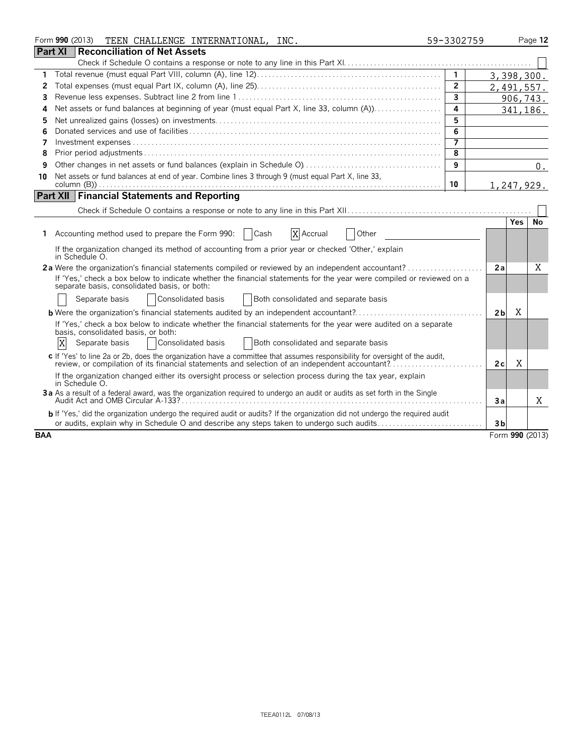| Form 990 (2013)<br>TEEN CHALLENGE INTERNATIONAL, INC.                                                                                                                                                                         | 59-3302759     |                     | Page 12   |
|-------------------------------------------------------------------------------------------------------------------------------------------------------------------------------------------------------------------------------|----------------|---------------------|-----------|
| <b>Part XI</b><br><b>Reconciliation of Net Assets</b>                                                                                                                                                                         |                |                     |           |
|                                                                                                                                                                                                                               |                |                     |           |
| 1.                                                                                                                                                                                                                            |                | 3,398,300.          |           |
| 2                                                                                                                                                                                                                             | $\overline{2}$ | 2,491,557.          |           |
| 3                                                                                                                                                                                                                             | $\overline{3}$ |                     | 906,743.  |
| Net assets or fund balances at beginning of year (must equal Part X, line 33, column (A))<br>4                                                                                                                                | 4              |                     | 341,186.  |
| 5                                                                                                                                                                                                                             | 5              |                     |           |
| 6                                                                                                                                                                                                                             | 6              |                     |           |
| 7                                                                                                                                                                                                                             | 7              |                     |           |
| 8                                                                                                                                                                                                                             | 8              |                     |           |
| 9                                                                                                                                                                                                                             | 9              |                     | 0.        |
| Net assets or fund balances at end of year. Combine lines 3 through 9 (must equal Part X, line 33,<br>10                                                                                                                      |                |                     |           |
|                                                                                                                                                                                                                               | 10             | 1,247,929.          |           |
| <b>Part XII Financial Statements and Reporting</b>                                                                                                                                                                            |                |                     |           |
|                                                                                                                                                                                                                               |                |                     |           |
|                                                                                                                                                                                                                               |                | <b>Yes</b>          | <b>No</b> |
| Accounting method used to prepare the Form 990:<br>Cash<br>X Accrual<br>Other<br>1.                                                                                                                                           |                |                     |           |
| If the organization changed its method of accounting from a prior year or checked 'Other,' explain<br>in Schedule O.                                                                                                          |                |                     |           |
| 2a Were the organization's financial statements compiled or reviewed by an independent accountant?                                                                                                                            |                | 2a                  | Χ         |
| If 'Yes,' check a box below to indicate whether the financial statements for the year were compiled or reviewed on a<br>separate basis, consolidated basis, or both:                                                          |                |                     |           |
| Consolidated basis<br>Both consolidated and separate basis<br>Separate basis                                                                                                                                                  |                |                     |           |
|                                                                                                                                                                                                                               |                | Χ<br>2 <sub>b</sub> |           |
| If 'Yes,' check a box below to indicate whether the financial statements for the year were audited on a separate<br>basis, consolidated basis, or both:                                                                       |                |                     |           |
| X<br>Consolidated basis<br>Both consolidated and separate basis<br>Separate basis                                                                                                                                             |                |                     |           |
| c If 'Yes' to line 2a or 2b, does the organization have a committee that assumes responsibility for oversight of the audit,<br>review, or compilation of its financial statements and selection of an independent accountant? |                | X<br>2c             |           |
| If the organization changed either its oversight process or selection process during the tax year, explain<br>in Schedule O.                                                                                                  |                |                     |           |
| 3a As a result of a federal award, was the organization required to undergo an audit or audits as set forth in the Single                                                                                                     |                | За                  | X         |
| <b>b</b> If 'Yes,' did the organization undergo the required audit or audits? If the organization did not undergo the required audit                                                                                          |                |                     |           |
| or audits, explain why in Schedule O and describe any steps taken to undergo such audits                                                                                                                                      |                | 3b                  |           |
| <b>BAA</b>                                                                                                                                                                                                                    |                | Form 990 (2013)     |           |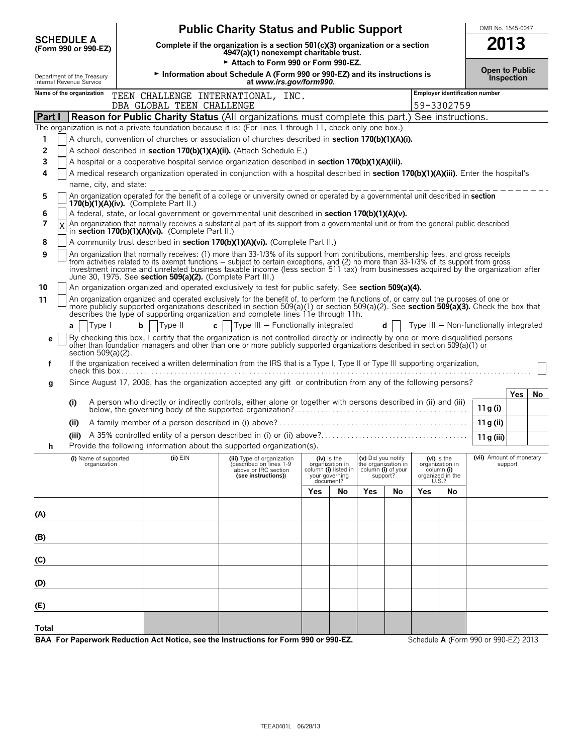|                                                        |                                                                                                                           | <b>Public Charity Status and Public Support</b>                                                                                                                                                                                                                                                                                                                                                                      |     |                                                                                         |                                                                             |    |     |                                                                             | OMB No. 1545-0047                      |                   |    |
|--------------------------------------------------------|---------------------------------------------------------------------------------------------------------------------------|----------------------------------------------------------------------------------------------------------------------------------------------------------------------------------------------------------------------------------------------------------------------------------------------------------------------------------------------------------------------------------------------------------------------|-----|-----------------------------------------------------------------------------------------|-----------------------------------------------------------------------------|----|-----|-----------------------------------------------------------------------------|----------------------------------------|-------------------|----|
| <b>SCHEDULE A</b><br>(Form 990 or 990-EZ)              | Complete if the organization is a section $501(c)(3)$ organization or a section<br>4947(a)(1) nonexempt charitable trust. |                                                                                                                                                                                                                                                                                                                                                                                                                      |     |                                                                                         |                                                                             |    |     | 2013                                                                        |                                        |                   |    |
|                                                        |                                                                                                                           | Attach to Form 990 or Form 990-EZ.                                                                                                                                                                                                                                                                                                                                                                                   |     |                                                                                         |                                                                             |    |     |                                                                             | <b>Open to Public</b>                  |                   |    |
| Department of the Treasury<br>Internal Revenue Service |                                                                                                                           | Information about Schedule A (Form 990 or 990-EZ) and its instructions is<br>at www.irs.gov/form990.                                                                                                                                                                                                                                                                                                                 |     |                                                                                         |                                                                             |    |     |                                                                             |                                        | <b>Inspection</b> |    |
| Name of the organization                               |                                                                                                                           | TEEN CHALLENGE INTERNATIONAL, INC.                                                                                                                                                                                                                                                                                                                                                                                   |     |                                                                                         |                                                                             |    |     |                                                                             | Employer identification number         |                   |    |
|                                                        | DBA GLOBAL TEEN CHALLENGE                                                                                                 |                                                                                                                                                                                                                                                                                                                                                                                                                      |     |                                                                                         |                                                                             |    |     | 59-3302759                                                                  |                                        |                   |    |
| Part I                                                 |                                                                                                                           | <b>Reason for Public Charity Status</b> (All organizations must complete this part.) See instructions.                                                                                                                                                                                                                                                                                                               |     |                                                                                         |                                                                             |    |     |                                                                             |                                        |                   |    |
|                                                        |                                                                                                                           | The organization is not a private foundation because it is: (For lines 1 through 11, check only one box.)                                                                                                                                                                                                                                                                                                            |     |                                                                                         |                                                                             |    |     |                                                                             |                                        |                   |    |
| 1                                                      |                                                                                                                           | A church, convention of churches or association of churches described in <b>section 170(b)(1)(A)(i).</b>                                                                                                                                                                                                                                                                                                             |     |                                                                                         |                                                                             |    |     |                                                                             |                                        |                   |    |
| 2<br>3                                                 |                                                                                                                           | A school described in section 170(b)(1)(A)(ii). (Attach Schedule E.)<br>A hospital or a cooperative hospital service organization described in section 170(b)(1)(A)(iii).                                                                                                                                                                                                                                            |     |                                                                                         |                                                                             |    |     |                                                                             |                                        |                   |    |
| 4                                                      |                                                                                                                           | A medical research organization operated in conjunction with a hospital described in section 170(b)(1)(A)(iii). Enter the hospital's                                                                                                                                                                                                                                                                                 |     |                                                                                         |                                                                             |    |     |                                                                             |                                        |                   |    |
| name, city, and state:                                 |                                                                                                                           |                                                                                                                                                                                                                                                                                                                                                                                                                      |     |                                                                                         |                                                                             |    |     |                                                                             |                                        |                   |    |
| 5                                                      |                                                                                                                           | An organization operated for the benefit of a college or university owned or operated by a governmental unit described in section                                                                                                                                                                                                                                                                                    |     |                                                                                         |                                                                             |    |     |                                                                             |                                        |                   |    |
| 6                                                      | $170(b)(1)(A)(iv)$ . (Complete Part II.)                                                                                  | A federal, state, or local government or governmental unit described in section 170(b)(1)(A)(v).                                                                                                                                                                                                                                                                                                                     |     |                                                                                         |                                                                             |    |     |                                                                             |                                        |                   |    |
| 7                                                      |                                                                                                                           | An organization that normally receives a substantial part of its support from a governmental unit or from the general public described                                                                                                                                                                                                                                                                               |     |                                                                                         |                                                                             |    |     |                                                                             |                                        |                   |    |
|                                                        | in section $170(b)(1)(A)(vi)$ . (Complete Part II.)                                                                       |                                                                                                                                                                                                                                                                                                                                                                                                                      |     |                                                                                         |                                                                             |    |     |                                                                             |                                        |                   |    |
| 8                                                      |                                                                                                                           | A community trust described in section 170(b)(1)(A)(vi). (Complete Part II.)                                                                                                                                                                                                                                                                                                                                         |     |                                                                                         |                                                                             |    |     |                                                                             |                                        |                   |    |
| 9                                                      | June 30, 1975. See section 509(a)(2). (Complete Part III.)                                                                | An organization that normally receives: (1) more than 33-1/3% of its support from contributions, membership fees, and gross receipts<br>from activities related to its exempt functions – subject to certain exceptions, and (2) no more than 33-1/3% of its support from gross<br>investment income and unrelated business taxable income (less section 511 tax) from businesses acquired by the organization after |     |                                                                                         |                                                                             |    |     |                                                                             |                                        |                   |    |
| 10                                                     |                                                                                                                           | An organization organized and operated exclusively to test for public safety. See section 509(a)(4).                                                                                                                                                                                                                                                                                                                 |     |                                                                                         |                                                                             |    |     |                                                                             |                                        |                   |    |
| 11                                                     |                                                                                                                           | An organization organized and operated exclusively for the benefit of, to perform the functions of, or carry out the purposes of one or<br>more publicly supported organizations described in section 509(a)(1) or section 509(a)(2). See section 509(a)(3). Check the box that describes the type of supporting organization and complete lines 11e through 11h.                                                    |     |                                                                                         |                                                                             |    |     |                                                                             |                                        |                   |    |
| Type I<br>a                                            | $b$   $Type II$                                                                                                           | c     Type III $-$ Functionally integrated                                                                                                                                                                                                                                                                                                                                                                           |     |                                                                                         |                                                                             | d  |     |                                                                             | Type III - Non-functionally integrated |                   |    |
| е<br>section 509(a)(2).                                |                                                                                                                           | By checking this box, I certify that the organization is not controlled directly or indirectly by one or more disqualified persons<br>other than foundation managers and other than one or more publicly supported organizations described in section 509(a)(1) or                                                                                                                                                   |     |                                                                                         |                                                                             |    |     |                                                                             |                                        |                   |    |
| f                                                      |                                                                                                                           | If the organization received a written determination from the IRS that is a Type I, Type II or Type III supporting organization,                                                                                                                                                                                                                                                                                     |     |                                                                                         |                                                                             |    |     |                                                                             |                                        |                   |    |
| g                                                      |                                                                                                                           | Since August 17, 2006, has the organization accepted any gift or contribution from any of the following persons?                                                                                                                                                                                                                                                                                                     |     |                                                                                         |                                                                             |    |     |                                                                             |                                        |                   |    |
| (i)                                                    |                                                                                                                           | A person who directly or indirectly controls, either alone or together with persons described in (ii) and (iii)                                                                                                                                                                                                                                                                                                      |     |                                                                                         |                                                                             |    |     |                                                                             |                                        | Yes               | No |
|                                                        |                                                                                                                           |                                                                                                                                                                                                                                                                                                                                                                                                                      |     |                                                                                         |                                                                             |    |     |                                                                             | 11 g $(i)$                             |                   |    |
| (ii)                                                   |                                                                                                                           |                                                                                                                                                                                                                                                                                                                                                                                                                      |     |                                                                                         |                                                                             |    |     |                                                                             | 11 g (ii)                              |                   |    |
|                                                        |                                                                                                                           |                                                                                                                                                                                                                                                                                                                                                                                                                      |     |                                                                                         |                                                                             |    |     |                                                                             | 11 g (iii)                             |                   |    |
| п                                                      |                                                                                                                           | Provide the following information about the supported organization(s).                                                                                                                                                                                                                                                                                                                                               |     |                                                                                         |                                                                             |    |     |                                                                             |                                        |                   |    |
| (i) Name of supported<br>organization                  | $(ii)$ $EIN$                                                                                                              | (iii) Type of organization<br>(described on lines 1-9<br>above or IRC section<br>(see instructions))                                                                                                                                                                                                                                                                                                                 |     | $(iv)$ is the<br>organization in<br>column (i) listed in<br>your governing<br>document? | (v) Did you notify<br>the organization in<br>column (i) of your<br>support? |    |     | $(vi)$ is the<br>organization in<br>column (i)<br>organized in the<br>U.S.? | (vii) Amount of monetary               | support           |    |
|                                                        |                                                                                                                           |                                                                                                                                                                                                                                                                                                                                                                                                                      | Yes | No                                                                                      | Yes                                                                         | No | Yes | No                                                                          |                                        |                   |    |
|                                                        |                                                                                                                           |                                                                                                                                                                                                                                                                                                                                                                                                                      |     |                                                                                         |                                                                             |    |     |                                                                             |                                        |                   |    |
| (A)                                                    |                                                                                                                           |                                                                                                                                                                                                                                                                                                                                                                                                                      |     |                                                                                         |                                                                             |    |     |                                                                             |                                        |                   |    |
| (B)                                                    |                                                                                                                           |                                                                                                                                                                                                                                                                                                                                                                                                                      |     |                                                                                         |                                                                             |    |     |                                                                             |                                        |                   |    |
| (C)                                                    |                                                                                                                           |                                                                                                                                                                                                                                                                                                                                                                                                                      |     |                                                                                         |                                                                             |    |     |                                                                             |                                        |                   |    |
| (D)                                                    |                                                                                                                           |                                                                                                                                                                                                                                                                                                                                                                                                                      |     |                                                                                         |                                                                             |    |     |                                                                             |                                        |                   |    |
| (E)                                                    |                                                                                                                           |                                                                                                                                                                                                                                                                                                                                                                                                                      |     |                                                                                         |                                                                             |    |     |                                                                             |                                        |                   |    |
| Total                                                  |                                                                                                                           |                                                                                                                                                                                                                                                                                                                                                                                                                      |     |                                                                                         |                                                                             |    |     |                                                                             |                                        |                   |    |

BAA For Paperwork Reduction Act Notice, see the Instructions for Form 990 or 990-EZ. Schedule A (Form 990 or 990-EZ) 2013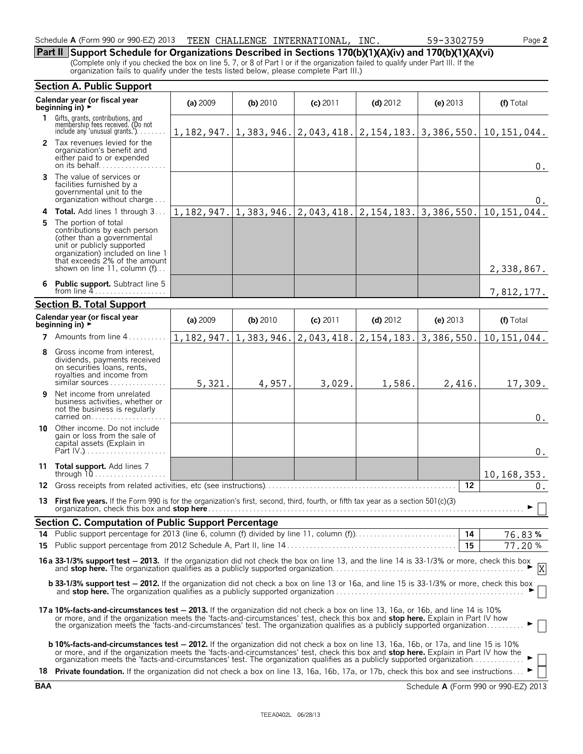#### Schedule **A** (Form 990 or 990-EZ) 2013 TEEN CHALLENGE INTERNATIONAL, INC. 59-3302759 Page **2**

**Part II Support Schedule for Organizations Described in Sections 170(b)(1)(A)(iv) and 170(b)(1)(A)(vi)**

(Complete only if you checked the box on line 5, 7, or 8 of Part I or if the organization failed to qualify under Part III. If the organization fails to qualify under the tests listed below, please complete Part III.)

|    | <b>Section A. Public Support</b>                                                                                                                                                                                                                                                                                                                                                                                           |            |                           |            |                                                                            |            |                       |
|----|----------------------------------------------------------------------------------------------------------------------------------------------------------------------------------------------------------------------------------------------------------------------------------------------------------------------------------------------------------------------------------------------------------------------------|------------|---------------------------|------------|----------------------------------------------------------------------------|------------|-----------------------|
|    | Calendar year (or fiscal year<br>beginning in) ►                                                                                                                                                                                                                                                                                                                                                                           | (a) 2009   | $(b)$ 2010                | $(c)$ 2011 | $(d)$ 2012                                                                 | (e) $2013$ | (f) Total             |
| 1. | Gifts, grants, contributions, and<br>membership fees received. (Do not<br>include any 'unusual grants.')                                                                                                                                                                                                                                                                                                                   |            |                           |            | $1, 182, 947.$   1, 383, 946.  2, 043, 418.  2, 154, 183.  3, 386, 550.    |            | 10, 151, 044.         |
|    | 2 Tax revenues levied for the<br>organization's benefit and<br>either paid to or expended                                                                                                                                                                                                                                                                                                                                  |            |                           |            |                                                                            |            | 0.                    |
|    | <b>3</b> The value of services or<br>facilities furnished by a<br>governmental unit to the<br>organization without charge                                                                                                                                                                                                                                                                                                  |            |                           |            |                                                                            |            | 0.                    |
|    | 4 Total. Add lines 1 through 3                                                                                                                                                                                                                                                                                                                                                                                             |            |                           |            | $1, 182, 947.$ $1, 383, 946.$ $2, 043, 418.$ $2, 154, 183.$ $3, 386, 550.$ |            | 10, 151, 044.         |
| 5. | The portion of total<br>contributions by each person<br>(other than a governmental<br>unit or publicly supported<br>organization) included on line 1<br>that exceeds 2% of the amount<br>shown on line 11, column (f)                                                                                                                                                                                                      |            |                           |            |                                                                            |            | 2,338,867.            |
|    | 6 Public support. Subtract line 5<br>from line $4$                                                                                                                                                                                                                                                                                                                                                                         |            |                           |            |                                                                            |            | 7,812,177.            |
|    | <b>Section B. Total Support</b>                                                                                                                                                                                                                                                                                                                                                                                            |            |                           |            |                                                                            |            |                       |
|    | Calendar year (or fiscal year<br>beginning in) $\rightarrow$                                                                                                                                                                                                                                                                                                                                                               | (a) 2009   | (b) 2010                  | (c) 2011   | $(d)$ 2012                                                                 | (e) $2013$ | (f) Total             |
| 7  | Amounts from line 4                                                                                                                                                                                                                                                                                                                                                                                                        | 1,182,947. | $1,383,946.$ $2,043,418.$ |            | 2, 154, 183.                                                               | 3,386,550. | 10, 151, 044.         |
| 8  | Gross income from interest,<br>dividends, payments received<br>on securities loans, rents,<br>royalties and income from<br>similar sources                                                                                                                                                                                                                                                                                 | 5,321.     | 4,957.                    | 3,029.     | 1,586.                                                                     | 2,416.     | 17,309.               |
| 9  | Net income from unrelated<br>business activities, whether or<br>not the business is regularly<br>carried on                                                                                                                                                                                                                                                                                                                |            |                           |            |                                                                            |            | $0$ .                 |
|    | <b>10</b> Other income. Do not include<br>gain or loss from the sale of<br>capital assets (Explain in                                                                                                                                                                                                                                                                                                                      |            |                           |            |                                                                            |            | $0$ .                 |
|    | 11 Total support. Add lines 7                                                                                                                                                                                                                                                                                                                                                                                              |            |                           |            |                                                                            |            | 10, 168, 353.         |
| 12 |                                                                                                                                                                                                                                                                                                                                                                                                                            |            |                           |            |                                                                            | 12         | 0.                    |
|    | 13 First five years. If the Form 990 is for the organization's first, second, third, fourth, or fifth tax year as a section 501(c)(3)                                                                                                                                                                                                                                                                                      |            |                           |            |                                                                            |            | $\blacktriangleright$ |
|    | <b>Section C. Computation of Public Support Percentage</b>                                                                                                                                                                                                                                                                                                                                                                 |            |                           |            |                                                                            |            |                       |
|    |                                                                                                                                                                                                                                                                                                                                                                                                                            |            |                           |            |                                                                            |            | 76.83%                |
|    |                                                                                                                                                                                                                                                                                                                                                                                                                            |            |                           |            |                                                                            | 15         | 77.20%                |
|    | 16a 33-1/3% support test - 2013. If the organization did not check the box on line 13, and the line 14 is 33-1/3% or more, check this box                                                                                                                                                                                                                                                                                  |            |                           |            |                                                                            |            |                       |
|    | <b>b 33-1/3% support test - 2012.</b> If the organization did not check a box on line 13 or 16a, and line 15 is 33-1/3% or more, check this box                                                                                                                                                                                                                                                                            |            |                           |            |                                                                            |            |                       |
|    | 17a 10%-facts-and-circumstances test - 2013. If the organization did not check a box on line 13, 16a, or 16b, and line 14 is 10%<br>or more, and if the organization meets the 'facts-and-circumstances' test, check this box and stop here. Explain in Part IV how<br>the organization meets the 'facts-and-circumstances' test. The organization qualifies as a publicly supported organization                          |            |                           |            |                                                                            |            |                       |
|    | <b>b 10%-facts-and-circumstances test - 2012.</b> If the organization did not check a box on line 13, 16a, 16b, or 17a, and line 15 is 10%<br>or more, and if the organization meets the 'facts-and-circumstances' test, check this box and stop here. Explain in Part IV how the<br>18 Private foundation. If the organization did not check a box on line 13, 16a, 16b, 17a, or 17b, check this box and see instructions |            |                           |            |                                                                            |            |                       |
|    |                                                                                                                                                                                                                                                                                                                                                                                                                            |            |                           |            |                                                                            |            |                       |

**BAA** Schedule **A** (Form 990 or 990-EZ) 2013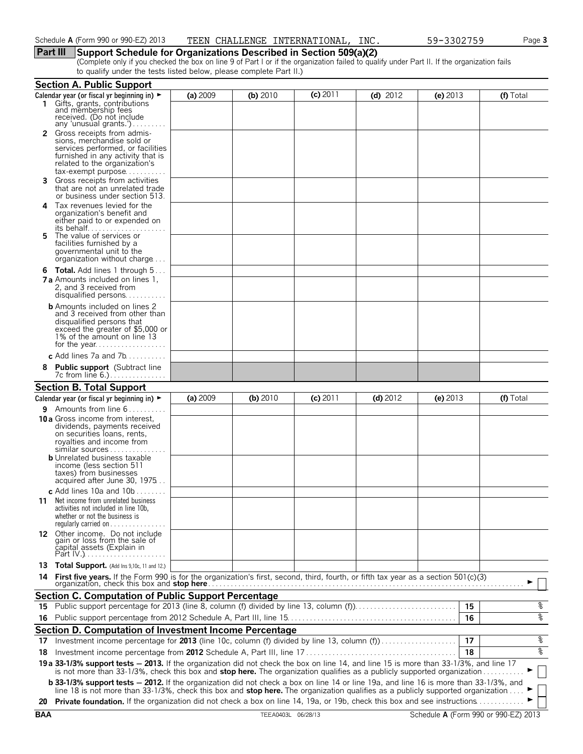### **Part III Support Schedule for Organizations Described in Section 509(a)(2)**

(Complete only if you checked the box on line 9 of Part I or if the organization failed to qualify under Part II. If the organization fails to qualify under the tests listed below, please complete Part II.)

|    | <b>Section A. Public Support</b>                                                                                                                                                                                                                                                                                      |          |          |            |            |            |           |
|----|-----------------------------------------------------------------------------------------------------------------------------------------------------------------------------------------------------------------------------------------------------------------------------------------------------------------------|----------|----------|------------|------------|------------|-----------|
|    | Calendar year (or fiscal yr beginning in) $\blacktriangleright$                                                                                                                                                                                                                                                       | (a) 2009 | (b) 2010 | $(c)$ 2011 | (d) $2012$ | (e) $2013$ | (f) Total |
|    | Gifts, grants, contributions<br>and membership fees<br>received. (Do not include                                                                                                                                                                                                                                      |          |          |            |            |            |           |
|    | any 'unusual grants.')                                                                                                                                                                                                                                                                                                |          |          |            |            |            |           |
|    | <b>2</b> Gross receipts from admis-<br>sions, merchandise sold or<br>services performed, or facilities<br>furnished in any activity that is<br>related to the organization's                                                                                                                                          |          |          |            |            |            |           |
|    | $tax\text{-}exempt$ purpose<br>Gross receipts from activities<br>that are not an unrelated trade<br>or business under section 513.                                                                                                                                                                                    |          |          |            |            |            |           |
| 4  | Tax revenues levied for the<br>organization's benefit and<br>either paid to or expended on<br>its behalf                                                                                                                                                                                                              |          |          |            |            |            |           |
| 5. | The value of services or<br>facilities furnished by a<br>governmental unit to the<br>organization without charge                                                                                                                                                                                                      |          |          |            |            |            |           |
|    | <b>6 Total.</b> Add lines 1 through 5<br><b>7 a</b> Amounts included on lines 1,<br>2, and 3 received from<br>disqualified persons                                                                                                                                                                                    |          |          |            |            |            |           |
|    | <b>b</b> Amounts included on lines 2<br>and 3 received from other than<br>disqualified persons that<br>exceed the greater of \$5,000 or<br>1% of the amount on line 13                                                                                                                                                |          |          |            |            |            |           |
|    | c Add lines 7a and $7b$                                                                                                                                                                                                                                                                                               |          |          |            |            |            |           |
| 8  | <b>Public support</b> (Subtract line<br>7c from line 6.)                                                                                                                                                                                                                                                              |          |          |            |            |            |           |
|    | <b>Section B. Total Support</b>                                                                                                                                                                                                                                                                                       |          |          |            |            |            |           |
|    | Calendar year (or fiscal yr beginning in) ►                                                                                                                                                                                                                                                                           | (a) 2009 | (b) 2010 | $(c)$ 2011 | $(d)$ 2012 | (e) $2013$ | (f) Total |
|    | <b>9</b> Amounts from line $6$<br><b>10 a</b> Gross income from interest,<br>dividends, payments received<br>on securities loans, rents,<br>royalties and income from<br>similar sources<br><b>b</b> Unrelated business taxable<br>income (less section 511<br>taxes) from businesses<br>acquired after June 30, 1975 |          |          |            |            |            |           |
|    | c Add lines 10a and 10b $\dots \dots$<br><b>11</b> Net income from unrelated business<br>activities not included in line 10b,<br>whether or not the business is<br>regularly carried on $\dots\dots\dots\dots\dots$                                                                                                   |          |          |            |            |            |           |
|    | 12 Other income. Do not include<br>gain or loss from the sale of<br>čapital assets (Explain in                                                                                                                                                                                                                        |          |          |            |            |            |           |
|    | 13 Total Support. (Add Ins 9,10c, 11 and 12.)                                                                                                                                                                                                                                                                         |          |          |            |            |            |           |
| 14 | First five years. If the Form 990 is for the organization's first, second, third, fourth, or fifth tax year as a section 501(c)(3)                                                                                                                                                                                    |          |          |            |            |            |           |
|    | <b>Section C. Computation of Public Support Percentage</b>                                                                                                                                                                                                                                                            |          |          |            |            |            |           |
|    |                                                                                                                                                                                                                                                                                                                       |          |          |            |            |            | န့<br>15  |
| 16 |                                                                                                                                                                                                                                                                                                                       |          |          |            |            |            | နွ<br>16  |
|    | Section D. Computation of Investment Income Percentage                                                                                                                                                                                                                                                                |          |          |            |            |            |           |
|    |                                                                                                                                                                                                                                                                                                                       |          |          |            |            |            |           |
|    | 17 Investment income percentage for 2013 (line 10c, column (f) divided by line 13, column (f)                                                                                                                                                                                                                         |          |          |            |            |            | %<br>17   |
|    |                                                                                                                                                                                                                                                                                                                       |          |          |            |            |            | ४<br>18   |
|    | 19 a 33-1/3% support tests - 2013. If the organization did not check the box on line 14, and line 15 is more than 33-1/3%, and line 17 is not more than 33-1/3%, check this box and stop here. The organization qualifies as a                                                                                        |          |          |            |            |            |           |
|    | <b>b 33-1/3% support tests - 2012.</b> If the organization did not check a box on line 14 or line 19a, and line 16 is more than 33-1/3%, and<br>line 18 is not more than 33-1/3%, check this box and <b>stop here.</b> The organization qualifies as a publicly supported organization                                |          |          |            |            |            |           |
|    | 20 Private foundation. If the organization did not check a box on line 14, 19a, or 19b, check this box and see instructions                                                                                                                                                                                           |          |          |            |            |            |           |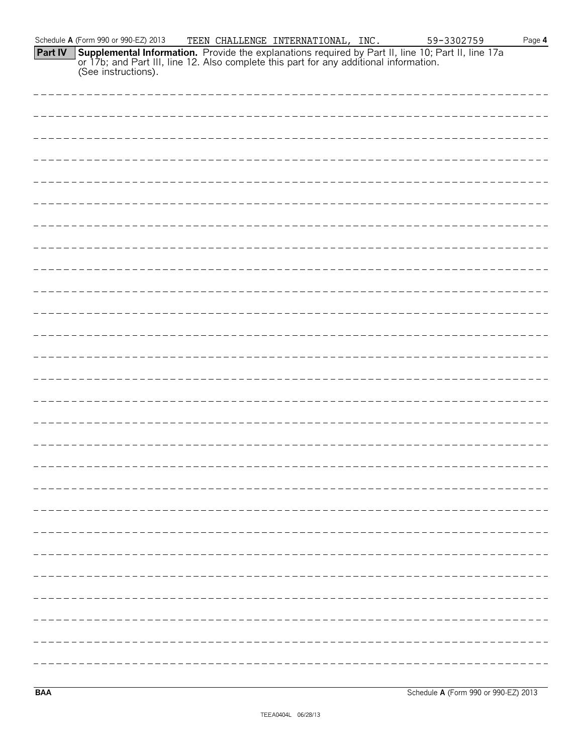|         | Schedule A (Form 990 or 990-EZ) 2013                                                                                                                                                                                 | TEEN CHALLENGE INTERNATIONAL, INC. | 59-3302759 | Page $4$ |
|---------|----------------------------------------------------------------------------------------------------------------------------------------------------------------------------------------------------------------------|------------------------------------|------------|----------|
| Part IV | <b>Supplemental Information.</b> Provide the explanations required by Part II, line 10; Part II, line 17a or 17b; and Part III, line 12. Also complete this part for any additional information. (See instructions). |                                    |            |          |
|         |                                                                                                                                                                                                                      |                                    |            |          |
|         |                                                                                                                                                                                                                      |                                    |            |          |
|         |                                                                                                                                                                                                                      |                                    |            |          |
|         |                                                                                                                                                                                                                      |                                    |            |          |
|         |                                                                                                                                                                                                                      |                                    |            |          |
|         |                                                                                                                                                                                                                      |                                    |            |          |
|         |                                                                                                                                                                                                                      |                                    |            |          |
|         |                                                                                                                                                                                                                      |                                    |            |          |
|         |                                                                                                                                                                                                                      |                                    |            |          |
|         |                                                                                                                                                                                                                      |                                    |            |          |
|         |                                                                                                                                                                                                                      |                                    |            |          |
|         |                                                                                                                                                                                                                      |                                    |            |          |
|         |                                                                                                                                                                                                                      |                                    |            |          |
|         |                                                                                                                                                                                                                      |                                    |            |          |
|         |                                                                                                                                                                                                                      |                                    |            |          |
|         |                                                                                                                                                                                                                      |                                    |            |          |
|         |                                                                                                                                                                                                                      |                                    |            |          |
|         |                                                                                                                                                                                                                      |                                    |            |          |
|         |                                                                                                                                                                                                                      |                                    |            |          |
|         |                                                                                                                                                                                                                      |                                    |            |          |
|         |                                                                                                                                                                                                                      |                                    |            |          |
|         |                                                                                                                                                                                                                      |                                    |            |          |
|         |                                                                                                                                                                                                                      |                                    |            |          |
|         |                                                                                                                                                                                                                      |                                    |            |          |
|         |                                                                                                                                                                                                                      |                                    |            |          |
|         |                                                                                                                                                                                                                      |                                    |            |          |
|         |                                                                                                                                                                                                                      |                                    |            |          |
|         |                                                                                                                                                                                                                      |                                    |            |          |
|         |                                                                                                                                                                                                                      |                                    |            |          |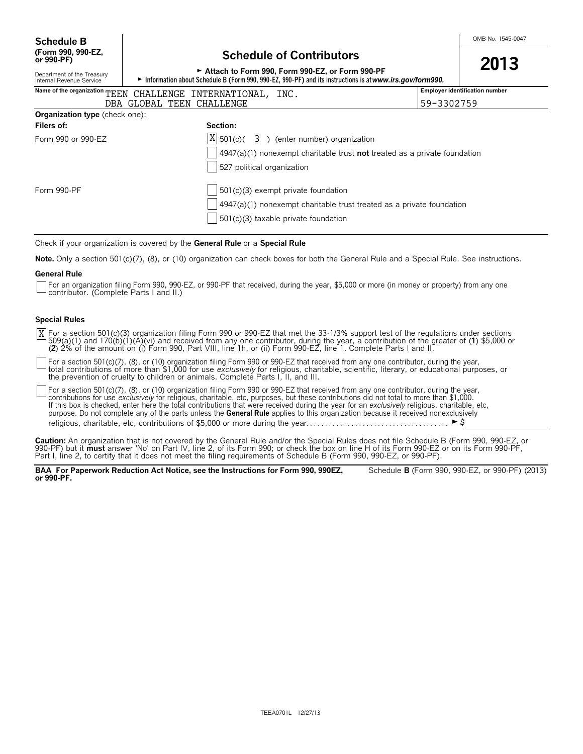## **Schedule of Contributors**

| or 990-PF)                                                                                                                                                                                                             | <u>Julianum VI Volitiibutoi S</u>                                           | 2013                                  |  |  |  |  |  |  |
|------------------------------------------------------------------------------------------------------------------------------------------------------------------------------------------------------------------------|-----------------------------------------------------------------------------|---------------------------------------|--|--|--|--|--|--|
| Attach to Form 990, Form 990-EZ, or Form 990-PF<br>Department of the Treasury<br>► Information about Schedule B (Form 990, 990-EZ, 990-PF) and its instructions is at www.irs.gov/form990.<br>Internal Revenue Service |                                                                             |                                       |  |  |  |  |  |  |
|                                                                                                                                                                                                                        | Name of the organization TEEN CHALLENGE INTERNATIONAL, INC.                 | <b>Employer identification number</b> |  |  |  |  |  |  |
|                                                                                                                                                                                                                        | 59-3302759<br>DBA GLOBAL TEEN CHALLENGE                                     |                                       |  |  |  |  |  |  |
| <b>Organization type</b> (check one):                                                                                                                                                                                  |                                                                             |                                       |  |  |  |  |  |  |
| Filers of:                                                                                                                                                                                                             | Section:                                                                    |                                       |  |  |  |  |  |  |
| Form 990 or 990-EZ                                                                                                                                                                                                     | $ X $ 501(c)( 3) (enter number) organization                                |                                       |  |  |  |  |  |  |
|                                                                                                                                                                                                                        | $4947(a)(1)$ nonexempt charitable trust not treated as a private foundation |                                       |  |  |  |  |  |  |
|                                                                                                                                                                                                                        | 527 political organization                                                  |                                       |  |  |  |  |  |  |
| Form 990-PF                                                                                                                                                                                                            | $\vert$ 501(c)(3) exempt private foundation                                 |                                       |  |  |  |  |  |  |
|                                                                                                                                                                                                                        | $4947(a)(1)$ nonexempt charitable trust treated as a private foundation     |                                       |  |  |  |  |  |  |
|                                                                                                                                                                                                                        | $501(c)(3)$ taxable private foundation                                      |                                       |  |  |  |  |  |  |
|                                                                                                                                                                                                                        |                                                                             |                                       |  |  |  |  |  |  |

Check if your organization is covered by the **General Rule** or a **Special Rule**.

**Note.** Only a section 501(c)(7), (8), or (10) organization can check boxes for both the General Rule and a Special Rule. See instructions.

#### **General Rule**

For an organization filing Form 990, 990-EZ, or 990-PF that received, during the year, \$5,000 or more (in money or property) from any one contributor. (Complete Parts I and II.)

#### **Special Rules**

For a section 501(c)(3) organization filing Form 990 or 990-EZ that met the 33-1/3% support test of the regulations under sections<br>509(a)(1) and 170(b)(1)(A)(vi) and received from any one contributor, during the year, a co (**2**) 2% of the amount on (i) Form 990, Part VIII, line 1h, or (ii) Form 990-EZ, line 1. Complete Parts I and II. X

For a section 501(c)(7), (8), or (10) organization filing Form 990 or 990-EZ that received from any one contributor, during the year,<br>total contributions of more than \$1,000 for use *exclusively* for religious, charitable, the prevention of cruelty to children or animals. Complete Parts I, II, and III.

For a section 501(c)(7), (8), or (10) organization filing Form 990 or 990-EZ that received from any one contributor, during the year, contributions for use *exclusively* for religious, charitable, etc, purposes, but these contributions did not total to more than \$1,000.<br>If this box is checked, enter here the total contributions that were received during purpose. Do not complete any of the parts unless the **General Rule** applies to this organization because it received nonexclusively religious, charitable, etc, contributions of \$5,000 or more during the year. . . . . . . . . . . . . . . . . . . . . . . . . . . . . . . . . . . . . . G\$

**Caution:** An organization that is not covered by the General Rule and/or the Special Rules does not file Schedule B (Form 990, 990-EZ, or 990-PF) but it **must** answer 'No' on Part IV, line 2, of its Form 990; or check the box on line H of its Form 990-EZ or on its Form 990-PF, Part I, line 2, to certify that it does not meet the filing requirements of Schedule B (Form 990, 990-EZ, or 990-PF).

**BAA For Paperwork Reduction Act Notice, see the Instructions for Form 990, 990EZ,** Schedule **B** (Form 990, 990-EZ, or 990-PF) (2013) **or 990-PF.**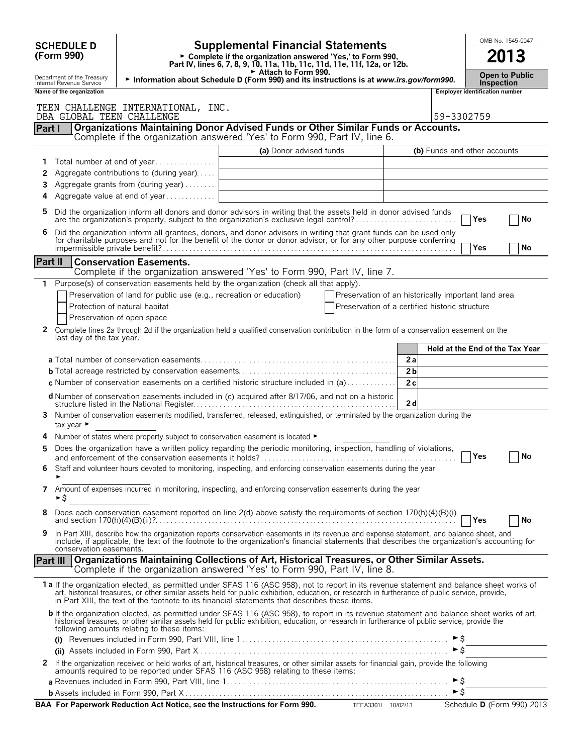| <b>Supplemental Financial Statements</b><br><b>SCHEDULE D</b><br>2013<br>(Form 990)<br>► Complete if the organization answered 'Yes,' to Form 990,<br>Part IV, lines 6, 7, 8, 9, 10, 11a, 11b, 11c, 11d, 11e, 11f, 12a, or 12b.<br>Attach to Form 990.<br><b>Open to Public</b><br>Department of the Treasury                                                                                   |    |
|-------------------------------------------------------------------------------------------------------------------------------------------------------------------------------------------------------------------------------------------------------------------------------------------------------------------------------------------------------------------------------------------------|----|
|                                                                                                                                                                                                                                                                                                                                                                                                 |    |
| Information about Schedule D (Form 990) and its instructions is at www.irs.gov/form990.<br>Internal Revenue Service<br><b>Inspection</b>                                                                                                                                                                                                                                                        |    |
| Name of the organization<br><b>Employer identification number</b>                                                                                                                                                                                                                                                                                                                               |    |
| TEEN CHALLENGE INTERNATIONAL, INC.<br>DBA GLOBAL TEEN CHALLENGE<br>59-3302759                                                                                                                                                                                                                                                                                                                   |    |
| Organizations Maintaining Donor Advised Funds or Other Similar Funds or Accounts.<br>Part I<br>Complete if the organization answered 'Yes' to Form 990, Part IV, line 6.                                                                                                                                                                                                                        |    |
| (a) Donor advised funds<br>(b) Funds and other accounts                                                                                                                                                                                                                                                                                                                                         |    |
| Total number at end of year<br>1                                                                                                                                                                                                                                                                                                                                                                |    |
| Aggregate contributions to (during year)<br>2                                                                                                                                                                                                                                                                                                                                                   |    |
| Aggregate grants from (during year)<br>3                                                                                                                                                                                                                                                                                                                                                        |    |
| Aggregate value at end of year<br>4                                                                                                                                                                                                                                                                                                                                                             |    |
| Did the organization inform all donors and donor advisors in writing that the assets held in donor advised funds<br>5<br>are the organization's property, subject to the organization's exclusive legal control?<br>Yes                                                                                                                                                                         | No |
| Did the organization inform all grantees, donors, and donor advisors in writing that grant funds can be used only<br>6<br>for charitable purposes and not for the benefit of the donor or donor advisor, or for any other purpose conferring                                                                                                                                                    |    |
| Yes                                                                                                                                                                                                                                                                                                                                                                                             | No |
| Part II<br><b>Conservation Easements.</b>                                                                                                                                                                                                                                                                                                                                                       |    |
| Complete if the organization answered 'Yes' to Form 990, Part IV, line 7.<br>Purpose(s) of conservation easements held by the organization (check all that apply).<br>1                                                                                                                                                                                                                         |    |
| Preservation of land for public use (e.g., recreation or education)<br>Preservation of an historically important land area                                                                                                                                                                                                                                                                      |    |
| Protection of natural habitat<br>Preservation of a certified historic structure                                                                                                                                                                                                                                                                                                                 |    |
| Preservation of open space                                                                                                                                                                                                                                                                                                                                                                      |    |
| $\mathbf{2}$<br>Complete lines 2a through 2d if the organization held a qualified conservation contribution in the form of a conservation easement on the<br>last day of the tax year.                                                                                                                                                                                                          |    |
| Held at the End of the Tax Year                                                                                                                                                                                                                                                                                                                                                                 |    |
| 2a                                                                                                                                                                                                                                                                                                                                                                                              |    |
| 2 <sub>b</sub>                                                                                                                                                                                                                                                                                                                                                                                  |    |
| 2c<br><b>c</b> Number of conservation easements on a certified historic structure included in (a) $\dots \dots \dots$                                                                                                                                                                                                                                                                           |    |
| <b>d</b> Number of conservation easements included in (c) acquired after 8/17/06, and not on a historic<br>2d                                                                                                                                                                                                                                                                                   |    |
| Number of conservation easements modified, transferred, released, extinguished, or terminated by the organization during the<br>3.<br>tax year $\blacktriangleright$                                                                                                                                                                                                                            |    |
| Number of states where property subject to conservation easement is located ►                                                                                                                                                                                                                                                                                                                   |    |
| Does the organization have a written policy regarding the periodic monitoring, inspection, handling of violations,<br><b>Yes</b>                                                                                                                                                                                                                                                                | No |
| Staff and volunteer hours devoted to monitoring, inspecting, and enforcing conservation easements during the year<br>6                                                                                                                                                                                                                                                                          |    |
| Amount of expenses incurred in monitoring, inspecting, and enforcing conservation easements during the year<br>7<br>►\$                                                                                                                                                                                                                                                                         |    |
| 8<br>Does each conservation easement reported on line 2(d) above satisfy the requirements of section 170(h)(4)(B)(i)<br>Yes                                                                                                                                                                                                                                                                     | No |
| In Part XIII, describe how the organization reports conservation easements in its revenue and expense statement, and balance sheet, and<br>9<br>include, if applicable, the text of the footnote to the organization's financial statements that describes the organization's accounting for                                                                                                    |    |
| conservation easements.<br>Organizations Maintaining Collections of Art, Historical Treasures, or Other Similar Assets.<br><b>Part III</b>                                                                                                                                                                                                                                                      |    |
| Complete if the organization answered 'Yes' to Form 990, Part IV, line 8.                                                                                                                                                                                                                                                                                                                       |    |
| 1 a If the organization elected, as permitted under SFAS 116 (ASC 958), not to report in its revenue statement and balance sheet works of<br>art, historical treasures, or other similar assets held for public exhibition, education, or research in furtherance of public service, provide,<br>in Part XIII, the text of the footnote to its financial statements that describes these items. |    |
| b If the organization elected, as permitted under SFAS 116 (ASC 958), to report in its revenue statement and balance sheet works of art, historical treasures, or other similar assets held for public exhibition, education,<br>following amounts relating to these items:                                                                                                                     |    |
| ►Ŝ                                                                                                                                                                                                                                                                                                                                                                                              |    |
| $\triangleright$ \$                                                                                                                                                                                                                                                                                                                                                                             |    |
| If the organization received or held works of art, historical treasures, or other similar assets for financial gain, provide the following<br>2<br>amounts required to be reported under SFAS 116 (ASC 958) relating to these items:                                                                                                                                                            |    |
| ►Ŝ<br>$\triangleright$ \$                                                                                                                                                                                                                                                                                                                                                                       |    |
| BAA For Paperwork Reduction Act Notice, see the Instructions for Form 990. TEEA3301L 10/02/13 Schedule D (Form 990) 2013                                                                                                                                                                                                                                                                        |    |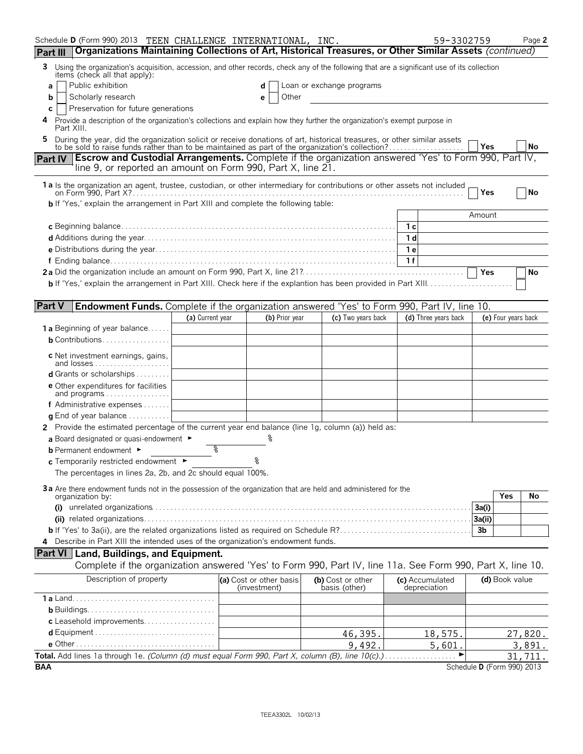| Schedule D (Form 990) 2013 TEEN CHALLENGE INTERNATIONAL, INC.                                                                                                                                                                   |                  |                                         |                                    | 59-3302759                      |                            | Page 2    |
|---------------------------------------------------------------------------------------------------------------------------------------------------------------------------------------------------------------------------------|------------------|-----------------------------------------|------------------------------------|---------------------------------|----------------------------|-----------|
| Organizations Maintaining Collections of Art, Historical Treasures, or Other Similar Assets (continued)<br>Part III                                                                                                             |                  |                                         |                                    |                                 |                            |           |
| 3 Using the organization's acquisition, accession, and other records, check any of the following that are a significant use of its collection<br>items (check all that apply):                                                  |                  |                                         |                                    |                                 |                            |           |
| Public exhibition<br>a                                                                                                                                                                                                          |                  | d                                       | Loan or exchange programs          |                                 |                            |           |
| Scholarly research<br>b                                                                                                                                                                                                         |                  | Other<br>е                              |                                    |                                 |                            |           |
| Preservation for future generations<br>C                                                                                                                                                                                        |                  |                                         |                                    |                                 |                            |           |
| Provide a description of the organization's collections and explain how they further the organization's exempt purpose in<br>4<br>Part XIII.                                                                                    |                  |                                         |                                    |                                 |                            |           |
| During the year, did the organization solicit or receive donations of art, historical treasures, or other similar assets to be sold to raise funds rather than to be maintained as part of the organization's collection?<br>5. |                  |                                         |                                    |                                 |                            |           |
| Part IV Escrow and Custodial Arrangements. Complete if the organization answered 'Yes' to Form 990, Part IV,                                                                                                                    |                  |                                         |                                    |                                 | <b>Yes</b>                 | <b>No</b> |
| line 9, or reported an amount on Form 990, Part X, line 21.                                                                                                                                                                     |                  |                                         |                                    |                                 |                            |           |
| 1 a Is the organization an agent, trustee, custodian, or other intermediary for contributions or other assets not included                                                                                                      |                  |                                         |                                    |                                 | Yes                        | <b>No</b> |
| <b>b</b> If 'Yes,' explain the arrangement in Part XIII and complete the following table:                                                                                                                                       |                  |                                         |                                    |                                 |                            |           |
|                                                                                                                                                                                                                                 |                  |                                         |                                    |                                 | Amount                     |           |
|                                                                                                                                                                                                                                 |                  |                                         |                                    | 1c                              |                            |           |
|                                                                                                                                                                                                                                 |                  |                                         |                                    | 1d                              |                            |           |
|                                                                                                                                                                                                                                 |                  |                                         |                                    | 1 e                             |                            |           |
|                                                                                                                                                                                                                                 |                  |                                         |                                    | 1f                              |                            |           |
|                                                                                                                                                                                                                                 |                  |                                         |                                    |                                 | Yes                        | No        |
|                                                                                                                                                                                                                                 |                  |                                         |                                    |                                 |                            |           |
|                                                                                                                                                                                                                                 |                  |                                         |                                    |                                 |                            |           |
| <b>Part V</b><br><b>Endowment Funds.</b> Complete if the organization answered 'Yes' to Form 990, Part IV, line 10.                                                                                                             |                  |                                         |                                    |                                 |                            |           |
|                                                                                                                                                                                                                                 | (a) Current year | (b) Prior year                          | (c) Two years back                 | (d) Three years back            | (e) Four years back        |           |
| <b>1 a</b> Beginning of year balance<br><b>b</b> Contributions                                                                                                                                                                  |                  |                                         |                                    |                                 |                            |           |
|                                                                                                                                                                                                                                 |                  |                                         |                                    |                                 |                            |           |
| <b>c</b> Net investment earnings, gains,                                                                                                                                                                                        |                  |                                         |                                    |                                 |                            |           |
| d Grants or scholarships                                                                                                                                                                                                        |                  |                                         |                                    |                                 |                            |           |
| <b>e</b> Other expenditures for facilities<br>and programs                                                                                                                                                                      |                  |                                         |                                    |                                 |                            |           |
| f Administrative expenses                                                                                                                                                                                                       |                  |                                         |                                    |                                 |                            |           |
| <b>q</b> End of year balance $\dots\dots\dots\dots$                                                                                                                                                                             |                  |                                         |                                    |                                 |                            |           |
| 2 Provide the estimated percentage of the current year end balance (line 1g, column (a)) held as:                                                                                                                               |                  |                                         |                                    |                                 |                            |           |
| a Board designated or quasi-endowment $\blacktriangleright$                                                                                                                                                                     |                  |                                         |                                    |                                 |                            |           |
| <b>b</b> Permanent endowment ►                                                                                                                                                                                                  | g                |                                         |                                    |                                 |                            |           |
| c Temporarily restricted endowment ►                                                                                                                                                                                            |                  | ূ                                       |                                    |                                 |                            |           |
| The percentages in lines 2a, 2b, and 2c should equal 100%.                                                                                                                                                                      |                  |                                         |                                    |                                 |                            |           |
|                                                                                                                                                                                                                                 |                  |                                         |                                    |                                 |                            |           |
| 3a Are there endowment funds not in the possession of the organization that are held and administered for the<br>organization by:                                                                                               |                  |                                         |                                    |                                 | Yes                        | No        |
|                                                                                                                                                                                                                                 |                  |                                         |                                    |                                 | 3a(i)                      |           |
|                                                                                                                                                                                                                                 |                  |                                         |                                    |                                 | 3a(ii)                     |           |
|                                                                                                                                                                                                                                 |                  |                                         |                                    |                                 | 3b                         |           |
| 4 Describe in Part XIII the intended uses of the organization's endowment funds.                                                                                                                                                |                  |                                         |                                    |                                 |                            |           |
| <b>Part VI</b> Land, Buildings, and Equipment.                                                                                                                                                                                  |                  |                                         |                                    |                                 |                            |           |
| Complete if the organization answered 'Yes' to Form 990, Part IV, line 11a. See Form 990, Part X, line 10.                                                                                                                      |                  |                                         |                                    |                                 |                            |           |
| Description of property                                                                                                                                                                                                         |                  | (a) Cost or other basis<br>(investment) | (b) Cost or other<br>basis (other) | (c) Accumulated<br>depreciation | (d) Book value             |           |
|                                                                                                                                                                                                                                 |                  |                                         |                                    |                                 |                            |           |
|                                                                                                                                                                                                                                 |                  |                                         |                                    |                                 |                            |           |
| c Leasehold improvements                                                                                                                                                                                                        |                  |                                         |                                    |                                 |                            |           |
|                                                                                                                                                                                                                                 |                  |                                         | 46,395.                            | 18,575.                         |                            | 27,820.   |
|                                                                                                                                                                                                                                 |                  |                                         | 9,492.                             | 5,601.                          |                            | 3,891.    |
| Total. Add lines 1a through 1e. (Column (d) must equal Form 990, Part X, column (B), line 10(c).).                                                                                                                              |                  |                                         |                                    |                                 |                            | 31,711.   |
| <b>BAA</b>                                                                                                                                                                                                                      |                  |                                         |                                    |                                 | Schedule D (Form 990) 2013 |           |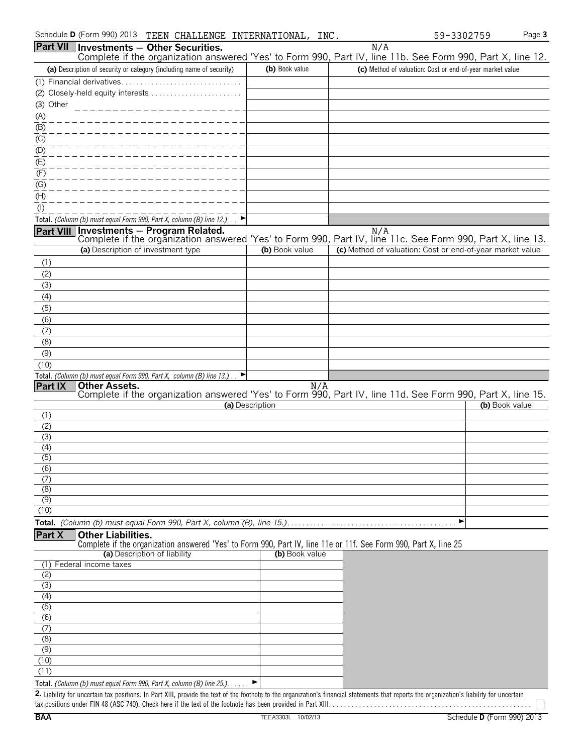| Schedule <b>D</b> (Form 990) 2013 | CHALLENGE<br>TEEN | INTERNATIONAL, | INC | 3302759<br>.a – | י בהבע<br>aue <b>o</b> |
|-----------------------------------|-------------------|----------------|-----|-----------------|------------------------|
|-----------------------------------|-------------------|----------------|-----|-----------------|------------------------|

|                  |                           | Part VII   Investments - Other Securities.                                                                  |                 | N/A                                                                                                                                                                                         |                |
|------------------|---------------------------|-------------------------------------------------------------------------------------------------------------|-----------------|---------------------------------------------------------------------------------------------------------------------------------------------------------------------------------------------|----------------|
|                  |                           |                                                                                                             |                 | Complete if the organization answered 'Yes' to Form 990, Part IV, line 11b. See Form 990, Part X, line 12.                                                                                  |                |
|                  |                           | (a) Description of security or category (including name of security)                                        | (b) Book value  | (c) Method of valuation: Cost or end-of-year market value                                                                                                                                   |                |
|                  |                           |                                                                                                             |                 |                                                                                                                                                                                             |                |
| (3) Other        |                           |                                                                                                             |                 |                                                                                                                                                                                             |                |
| (A)              |                           | ---------------------                                                                                       |                 |                                                                                                                                                                                             |                |
| (B)              |                           |                                                                                                             |                 |                                                                                                                                                                                             |                |
| (C)              |                           |                                                                                                             |                 |                                                                                                                                                                                             |                |
| (D)              |                           |                                                                                                             |                 |                                                                                                                                                                                             |                |
| (E)              |                           |                                                                                                             |                 |                                                                                                                                                                                             |                |
| (F)              |                           |                                                                                                             |                 |                                                                                                                                                                                             |                |
| (G)              |                           |                                                                                                             |                 |                                                                                                                                                                                             |                |
| (H)              |                           |                                                                                                             |                 |                                                                                                                                                                                             |                |
| $($ l $)$        |                           |                                                                                                             |                 |                                                                                                                                                                                             |                |
|                  |                           | Total. (Column (b) must equal Form 990, Part X, column (B) line 12.). $\Box$                                |                 |                                                                                                                                                                                             |                |
|                  |                           | Part VIII Investments - Program Related.                                                                    |                 | N/A<br>Complete if the organization answered 'Yes' to Form 990, Part IV, line 11c. See Form 990, Part X, line 13.                                                                           |                |
|                  |                           | (a) Description of investment type                                                                          | (b) Book value  | (c) Method of valuation: Cost or end-of-year market value                                                                                                                                   |                |
| (1)              |                           |                                                                                                             |                 |                                                                                                                                                                                             |                |
| (2)              |                           |                                                                                                             |                 |                                                                                                                                                                                             |                |
| (3)              |                           |                                                                                                             |                 |                                                                                                                                                                                             |                |
| (4)              |                           |                                                                                                             |                 |                                                                                                                                                                                             |                |
| (5)              |                           |                                                                                                             |                 |                                                                                                                                                                                             |                |
| (6)              |                           |                                                                                                             |                 |                                                                                                                                                                                             |                |
| (7)              |                           |                                                                                                             |                 |                                                                                                                                                                                             |                |
| (8)              |                           |                                                                                                             |                 |                                                                                                                                                                                             |                |
| (9)              |                           |                                                                                                             |                 |                                                                                                                                                                                             |                |
| (10)             |                           | Total. (Column (b) must equal Form 990, Part X, column (B) line 13.).<br>P                                  |                 |                                                                                                                                                                                             |                |
| Part IX          | <b>Other Assets.</b>      |                                                                                                             | N/A             |                                                                                                                                                                                             |                |
|                  |                           |                                                                                                             |                 | Complete if the organization answered 'Yes' to Form 990, Part IV, line 11d. See Form 990, Part X, line 15.                                                                                  |                |
|                  |                           |                                                                                                             | (a) Description |                                                                                                                                                                                             | (b) Book value |
| (1)<br>(2)       |                           |                                                                                                             |                 |                                                                                                                                                                                             |                |
| (3)              |                           |                                                                                                             |                 |                                                                                                                                                                                             |                |
| (4)              |                           |                                                                                                             |                 |                                                                                                                                                                                             |                |
| $\overline{(5)}$ |                           |                                                                                                             |                 |                                                                                                                                                                                             |                |
| $\overline{(6)}$ |                           |                                                                                                             |                 |                                                                                                                                                                                             |                |
| (7)<br>(8)       |                           |                                                                                                             |                 |                                                                                                                                                                                             |                |
| $\overline{(9)}$ |                           |                                                                                                             |                 |                                                                                                                                                                                             |                |
| (10)             |                           |                                                                                                             |                 |                                                                                                                                                                                             |                |
|                  |                           |                                                                                                             |                 | ▶                                                                                                                                                                                           |                |
| Part X           | <b>Other Liabilities.</b> |                                                                                                             |                 |                                                                                                                                                                                             |                |
|                  |                           |                                                                                                             |                 | Complete if the organization answered 'Yes' to Form 990, Part IV, line 11e or 11f. See Form 990, Part X, line 25                                                                            |                |
|                  | Federal income taxes      | (a) Description of liability                                                                                | (b) Book value  |                                                                                                                                                                                             |                |
| (1)<br>(2)       |                           |                                                                                                             |                 |                                                                                                                                                                                             |                |
| (3)              |                           |                                                                                                             |                 |                                                                                                                                                                                             |                |
| (4)              |                           |                                                                                                             |                 |                                                                                                                                                                                             |                |
| $\overline{(5)}$ |                           |                                                                                                             |                 |                                                                                                                                                                                             |                |
| $\overline{(6)}$ |                           |                                                                                                             |                 |                                                                                                                                                                                             |                |
| (7)              |                           |                                                                                                             |                 |                                                                                                                                                                                             |                |
| (8)              |                           |                                                                                                             |                 |                                                                                                                                                                                             |                |
| (9)<br>(10)      |                           |                                                                                                             |                 |                                                                                                                                                                                             |                |
| (11)             |                           |                                                                                                             |                 |                                                                                                                                                                                             |                |
|                  |                           | Total. (Column (b) must equal Form 990, Part X, column (B) line 25.).                                       |                 |                                                                                                                                                                                             |                |
|                  |                           |                                                                                                             |                 | 2. Liability for uncertain tax positions. In Part XIII, provide the text of the footnote to the organization's financial statements that reports the organization's liability for uncertain |                |
|                  |                           | tax positions under FIN 48 (ASC 740). Check here if the text of the footnote has been provided in Part XIII |                 |                                                                                                                                                                                             |                |

tax positions under FIN 48 (ASC 740). Check here if the text of the footnote has been provided in Part XIII. . . . . . . . . . . . . . . . . . . . . . . . . . . . . . . . . . . . . . . . . . . . . . . . . . . . . .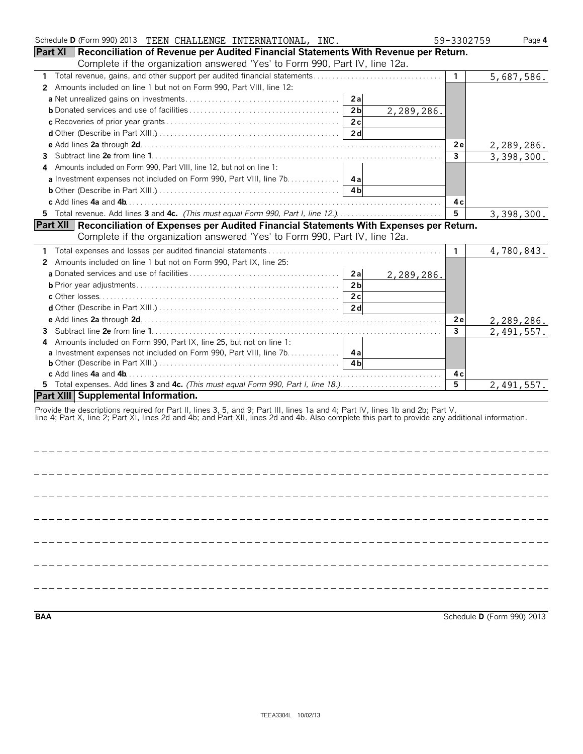| Schedule D (Form 990) 2013 TEEN CHALLENGE INTERNATIONAL, INC.                                                                                   |                              | 59-3302759     | Page 4     |
|-------------------------------------------------------------------------------------------------------------------------------------------------|------------------------------|----------------|------------|
| <b>Part XI</b><br>Reconciliation of Revenue per Audited Financial Statements With Revenue per Return.                                           |                              |                |            |
| Complete if the organization answered 'Yes' to Form 990, Part IV, line 12a.                                                                     |                              |                |            |
| $\mathbf{1}$                                                                                                                                    |                              | $\mathbf{1}$   | 5,687,586. |
| Amounts included on line 1 but not on Form 990, Part VIII, line 12:<br>2                                                                        |                              |                |            |
|                                                                                                                                                 | 2a                           |                |            |
|                                                                                                                                                 | 2 <sub>b</sub><br>2,289,286. |                |            |
|                                                                                                                                                 | 2c                           |                |            |
|                                                                                                                                                 | 2d                           |                |            |
|                                                                                                                                                 |                              | 2e             | 2,289,286. |
| 3                                                                                                                                               |                              | $\overline{3}$ | 3,398,300. |
| Amounts included on Form 990, Part VIII, line 12, but not on line 1:<br>4                                                                       |                              |                |            |
| a Investment expenses not included on Form 990, Part VIII, line 7b. 4a                                                                          |                              |                |            |
|                                                                                                                                                 | 4 <sub>b</sub>               |                |            |
|                                                                                                                                                 |                              | 4с             |            |
| 5 Total revenue. Add lines 3 and 4c. (This must equal Form 990, Part I, line 12.)                                                               |                              | 5              | 3,398,300. |
| Part XII   Reconciliation of Expenses per Audited Financial Statements With Expenses per Return.                                                |                              |                |            |
| Complete if the organization answered 'Yes' to Form 990, Part IV, line 12a.                                                                     |                              |                |            |
| 1                                                                                                                                               |                              | 1.             | 4,780,843. |
| Amounts included on line 1 but not on Form 990, Part IX, line 25:<br>2                                                                          |                              |                |            |
|                                                                                                                                                 | 2a<br>2,289,286.             |                |            |
|                                                                                                                                                 | 2 <sub>b</sub>               |                |            |
|                                                                                                                                                 | 2c                           |                |            |
|                                                                                                                                                 | 2d                           |                |            |
|                                                                                                                                                 |                              | 2e             | 2,289,286. |
| 3.                                                                                                                                              |                              | 3              | 2,491,557. |
| Amounts included on Form 990, Part IX, line 25, but not on line 1:<br>4                                                                         |                              |                |            |
| a Investment expenses not included on Form 990, Part VIII, line 7b. 4a                                                                          |                              |                |            |
|                                                                                                                                                 | 4 <sub>h</sub>               |                |            |
|                                                                                                                                                 |                              | 4 c            |            |
| 5 Total expenses. Add lines 3 and 4c. (This must equal Form 990, Part I, line 18.)                                                              |                              | $\overline{5}$ | 2,491,557. |
| Part XIII Supplemental Information.                                                                                                             |                              |                |            |
| Provide the descriptions required for Part II, lines 3, 5, and 9; Part III, lines 1a and 4; Part IV, lines 1b and 2b; Part V,                   |                              |                |            |
| line 4; Part X, line 2; Part XI, lines 2d and 4b; and Part XII, lines 2d and 4b. Also complete this part to provide any additional information. |                              |                |            |
|                                                                                                                                                 |                              |                |            |
|                                                                                                                                                 |                              |                |            |

**BAA** Schedule **D** (Form 990) 2013

--------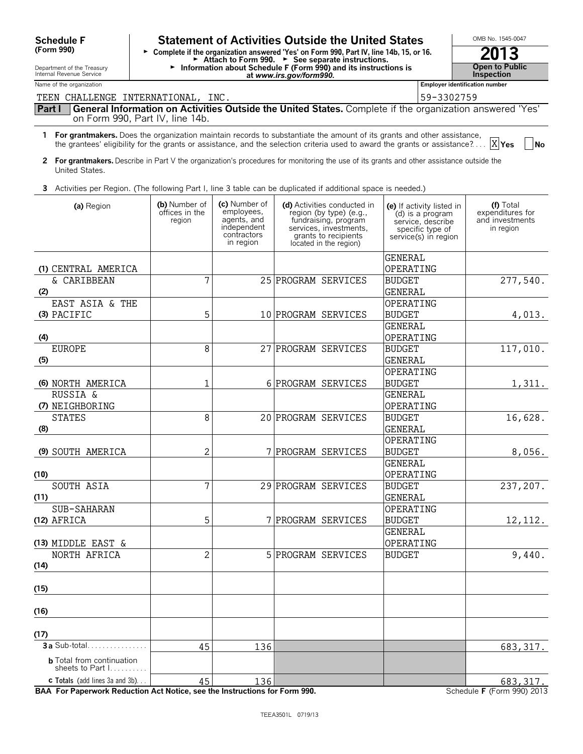| <b>Schedule F</b>                                                      | <b>Statement of Activities Outside the United States</b>                                                                                     | OMB No. 1545-0047                                                                     |                                                                                                                                                                                                                                                            |                                                                                                                |                                                               |
|------------------------------------------------------------------------|----------------------------------------------------------------------------------------------------------------------------------------------|---------------------------------------------------------------------------------------|------------------------------------------------------------------------------------------------------------------------------------------------------------------------------------------------------------------------------------------------------------|----------------------------------------------------------------------------------------------------------------|---------------------------------------------------------------|
| (Form 990)                                                             | ► Complete if the organization answered 'Yes' on Form 990, Part IV, line 14b, 15, or 16.<br>Attach to Form 990. > See separate instructions. | 2013                                                                                  |                                                                                                                                                                                                                                                            |                                                                                                                |                                                               |
| Department of the Treasury<br>Internal Revenue Service                 | Information about Schedule F (Form 990) and its instructions is                                                                              | <b>Open to Public</b><br>Inspection                                                   |                                                                                                                                                                                                                                                            |                                                                                                                |                                                               |
| Name of the organization                                               | <b>Employer identification number</b>                                                                                                        |                                                                                       |                                                                                                                                                                                                                                                            |                                                                                                                |                                                               |
| TEEN CHALLENGE INTERNATIONAL, INC.                                     |                                                                                                                                              |                                                                                       |                                                                                                                                                                                                                                                            | 59-3302759                                                                                                     |                                                               |
| Part I                                                                 | on Form 990, Part IV, line 14b.                                                                                                              |                                                                                       | General Information on Activities Outside the United States. Complete if the organization answered 'Yes'                                                                                                                                                   |                                                                                                                |                                                               |
|                                                                        |                                                                                                                                              |                                                                                       | 1 For grantmakers. Does the organization maintain records to substantiate the amount of its grants and other assistance,<br>the grantees' eligibility for the grants or assistance, and the selection criteria used to award the grants or assistance? $X$ |                                                                                                                | <b>No</b>                                                     |
| United States.                                                         |                                                                                                                                              |                                                                                       | 2 For grantmakers. Describe in Part V the organization's procedures for monitoring the use of its grants and other assistance outside the                                                                                                                  |                                                                                                                |                                                               |
|                                                                        |                                                                                                                                              |                                                                                       | 3 Activities per Region. (The following Part I, line 3 table can be duplicated if additional space is needed.)                                                                                                                                             |                                                                                                                |                                                               |
| (a) Region                                                             | (b) Number of<br>offices in the<br>region                                                                                                    | (c) Number of<br>employees,<br>agents, and<br>independent<br>contractors<br>in region | (d) Activities conducted in<br>region (by type) (e.g.,<br>fundraising, program<br>services, investments,<br>grants to recipients<br>located in the region)                                                                                                 | (e) If activity listed in<br>(d) is a program<br>service, describe<br>specific type of<br>service(s) in region | (f) Total<br>expenditures for<br>and investments<br>in region |
| (1) CENTRAL AMERICA                                                    |                                                                                                                                              |                                                                                       |                                                                                                                                                                                                                                                            | <b>GENERAL</b><br>OPERATING                                                                                    |                                                               |
| & CARIBBEAN<br>(2)                                                     | 7                                                                                                                                            |                                                                                       | 25 PROGRAM SERVICES                                                                                                                                                                                                                                        | <b>BUDGET</b><br>GENERAL                                                                                       | 277,540.                                                      |
| EAST ASIA & THE                                                        |                                                                                                                                              |                                                                                       |                                                                                                                                                                                                                                                            | OPERATING                                                                                                      |                                                               |
| (3) PACIFIC                                                            | 5                                                                                                                                            |                                                                                       | 10 PROGRAM SERVICES                                                                                                                                                                                                                                        | <b>BUDGET</b>                                                                                                  | 4,013.                                                        |
|                                                                        |                                                                                                                                              |                                                                                       |                                                                                                                                                                                                                                                            | GENERAL                                                                                                        |                                                               |
| (4)                                                                    |                                                                                                                                              |                                                                                       |                                                                                                                                                                                                                                                            | OPERATING                                                                                                      |                                                               |
| <b>EUROPE</b><br>(5)                                                   | 8                                                                                                                                            | 27                                                                                    | PROGRAM SERVICES                                                                                                                                                                                                                                           | <b>BUDGET</b><br>GENERAL                                                                                       | 117,010.                                                      |
|                                                                        |                                                                                                                                              |                                                                                       |                                                                                                                                                                                                                                                            | OPERATING                                                                                                      |                                                               |
| (6) NORTH AMERICA                                                      | 1                                                                                                                                            |                                                                                       | 6 PROGRAM SERVICES                                                                                                                                                                                                                                         | <b>BUDGET</b>                                                                                                  | 1,311.                                                        |
| <b>RUSSIA &amp;</b>                                                    |                                                                                                                                              |                                                                                       |                                                                                                                                                                                                                                                            | <b>GENERAL</b>                                                                                                 |                                                               |
| (7) NEIGHBORING                                                        |                                                                                                                                              |                                                                                       |                                                                                                                                                                                                                                                            | OPERATING                                                                                                      |                                                               |
| <b>STATES</b>                                                          | 8                                                                                                                                            |                                                                                       | 20 PROGRAM SERVICES                                                                                                                                                                                                                                        | <b>BUDGET</b>                                                                                                  | 16,628.                                                       |
| (8)                                                                    |                                                                                                                                              |                                                                                       |                                                                                                                                                                                                                                                            | GENERAL                                                                                                        |                                                               |
|                                                                        |                                                                                                                                              |                                                                                       |                                                                                                                                                                                                                                                            | OPERATING                                                                                                      |                                                               |
| (9) SOUTH AMERICA                                                      | 2                                                                                                                                            |                                                                                       | 7 PROGRAM SERVICES                                                                                                                                                                                                                                         | <b>BUDGET</b>                                                                                                  | 8,056.                                                        |
|                                                                        |                                                                                                                                              |                                                                                       |                                                                                                                                                                                                                                                            | <b>GENERAL</b>                                                                                                 |                                                               |
| (10)<br>SOUTH ASIA                                                     | 7                                                                                                                                            |                                                                                       | 29 PROGRAM SERVICES                                                                                                                                                                                                                                        | OPERATING<br><b>BUDGET</b>                                                                                     | 237,207.                                                      |
| (11)                                                                   |                                                                                                                                              |                                                                                       |                                                                                                                                                                                                                                                            | GENERAL                                                                                                        |                                                               |
| SUB-SAHARAN                                                            |                                                                                                                                              |                                                                                       |                                                                                                                                                                                                                                                            | OPERATING                                                                                                      |                                                               |
| (12) AFRICA                                                            | 5                                                                                                                                            |                                                                                       | 7 PROGRAM SERVICES                                                                                                                                                                                                                                         | <b>BUDGET</b>                                                                                                  | 12,112.                                                       |
|                                                                        |                                                                                                                                              |                                                                                       |                                                                                                                                                                                                                                                            | GENERAL                                                                                                        |                                                               |
| (13) MIDDLE EAST &                                                     |                                                                                                                                              |                                                                                       |                                                                                                                                                                                                                                                            | OPERATING                                                                                                      |                                                               |
| NORTH AFRICA                                                           | 2                                                                                                                                            |                                                                                       | 5 PROGRAM SERVICES                                                                                                                                                                                                                                         | <b>BUDGET</b>                                                                                                  | 9,440.                                                        |
| (14)                                                                   |                                                                                                                                              |                                                                                       |                                                                                                                                                                                                                                                            |                                                                                                                |                                                               |
| (15)                                                                   |                                                                                                                                              |                                                                                       |                                                                                                                                                                                                                                                            |                                                                                                                |                                                               |
| (16)                                                                   |                                                                                                                                              |                                                                                       |                                                                                                                                                                                                                                                            |                                                                                                                |                                                               |
| (17)                                                                   |                                                                                                                                              |                                                                                       |                                                                                                                                                                                                                                                            |                                                                                                                |                                                               |
| <b>3 a</b> Sub-total.                                                  | 45                                                                                                                                           | 136                                                                                   |                                                                                                                                                                                                                                                            |                                                                                                                | 683, 317.                                                     |
| <b>b</b> Total from continuation<br>sheets to Part $1, \ldots, \ldots$ |                                                                                                                                              |                                                                                       |                                                                                                                                                                                                                                                            |                                                                                                                |                                                               |
| <b>c</b> Totals (add lines 3a and 3b)                                  | 45                                                                                                                                           | 136                                                                                   |                                                                                                                                                                                                                                                            |                                                                                                                | 683, 317.                                                     |

**BAA For Paperwork Reduction Act Notice, see the Instructions for Form 990.** Schedule **F** (Form 990) 2013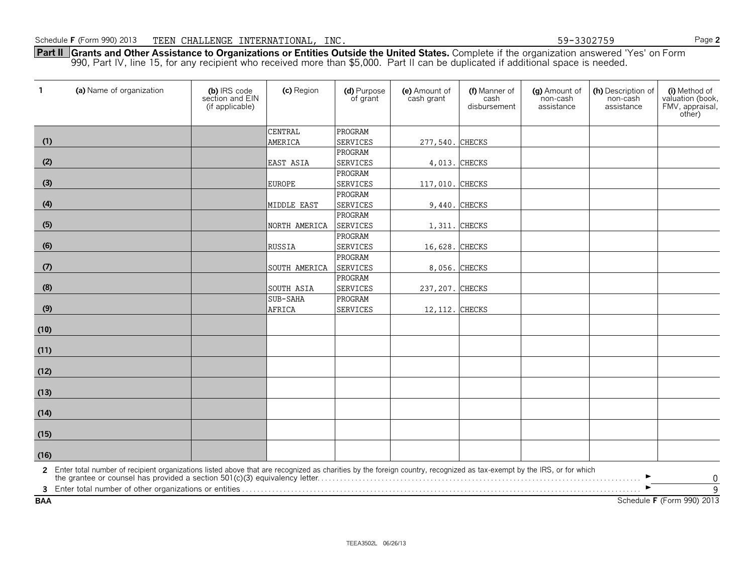**Part II Grants and Other Assistance to Organizations or Entities Outside the United States.** Complete if the organization answered 'Yes' on Form 990, Part IV, line 15, for any recipient who received more than \$5,000. Part II can be duplicated if additional space is needed.

| $\mathbf{1}$ | (a) Name of organization                                                                                                                                                                                                                               | (b) IRS code<br>section and EIN<br>(if applicable) | (c) Region    | (d) Purpose<br>of grant | (e) Amount of<br>cash grant | (f) Manner of<br>cash<br>disbursement | (g) Amount of<br>non-cash<br>assistance | (h) Description of<br>non-cash<br>assistance | (i) Method of<br>valuation (book,<br>FMV, appraisal,<br>other) |
|--------------|--------------------------------------------------------------------------------------------------------------------------------------------------------------------------------------------------------------------------------------------------------|----------------------------------------------------|---------------|-------------------------|-----------------------------|---------------------------------------|-----------------------------------------|----------------------------------------------|----------------------------------------------------------------|
|              |                                                                                                                                                                                                                                                        |                                                    | CENTRAL       | PROGRAM                 |                             |                                       |                                         |                                              |                                                                |
| (1)          |                                                                                                                                                                                                                                                        |                                                    | AMERICA       | <b>SERVICES</b>         | 277,540. CHECKS             |                                       |                                         |                                              |                                                                |
|              |                                                                                                                                                                                                                                                        |                                                    |               | PROGRAM                 |                             |                                       |                                         |                                              |                                                                |
| (2)          |                                                                                                                                                                                                                                                        |                                                    | EAST ASIA     | <b>SERVICES</b>         | 4,013.                      | <b>CHECKS</b>                         |                                         |                                              |                                                                |
|              |                                                                                                                                                                                                                                                        |                                                    |               | PROGRAM                 |                             |                                       |                                         |                                              |                                                                |
| (3)          |                                                                                                                                                                                                                                                        |                                                    | <b>EUROPE</b> | <b>SERVICES</b>         | 117,010.                    | <b>CHECKS</b>                         |                                         |                                              |                                                                |
|              |                                                                                                                                                                                                                                                        |                                                    |               | PROGRAM                 |                             |                                       |                                         |                                              |                                                                |
| (4)          |                                                                                                                                                                                                                                                        |                                                    | MIDDLE EAST   | <b>SERVICES</b>         | 9,440.                      | <b>CHECKS</b>                         |                                         |                                              |                                                                |
|              |                                                                                                                                                                                                                                                        |                                                    |               | PROGRAM                 |                             |                                       |                                         |                                              |                                                                |
| (5)          |                                                                                                                                                                                                                                                        |                                                    | NORTH AMERICA | <b>SERVICES</b>         | 1,311.                      | <b>CHECKS</b>                         |                                         |                                              |                                                                |
|              |                                                                                                                                                                                                                                                        |                                                    |               | PROGRAM                 |                             |                                       |                                         |                                              |                                                                |
| (6)          |                                                                                                                                                                                                                                                        |                                                    | RUSSIA        | SERVICES                | 16,628. CHECKS              |                                       |                                         |                                              |                                                                |
|              |                                                                                                                                                                                                                                                        |                                                    |               | PROGRAM                 |                             |                                       |                                         |                                              |                                                                |
| (7)          |                                                                                                                                                                                                                                                        |                                                    | SOUTH AMERICA | <b>SERVICES</b>         |                             | 8,056. CHECKS                         |                                         |                                              |                                                                |
|              |                                                                                                                                                                                                                                                        |                                                    |               | PROGRAM                 |                             |                                       |                                         |                                              |                                                                |
| (8)          |                                                                                                                                                                                                                                                        |                                                    | SOUTH ASIA    | <b>SERVICES</b>         | 237, 207. CHECKS            |                                       |                                         |                                              |                                                                |
|              |                                                                                                                                                                                                                                                        |                                                    | SUB-SAHA      | PROGRAM                 |                             |                                       |                                         |                                              |                                                                |
| (9)          |                                                                                                                                                                                                                                                        |                                                    | <b>AFRICA</b> | <b>SERVICES</b>         | 12, 112. CHECKS             |                                       |                                         |                                              |                                                                |
| (10)         |                                                                                                                                                                                                                                                        |                                                    |               |                         |                             |                                       |                                         |                                              |                                                                |
| (11)         |                                                                                                                                                                                                                                                        |                                                    |               |                         |                             |                                       |                                         |                                              |                                                                |
| (12)         |                                                                                                                                                                                                                                                        |                                                    |               |                         |                             |                                       |                                         |                                              |                                                                |
| (13)         |                                                                                                                                                                                                                                                        |                                                    |               |                         |                             |                                       |                                         |                                              |                                                                |
| (14)         |                                                                                                                                                                                                                                                        |                                                    |               |                         |                             |                                       |                                         |                                              |                                                                |
| (15)         |                                                                                                                                                                                                                                                        |                                                    |               |                         |                             |                                       |                                         |                                              |                                                                |
| (16)         |                                                                                                                                                                                                                                                        |                                                    |               |                         |                             |                                       |                                         |                                              |                                                                |
|              | 2 Enter total number of recipient organizations listed above that are recognized as charities by the foreign country, recognized as tax-exempt by the IRS, or for which<br>the grantee or counsel has provided a section 501(c)(3) equivalency letter. |                                                    |               |                         |                             |                                       |                                         |                                              | $\boldsymbol{0}$                                               |
|              |                                                                                                                                                                                                                                                        |                                                    |               |                         |                             |                                       |                                         |                                              | $\overline{9}$                                                 |
| <b>BAA</b>   |                                                                                                                                                                                                                                                        |                                                    |               |                         |                             |                                       |                                         |                                              | Schedule F (Form 990) 2013                                     |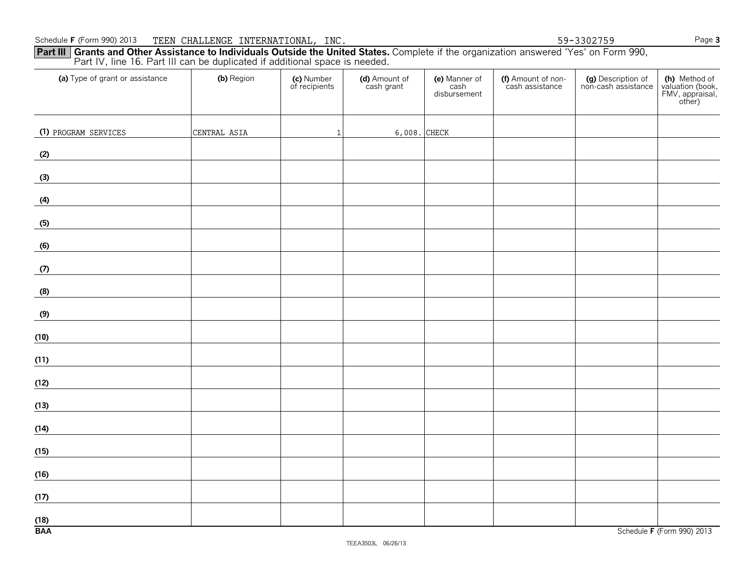| Part III Grants and Other Assistance to Individuals Outside the United States. Complete if the organization answered 'Yes' on Form 990, |
|-----------------------------------------------------------------------------------------------------------------------------------------|
| Part IV, line 16. Part III can be duplicated if additional space is needed.                                                             |

| (a) Type of grant or assistance                                          | (b) Region   | (c) Number<br>of recipients | (d) Amount of<br>cash grant | (e) Manner of<br>cash<br>disbursement | (f) Amount of non-<br>cash assistance | (g) Description of<br>non-cash assistance | (h) Method of<br>valuation (book,<br>FMV, appraisal,<br>other) |
|--------------------------------------------------------------------------|--------------|-----------------------------|-----------------------------|---------------------------------------|---------------------------------------|-------------------------------------------|----------------------------------------------------------------|
| (1) PROGRAM SERVICES                                                     | CENTRAL ASIA | $\mathbf{1}$                | 6,008. CHECK                |                                       |                                       |                                           |                                                                |
| (2)                                                                      |              |                             |                             |                                       |                                       |                                           |                                                                |
| (3)<br><u> 1990 - Andrea Station Books, amerikansk politik (d. 1980)</u> |              |                             |                             |                                       |                                       |                                           |                                                                |
| (4)                                                                      |              |                             |                             |                                       |                                       |                                           |                                                                |
| (5)                                                                      |              |                             |                             |                                       |                                       |                                           |                                                                |
| (6)                                                                      |              |                             |                             |                                       |                                       |                                           |                                                                |
| (7)                                                                      |              |                             |                             |                                       |                                       |                                           |                                                                |
| (8)                                                                      |              |                             |                             |                                       |                                       |                                           |                                                                |
| (9)                                                                      |              |                             |                             |                                       |                                       |                                           |                                                                |
| (10)                                                                     |              |                             |                             |                                       |                                       |                                           |                                                                |
| (11)                                                                     |              |                             |                             |                                       |                                       |                                           |                                                                |
| (12)                                                                     |              |                             |                             |                                       |                                       |                                           |                                                                |
| (13)                                                                     |              |                             |                             |                                       |                                       |                                           |                                                                |
| (14)                                                                     |              |                             |                             |                                       |                                       |                                           |                                                                |
| (15)                                                                     |              |                             |                             |                                       |                                       |                                           |                                                                |
| (16)                                                                     |              |                             |                             |                                       |                                       |                                           |                                                                |
| (17)                                                                     |              |                             |                             |                                       |                                       |                                           |                                                                |
| $\frac{(18)}{BAA}$                                                       |              |                             |                             |                                       |                                       |                                           | Schedule F (Form 990) 2013                                     |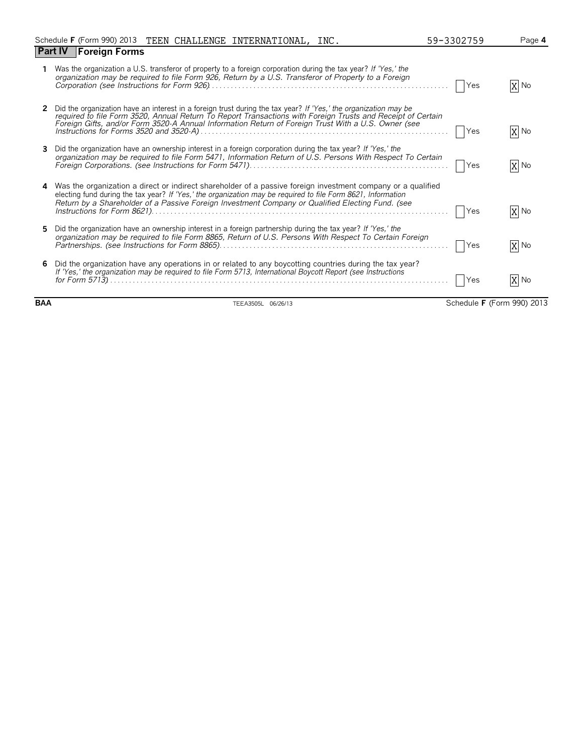|   | Schedule F (Form 990) 2013 TEEN CHALLENGE INTERNATIONAL, INC.                                                                                                                                                                                                                                                                         | 59-3302759 | Page 4 |
|---|---------------------------------------------------------------------------------------------------------------------------------------------------------------------------------------------------------------------------------------------------------------------------------------------------------------------------------------|------------|--------|
|   | <b>Part IV Foreign Forms</b>                                                                                                                                                                                                                                                                                                          |            |        |
|   | Was the organization a U.S. transferor of property to a foreign corporation during the tax year? If 'Yes,' the<br>organization may be required to file Form 926, Return by a U.S. Transferor of Property to a Foreign                                                                                                                 | Yes        | $X$ No |
|   | Did the organization have an interest in a foreign trust during the tax year? If 'Yes,' the organization may be<br>required to file Form 3520, Annual Return To Report Transactions with Foreign Trusts and Receipt of Certain<br>Foreign Gifts, and/or Form 3520-A Annual Information Return of Foreign Trust With a U.S. Owner (see | Yes        | X No   |
|   | Did the organization have an ownership interest in a foreign corporation during the tax year? If 'Yes,' the<br>organization may be required to file Form 5471, Information Return of U.S. Persons With Respect To Certain                                                                                                             | Yes        | X No   |
| 4 | Was the organization a direct or indirect shareholder of a passive foreign investment company or a qualified<br>electing fund during the tax year? If 'Yes,' the organization may be required to file Form 8621, Information<br>Return by a Shareholder of a Passive Foreign Investment Company or Qualified Electing Fund. (see      | Yes        | X No   |
| 5 | Did the organization have an ownership interest in a foreign partnership during the tax year? If 'Yes,' the<br>organization may be required to file Form 8865, Return of U.S. Persons With Respect To Certain Foreign                                                                                                                 | Yes        | X No   |
| 6 | Did the organization have any operations in or related to any boycotting countries during the tax year?<br>If 'Yes,' the organization may be required to file Form 5713, International Boycott Report (see Instructions                                                                                                               | Yes        | X No   |

**BAA** TEEA3505L 06/26/13 Schedule **F** (Form 990) 2013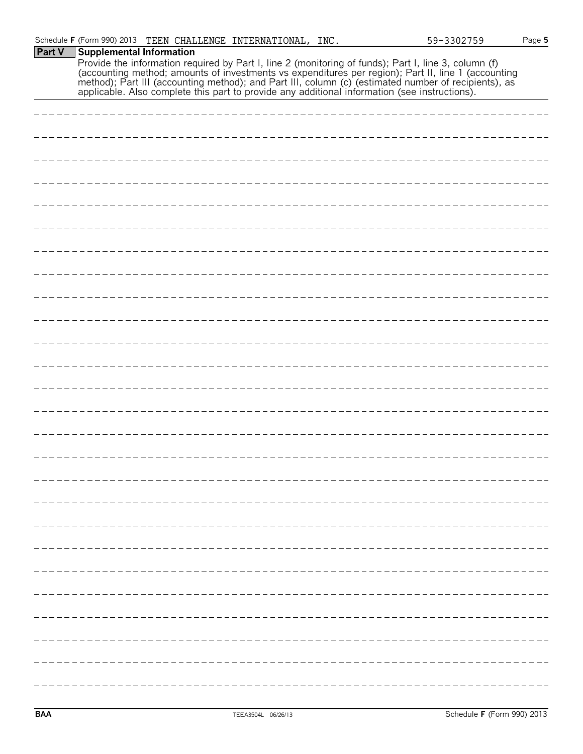#### **Part V Supplemental Information** Provide the information required by Part I, line 2 (monitoring of funds); Part I, line 3, column (f) (accounting method; amounts of investments vs expenditures per region); Part II, line 1 (accounting method); Part III (accounting method); and Part III, column (c) (estimated number of recipients), as

applicable. Also complete this part to provide any additional information (see instructions).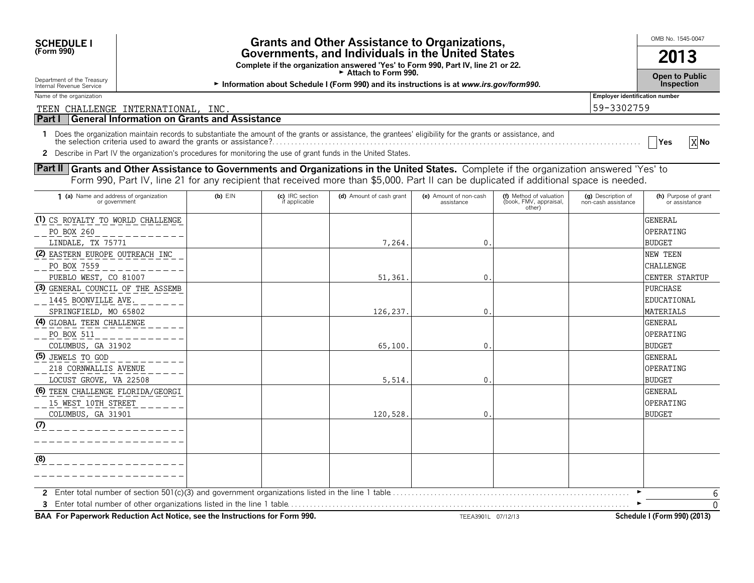| <b>Grants and Other Assistance to Organizations,</b><br><b>SCHEDULE I</b>                                                                                                                                                       |             |                                  |                                                                                         |                                      |                                                             |                                           | OMB No. 1545-0047                     |
|---------------------------------------------------------------------------------------------------------------------------------------------------------------------------------------------------------------------------------|-------------|----------------------------------|-----------------------------------------------------------------------------------------|--------------------------------------|-------------------------------------------------------------|-------------------------------------------|---------------------------------------|
| (Form 990)<br>Governments, and Individuals in the United States<br>Complete if the organization answered 'Yes' to Form 990, Part IV, line 21 or 22.<br>► Attach to Form 990.                                                    |             |                                  |                                                                                         |                                      |                                                             | 2013                                      |                                       |
| Department of the Treasury                                                                                                                                                                                                      |             |                                  |                                                                                         |                                      |                                                             |                                           | <b>Open to Public</b>                 |
| Internal Revenue Service                                                                                                                                                                                                        |             |                                  | Information about Schedule I (Form 990) and its instructions is at www.irs.gov/form990. |                                      |                                                             |                                           | Inspection                            |
| Name of the organization                                                                                                                                                                                                        |             |                                  |                                                                                         |                                      |                                                             | <b>Employer identification number</b>     |                                       |
| TEEN CHALLENGE INTERNATIONAL, INC.                                                                                                                                                                                              |             |                                  |                                                                                         |                                      |                                                             | 59-3302759                                |                                       |
| General Information on Grants and Assistance<br>Part I                                                                                                                                                                          |             |                                  |                                                                                         |                                      |                                                             |                                           |                                       |
| 1 Does the organization maintain records to substantiate the amount of the grants or assistance, the grantees' eligibility for the grants or assistance, and<br>the selection criteria used to award the grants or assistance?. |             |                                  |                                                                                         |                                      |                                                             |                                           | X No<br><b>Yes</b>                    |
| 2 Describe in Part IV the organization's procedures for monitoring the use of grant funds in the United States.                                                                                                                 |             |                                  |                                                                                         |                                      |                                                             |                                           |                                       |
| Part II Grants and Other Assistance to Governments and Organizations in the United States. Complete if the organization answered 'Yes' to                                                                                       |             |                                  |                                                                                         |                                      |                                                             |                                           |                                       |
| Form 990, Part IV, line 21 for any recipient that received more than \$5,000. Part II can be duplicated if additional space is needed.                                                                                          |             |                                  |                                                                                         |                                      |                                                             |                                           |                                       |
| 1 (a) Name and address of organization<br>or government                                                                                                                                                                         | $(b)$ $EIN$ | (c) IRC section<br>if applicable | (d) Amount of cash grant                                                                | (e) Amount of non-cash<br>assistance | (f) Method of valuation<br>(book, FMV, appraisal,<br>other) | (g) Description of<br>non-cash assistance | (h) Purpose of grant<br>or assistance |
| (1) CS ROYALTY TO WORLD CHALLENGE                                                                                                                                                                                               |             |                                  |                                                                                         |                                      |                                                             |                                           | <b>GENERAL</b>                        |
| PO BOX 260                                                                                                                                                                                                                      |             |                                  |                                                                                         |                                      |                                                             |                                           | OPERATING                             |
| LINDALE, TX 75771                                                                                                                                                                                                               |             |                                  | 7,264.                                                                                  | 0                                    |                                                             |                                           | <b>BUDGET</b>                         |
| (2) EASTERN EUROPE OUTREACH INC                                                                                                                                                                                                 |             |                                  |                                                                                         |                                      |                                                             |                                           | <b>NEW TEEN</b>                       |
| PO BOX 7559                                                                                                                                                                                                                     |             |                                  |                                                                                         |                                      |                                                             |                                           | <b>CHALLENGE</b>                      |
| PUEBLO WEST, CO 81007                                                                                                                                                                                                           |             |                                  | 51,361                                                                                  | 0                                    |                                                             |                                           | <b>CENTER STARTUP</b>                 |
| (3) GENERAL COUNCIL OF THE ASSEMB                                                                                                                                                                                               |             |                                  |                                                                                         |                                      |                                                             |                                           | PURCHASE                              |
| 1445 BOONVILLE AVE.                                                                                                                                                                                                             |             |                                  |                                                                                         |                                      |                                                             |                                           | EDUCATIONAL                           |
| SPRINGFIELD, MO 65802                                                                                                                                                                                                           |             |                                  | 126,237                                                                                 | $\Omega$                             |                                                             |                                           | <b>MATERIALS</b>                      |
| (4) GLOBAL TEEN CHALLENGE                                                                                                                                                                                                       |             |                                  |                                                                                         |                                      |                                                             |                                           | <b>GENERAL</b>                        |
| PO BOX 511                                                                                                                                                                                                                      |             |                                  |                                                                                         |                                      |                                                             |                                           | OPERATING                             |
| COLUMBUS, GA 31902                                                                                                                                                                                                              |             |                                  | 65,100.                                                                                 | 0                                    |                                                             |                                           | <b>BUDGET</b>                         |
| (5) JEWELS TO GOD                                                                                                                                                                                                               |             |                                  |                                                                                         |                                      |                                                             |                                           | <b>GENERAL</b>                        |
| 218 CORNWALLIS AVENUE                                                                                                                                                                                                           |             |                                  |                                                                                         |                                      |                                                             |                                           | OPERATING                             |
| LOCUST GROVE, VA 22508                                                                                                                                                                                                          |             |                                  | 5,514.                                                                                  | $\mathbf{0}$                         |                                                             |                                           | <b>BUDGET</b>                         |

**2** Enter total number of section 501(c)(3) and government organizations listed in the line 1 table. . . . . . . . . . . . . . . . . . . . . . . . . . . . . . . . . . . . . . . . . . . . . . . . . . . . . . . . . . . . . . . . G **3** Enter total number of other organizations listed in the line 1 table. . . . . . . . . . . . . . . . . . . . . . . . . . . . . . . . . . . . . . . . . . . . . . . . . . . . . . . . . . . . . . . . . . . . . . . . . . . . . . . . . . . . . . . . . . . G  $\overline{0}$ 6

**BAA For Paperwork Reduction Act Notice, see the Instructions for Form 990.** TEEA3901L 07/12/13 Schedule I (Form 990) (2013)

COLUMBUS, GA 31901  $\vert$   $\vert$  120,528. 0.

**(6)** TEEN CHALLENGE FLORIDA/GEORGI

15 WEST 10TH STREET

**(7)**

**(8)**

GENERAL OPERATING BUDGET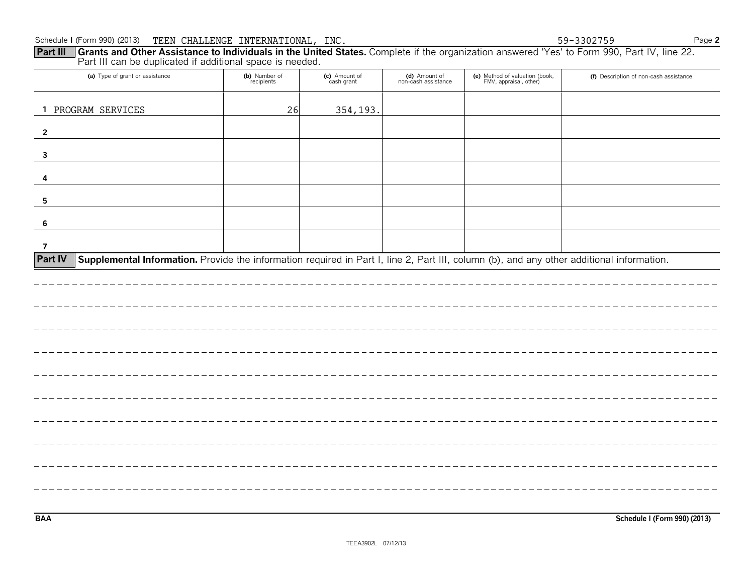| Schedule I (Form 990) (2013) TEEN CHALLENGE INTERNATIONAL, INC.                                                                                                                                                      |                             |                             |                                      |                                                          | 59-3302759<br>Page 2                   |
|----------------------------------------------------------------------------------------------------------------------------------------------------------------------------------------------------------------------|-----------------------------|-----------------------------|--------------------------------------|----------------------------------------------------------|----------------------------------------|
| Grants and Other Assistance to Individuals in the United States. Complete if the organization answered 'Yes' to Form 990, Part IV, line 22.<br>Part III<br>Part III can be duplicated if additional space is needed. |                             |                             |                                      |                                                          |                                        |
|                                                                                                                                                                                                                      |                             |                             |                                      |                                                          |                                        |
| (a) Type of grant or assistance                                                                                                                                                                                      | (b) Number of<br>recipients | (c) Amount of<br>cash grant | (d) Amount of<br>non-cash assistance | (e) Method of valuation (book,<br>FMV, appraisal, other) | (f) Description of non-cash assistance |
|                                                                                                                                                                                                                      |                             |                             |                                      |                                                          |                                        |
| 1 PROGRAM SERVICES                                                                                                                                                                                                   | 26                          | 354,193.                    |                                      |                                                          |                                        |
| $\overline{2}$                                                                                                                                                                                                       |                             |                             |                                      |                                                          |                                        |
|                                                                                                                                                                                                                      |                             |                             |                                      |                                                          |                                        |
|                                                                                                                                                                                                                      |                             |                             |                                      |                                                          |                                        |
|                                                                                                                                                                                                                      |                             |                             |                                      |                                                          |                                        |
|                                                                                                                                                                                                                      |                             |                             |                                      |                                                          |                                        |
|                                                                                                                                                                                                                      |                             |                             |                                      |                                                          |                                        |
|                                                                                                                                                                                                                      |                             |                             |                                      |                                                          |                                        |
|                                                                                                                                                                                                                      |                             |                             |                                      |                                                          |                                        |
|                                                                                                                                                                                                                      |                             |                             |                                      |                                                          |                                        |
| <b>Part IV</b>                                                                                                                                                                                                       |                             |                             |                                      |                                                          |                                        |
| Supplemental Information. Provide the information required in Part I, line 2, Part III, column (b), and any other additional information.                                                                            |                             |                             |                                      |                                                          |                                        |
|                                                                                                                                                                                                                      |                             |                             |                                      |                                                          |                                        |
|                                                                                                                                                                                                                      |                             |                             |                                      |                                                          |                                        |
|                                                                                                                                                                                                                      |                             |                             |                                      |                                                          |                                        |
|                                                                                                                                                                                                                      |                             |                             |                                      |                                                          |                                        |
|                                                                                                                                                                                                                      |                             |                             |                                      |                                                          |                                        |
|                                                                                                                                                                                                                      |                             |                             |                                      |                                                          |                                        |
|                                                                                                                                                                                                                      |                             |                             |                                      |                                                          |                                        |
|                                                                                                                                                                                                                      |                             |                             |                                      |                                                          |                                        |
|                                                                                                                                                                                                                      |                             |                             |                                      |                                                          |                                        |
|                                                                                                                                                                                                                      |                             |                             |                                      |                                                          |                                        |
|                                                                                                                                                                                                                      |                             |                             |                                      |                                                          |                                        |
|                                                                                                                                                                                                                      |                             |                             |                                      |                                                          |                                        |
|                                                                                                                                                                                                                      |                             |                             |                                      |                                                          |                                        |
|                                                                                                                                                                                                                      |                             |                             |                                      |                                                          |                                        |
|                                                                                                                                                                                                                      |                             |                             |                                      |                                                          |                                        |
|                                                                                                                                                                                                                      |                             |                             |                                      |                                                          |                                        |

**BAA Schedule I (Form 990) (2013)**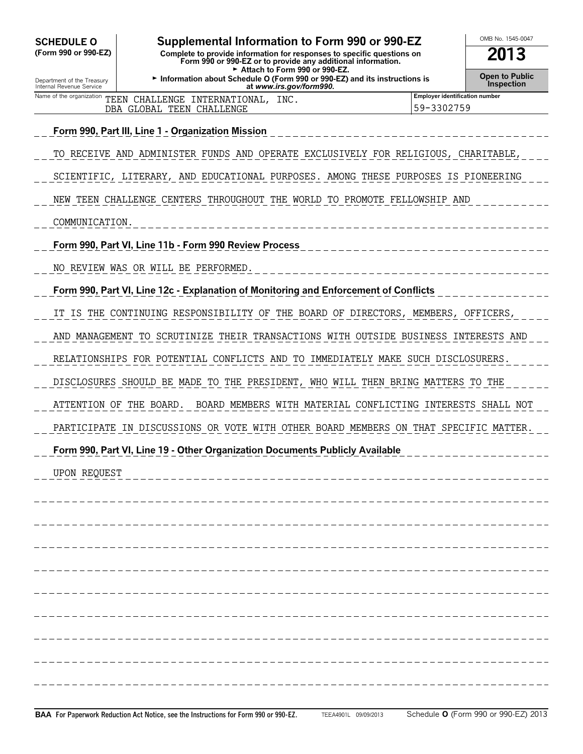| <b>SCHEDULE O</b><br>(Form 990 or 990-EZ)              | Supplemental Information to Form 990 or 990-EZ<br>Complete to provide information for responses to specific questions on<br>Form 990 or 990-EZ or to provide any additional information. |  |                                                     | OMB No. 1545-0047<br>2013 |  |  |
|--------------------------------------------------------|------------------------------------------------------------------------------------------------------------------------------------------------------------------------------------------|--|-----------------------------------------------------|---------------------------|--|--|
| Department of the Treasury<br>Internal Revenue Service | Attach to Form 990 or 990-EZ.<br><b>Open to Public</b><br>Information about Schedule O (Form 990 or 990-EZ) and its instructions is<br><b>Inspection</b><br>at www.irs.gov/form990.      |  |                                                     |                           |  |  |
| Name of the organization                               | TEEN CHALLENGE INTERNATIONAL, INC.<br>DBA GLOBAL TEEN CHALLENGE                                                                                                                          |  | <b>Employer identification number</b><br>59-3302759 |                           |  |  |
|                                                        | Form 990, Part III, Line 1 - Organization Mission                                                                                                                                        |  |                                                     |                           |  |  |
|                                                        | TO RECEIVE AND ADMINISTER FUNDS AND OPERATE EXCLUSIVELY FOR RELIGIOUS, CHARITABLE,                                                                                                       |  |                                                     |                           |  |  |
|                                                        | SCIENTIFIC, LITERARY, AND EDUCATIONAL PURPOSES. AMONG THESE PURPOSES IS PIONEERING                                                                                                       |  |                                                     |                           |  |  |
|                                                        | NEW TEEN CHALLENGE CENTERS THROUGHOUT THE WORLD TO PROMOTE FELLOWSHIP AND                                                                                                                |  |                                                     |                           |  |  |
| COMMUNICATION.                                         |                                                                                                                                                                                          |  |                                                     |                           |  |  |
|                                                        | Form 990, Part VI, Line 11b - Form 990 Review Process                                                                                                                                    |  |                                                     |                           |  |  |
|                                                        | NO REVIEW WAS OR WILL BE PERFORMED.                                                                                                                                                      |  |                                                     |                           |  |  |
|                                                        | Form 990, Part VI, Line 12c - Explanation of Monitoring and Enforcement of Conflicts                                                                                                     |  |                                                     |                           |  |  |
|                                                        | IT IS THE CONTINUING RESPONSIBILITY OF THE BOARD OF DIRECTORS, MEMBERS, OFFICERS,                                                                                                        |  |                                                     |                           |  |  |
|                                                        | AND MANAGEMENT TO SCRUTINIZE THEIR TRANSACTIONS WITH OUTSIDE BUSINESS INTERESTS AND                                                                                                      |  |                                                     |                           |  |  |
|                                                        | RELATIONSHIPS FOR POTENTIAL CONFLICTS AND TO IMMEDIATELY MAKE SUCH DISCLOSURERS.                                                                                                         |  |                                                     |                           |  |  |
|                                                        | DISCLOSURES SHOULD BE MADE TO THE PRESIDENT, WHO WILL THEN BRING MATTERS TO THE                                                                                                          |  |                                                     |                           |  |  |
| ATTENTION OF THE BOARD.                                | BOARD MEMBERS WITH MATERIAL CONFLICTING INTERESTS SHALL NOT                                                                                                                              |  |                                                     |                           |  |  |
|                                                        | PARTICIPATE IN DISCUSSIONS OR VOTE WITH OTHER BOARD MEMBERS ON THAT SPECIFIC MATTER.                                                                                                     |  |                                                     |                           |  |  |
|                                                        | Form 990, Part VI, Line 19 - Other Organization Documents Publicly Available                                                                                                             |  |                                                     |                           |  |  |
| <b>UPON REQUEST</b>                                    |                                                                                                                                                                                          |  |                                                     |                           |  |  |
|                                                        |                                                                                                                                                                                          |  |                                                     |                           |  |  |
|                                                        |                                                                                                                                                                                          |  |                                                     |                           |  |  |
|                                                        |                                                                                                                                                                                          |  |                                                     |                           |  |  |
|                                                        |                                                                                                                                                                                          |  |                                                     |                           |  |  |
|                                                        |                                                                                                                                                                                          |  |                                                     |                           |  |  |
|                                                        |                                                                                                                                                                                          |  |                                                     |                           |  |  |
|                                                        |                                                                                                                                                                                          |  |                                                     |                           |  |  |
|                                                        |                                                                                                                                                                                          |  |                                                     |                           |  |  |
|                                                        |                                                                                                                                                                                          |  |                                                     |                           |  |  |
|                                                        |                                                                                                                                                                                          |  |                                                     |                           |  |  |